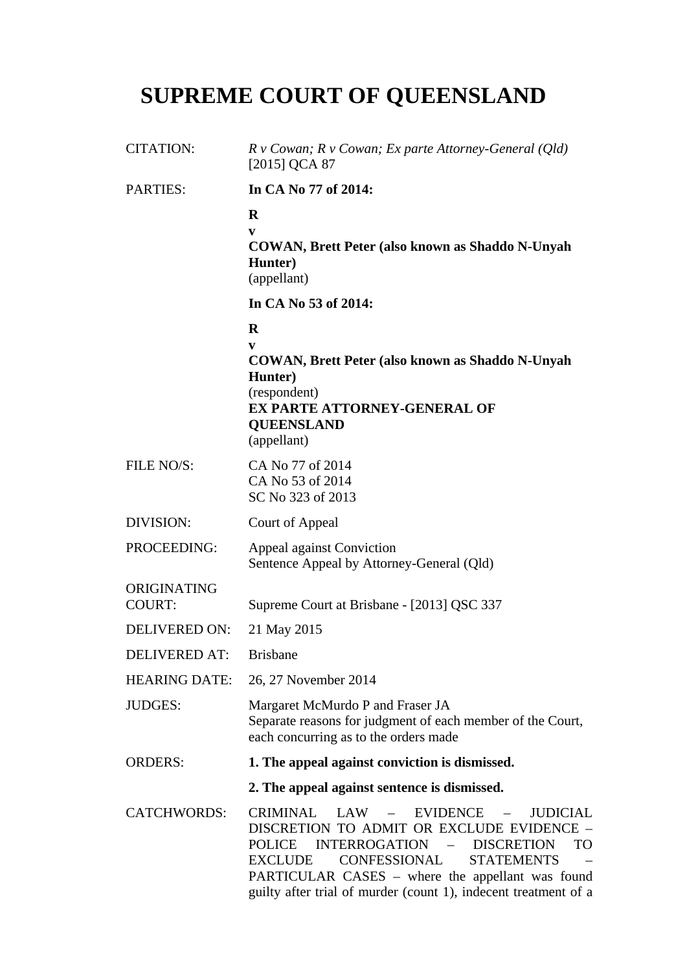# **SUPREME COURT OF QUEENSLAND**

| <b>CITATION:</b>             | $R \vee \textit{Cowan}$ ; $R \vee \textit{Cowan}$ ; Ex parte Attorney-General (Qld)<br>$[2015]$ QCA 87                                                                                                                                                                                                                                                                         |
|------------------------------|--------------------------------------------------------------------------------------------------------------------------------------------------------------------------------------------------------------------------------------------------------------------------------------------------------------------------------------------------------------------------------|
| <b>PARTIES:</b>              | In CA No 77 of 2014:                                                                                                                                                                                                                                                                                                                                                           |
|                              | $\mathbf R$<br>V<br><b>COWAN, Brett Peter (also known as Shaddo N-Unyah</b><br>Hunter)<br>(appellant)                                                                                                                                                                                                                                                                          |
|                              | In CA No 53 of 2014:                                                                                                                                                                                                                                                                                                                                                           |
|                              | $\bf{R}$<br>V<br><b>COWAN, Brett Peter (also known as Shaddo N-Unyah)</b><br>Hunter)<br>(respondent)<br><b>EX PARTE ATTORNEY-GENERAL OF</b><br><b>QUEENSLAND</b><br>(appellant)                                                                                                                                                                                                |
| FILE NO/S:                   | CA No 77 of 2014<br>CA No 53 of 2014<br>SC No 323 of 2013                                                                                                                                                                                                                                                                                                                      |
| DIVISION:                    | Court of Appeal                                                                                                                                                                                                                                                                                                                                                                |
| PROCEEDING:                  | Appeal against Conviction<br>Sentence Appeal by Attorney-General (Qld)                                                                                                                                                                                                                                                                                                         |
| ORIGINATING<br><b>COURT:</b> | Supreme Court at Brisbane - [2013] QSC 337                                                                                                                                                                                                                                                                                                                                     |
| DELIVERED ON:                | 21 May 2015                                                                                                                                                                                                                                                                                                                                                                    |
| DELIVERED AT:                | <b>Brishane</b>                                                                                                                                                                                                                                                                                                                                                                |
| <b>HEARING DATE:</b>         | 26, 27 November 2014                                                                                                                                                                                                                                                                                                                                                           |
| <b>JUDGES:</b>               | Margaret McMurdo P and Fraser JA<br>Separate reasons for judgment of each member of the Court,<br>each concurring as to the orders made                                                                                                                                                                                                                                        |
| <b>ORDERS:</b>               | 1. The appeal against conviction is dismissed.                                                                                                                                                                                                                                                                                                                                 |
|                              | 2. The appeal against sentence is dismissed.                                                                                                                                                                                                                                                                                                                                   |
| <b>CATCHWORDS:</b>           | <b>CRIMINAL</b><br>LAW<br><b>EVIDENCE</b><br><b>JUDICIAL</b><br>$\frac{1}{2}$<br>DISCRETION TO ADMIT OR EXCLUDE EVIDENCE -<br><b>INTERROGATION</b><br>- DISCRETION<br><b>POLICE</b><br><b>TO</b><br>CONFESSIONAL<br><b>EXCLUDE</b><br><b>STATEMENTS</b><br>PARTICULAR CASES – where the appellant was found<br>guilty after trial of murder (count 1), indecent treatment of a |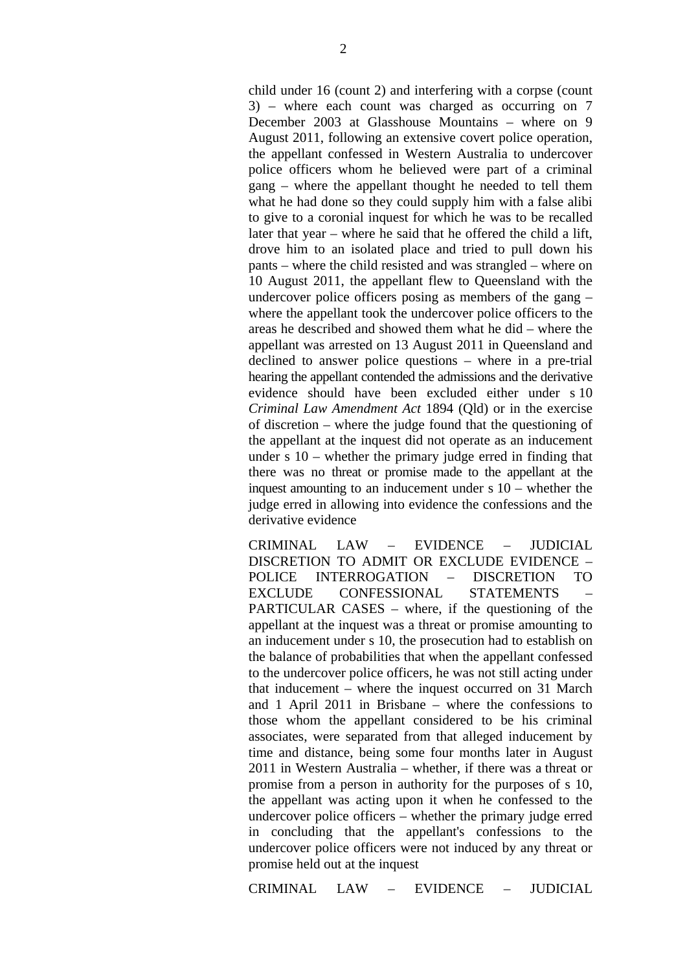child under 16 (count 2) and interfering with a corpse (count 3) – where each count was charged as occurring on 7 December 2003 at Glasshouse Mountains – where on 9 August 2011, following an extensive covert police operation, the appellant confessed in Western Australia to undercover police officers whom he believed were part of a criminal gang – where the appellant thought he needed to tell them what he had done so they could supply him with a false alibi to give to a coronial inquest for which he was to be recalled later that year – where he said that he offered the child a lift, drove him to an isolated place and tried to pull down his pants – where the child resisted and was strangled – where on 10 August 2011, the appellant flew to Queensland with the undercover police officers posing as members of the gang – where the appellant took the undercover police officers to the areas he described and showed them what he did – where the appellant was arrested on 13 August 2011 in Queensland and declined to answer police questions – where in a pre-trial hearing the appellant contended the admissions and the derivative evidence should have been excluded either under s 10 *Criminal Law Amendment Act* 1894 (Qld) or in the exercise of discretion – where the judge found that the questioning of the appellant at the inquest did not operate as an inducement under s 10 – whether the primary judge erred in finding that there was no threat or promise made to the appellant at the inquest amounting to an inducement under s 10 – whether the judge erred in allowing into evidence the confessions and the derivative evidence

CRIMINAL LAW – EVIDENCE – JUDICIAL DISCRETION TO ADMIT OR EXCLUDE EVIDENCE – POLICE INTERROGATION – DISCRETION TO EXCLUDE CONFESSIONAL STATEMENTS PARTICULAR CASES – where, if the questioning of the appellant at the inquest was a threat or promise amounting to an inducement under s 10, the prosecution had to establish on the balance of probabilities that when the appellant confessed to the undercover police officers, he was not still acting under that inducement – where the inquest occurred on 31 March and 1 April 2011 in Brisbane – where the confessions to those whom the appellant considered to be his criminal associates, were separated from that alleged inducement by time and distance, being some four months later in August 2011 in Western Australia – whether, if there was a threat or promise from a person in authority for the purposes of s 10, the appellant was acting upon it when he confessed to the undercover police officers – whether the primary judge erred in concluding that the appellant's confessions to the undercover police officers were not induced by any threat or promise held out at the inquest

CRIMINAL LAW – EVIDENCE – JUDICIAL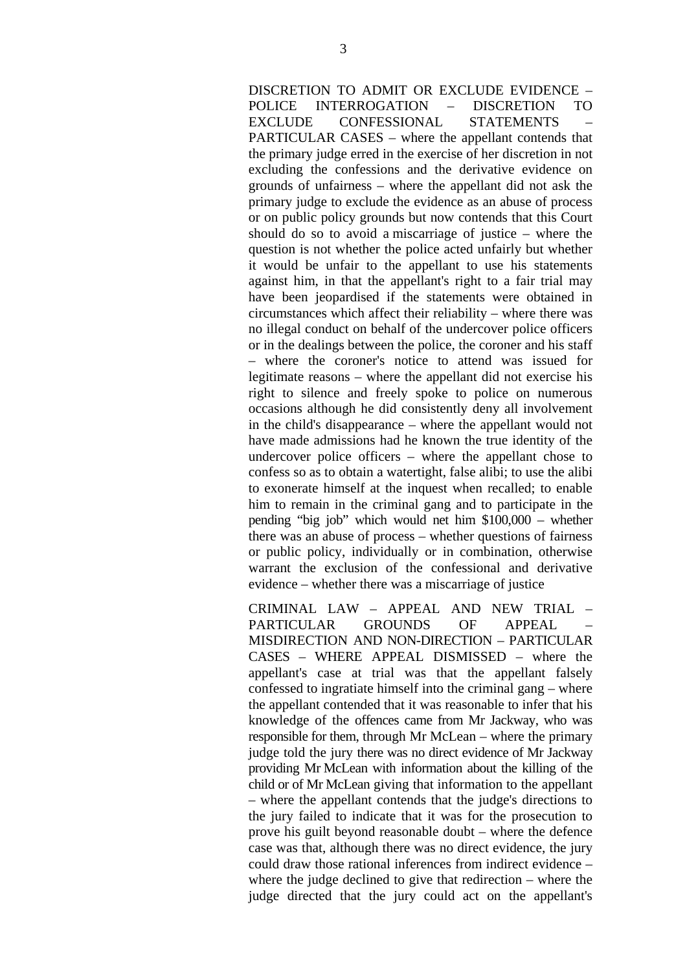DISCRETION TO ADMIT OR EXCLUDE EVIDENCE – POLICE INTERROGATION – DISCRETION TO EXCLUDE CONFESSIONAL STATEMENTS PARTICULAR CASES – where the appellant contends that the primary judge erred in the exercise of her discretion in not excluding the confessions and the derivative evidence on grounds of unfairness – where the appellant did not ask the primary judge to exclude the evidence as an abuse of process or on public policy grounds but now contends that this Court should do so to avoid a miscarriage of justice – where the question is not whether the police acted unfairly but whether it would be unfair to the appellant to use his statements against him, in that the appellant's right to a fair trial may have been jeopardised if the statements were obtained in circumstances which affect their reliability – where there was no illegal conduct on behalf of the undercover police officers or in the dealings between the police, the coroner and his staff – where the coroner's notice to attend was issued for legitimate reasons – where the appellant did not exercise his right to silence and freely spoke to police on numerous occasions although he did consistently deny all involvement in the child's disappearance – where the appellant would not have made admissions had he known the true identity of the undercover police officers – where the appellant chose to confess so as to obtain a watertight, false alibi; to use the alibi to exonerate himself at the inquest when recalled; to enable him to remain in the criminal gang and to participate in the pending "big job" which would net him \$100,000 – whether there was an abuse of process – whether questions of fairness or public policy, individually or in combination, otherwise warrant the exclusion of the confessional and derivative evidence – whether there was a miscarriage of justice

CRIMINAL LAW – APPEAL AND NEW TRIAL – PARTICULAR GROUNDS OF APPEAL MISDIRECTION AND NON-DIRECTION – PARTICULAR CASES – WHERE APPEAL DISMISSED – where the appellant's case at trial was that the appellant falsely confessed to ingratiate himself into the criminal gang – where the appellant contended that it was reasonable to infer that his knowledge of the offences came from Mr Jackway, who was responsible for them, through Mr McLean – where the primary judge told the jury there was no direct evidence of Mr Jackway providing Mr McLean with information about the killing of the child or of Mr McLean giving that information to the appellant – where the appellant contends that the judge's directions to the jury failed to indicate that it was for the prosecution to prove his guilt beyond reasonable doubt – where the defence case was that, although there was no direct evidence, the jury could draw those rational inferences from indirect evidence – where the judge declined to give that redirection – where the judge directed that the jury could act on the appellant's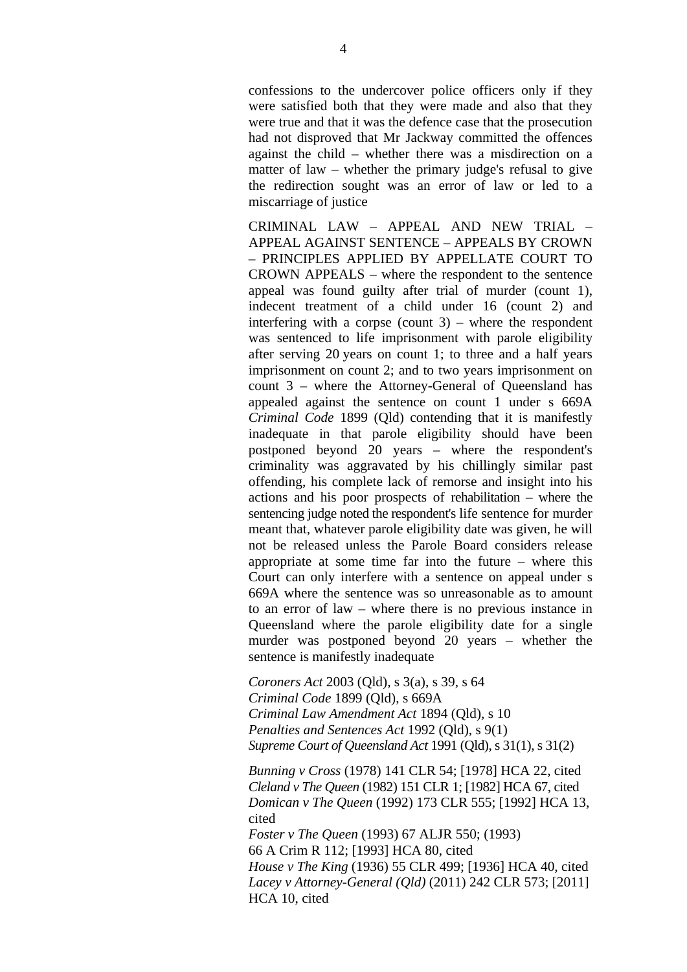confessions to the undercover police officers only if they were satisfied both that they were made and also that they were true and that it was the defence case that the prosecution had not disproved that Mr Jackway committed the offences against the child – whether there was a misdirection on a matter of law – whether the primary judge's refusal to give the redirection sought was an error of law or led to a miscarriage of justice

CRIMINAL LAW – APPEAL AND NEW TRIAL – APPEAL AGAINST SENTENCE – APPEALS BY CROWN – PRINCIPLES APPLIED BY APPELLATE COURT TO CROWN APPEALS – where the respondent to the sentence appeal was found guilty after trial of murder (count 1), indecent treatment of a child under 16 (count 2) and interfering with a corpse (count  $3$ ) – where the respondent was sentenced to life imprisonment with parole eligibility after serving 20 years on count 1; to three and a half years imprisonment on count 2; and to two years imprisonment on count 3 – where the Attorney-General of Queensland has appealed against the sentence on count 1 under s 669A *Criminal Code* 1899 (Qld) contending that it is manifestly inadequate in that parole eligibility should have been postponed beyond 20 years – where the respondent's criminality was aggravated by his chillingly similar past offending, his complete lack of remorse and insight into his actions and his poor prospects of rehabilitation – where the sentencing judge noted the respondent's life sentence for murder meant that, whatever parole eligibility date was given, he will not be released unless the Parole Board considers release appropriate at some time far into the future – where this Court can only interfere with a sentence on appeal under s 669A where the sentence was so unreasonable as to amount to an error of law – where there is no previous instance in Queensland where the parole eligibility date for a single murder was postponed beyond 20 years – whether the sentence is manifestly inadequate

*Coroners Act* 2003 (Qld), s 3(a), s 39, s 64 *Criminal Code* 1899 (Qld), s 669A *Criminal Law Amendment Act* 1894 (Qld), s 10 *Penalties and Sentences Act* 1992 (Qld), s 9(1) *Supreme Court of Queensland Act* 1991 (Qld), s 31(1), s 31(2)

*Bunning v Cross* (1978) 141 CLR 54; [1978] HCA 22, cited *Cleland v The Queen* (1982) 151 CLR 1; [1982] HCA 67, cited *Domican v The Queen* (1992) 173 CLR 555; [1992] HCA 13, cited *Foster v The Queen* (1993) 67 ALJR 550; (1993)

66 A Crim R 112; [1993] HCA 80, cited *House v The King* (1936) 55 CLR 499; [1936] HCA 40, cited *Lacey v Attorney-General (Qld)* (2011) 242 CLR 573; [2011] HCA 10, cited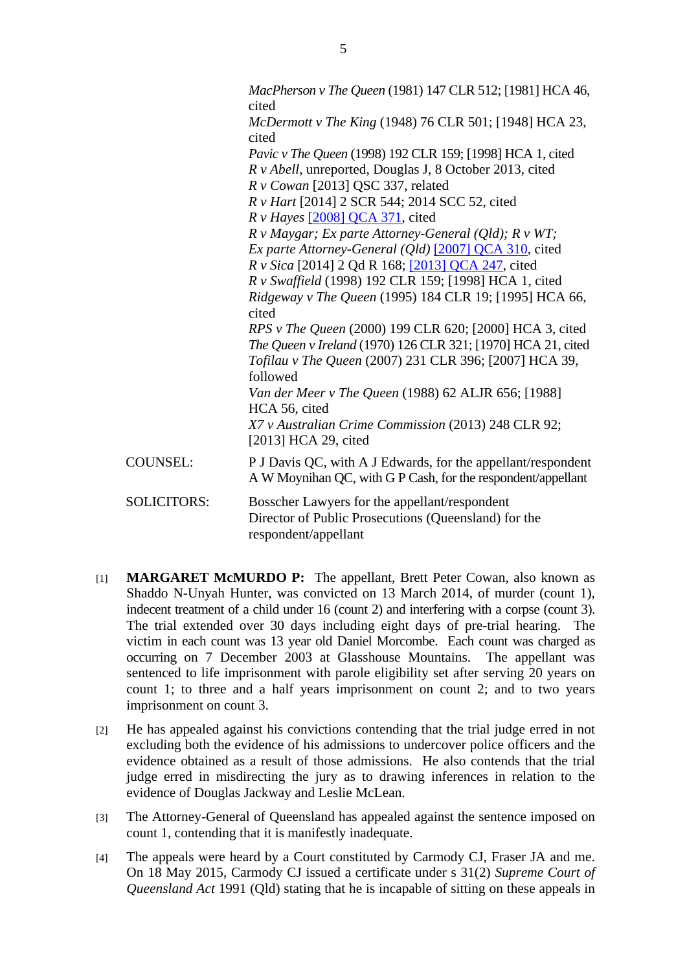|                    | MacPherson v The Queen (1981) 147 CLR 512; [1981] HCA 46,<br>cited                                                            |
|--------------------|-------------------------------------------------------------------------------------------------------------------------------|
|                    | McDermott v The King (1948) 76 CLR 501; [1948] HCA 23,<br>cited                                                               |
|                    | <i>Pavic v The Queen</i> (1998) 192 CLR 159; [1998] HCA 1, cited                                                              |
|                    | R v Abell, unreported, Douglas J, 8 October 2013, cited                                                                       |
|                    | $R$ v Cowan [2013] QSC 337, related                                                                                           |
|                    | R v Hart [2014] 2 SCR 544; 2014 SCC 52, cited                                                                                 |
|                    | $R \, v$ Hayes [2008] QCA 371, cited                                                                                          |
|                    | $R \nu$ Maygar; Ex parte Attorney-General (Qld); $R \nu WT$ ;                                                                 |
|                    | Ex parte Attorney-General (Qld) [2007] QCA 310, cited                                                                         |
|                    | <i>R v Sica</i> [2014] 2 Qd R 168; [2013] QCA 247, cited                                                                      |
|                    | R v Swaffield (1998) 192 CLR 159; [1998] HCA 1, cited                                                                         |
|                    | Ridgeway v The Queen (1995) 184 CLR 19; [1995] HCA 66,<br>cited                                                               |
|                    | RPS v The Queen (2000) 199 CLR 620; [2000] HCA 3, cited                                                                       |
|                    | The Queen v Ireland (1970) 126 CLR 321; [1970] HCA 21, cited                                                                  |
|                    | Tofilau v The Queen (2007) 231 CLR 396; [2007] HCA 39,<br>followed                                                            |
|                    | Van der Meer v The Queen (1988) 62 ALJR 656; [1988]<br>HCA 56, cited                                                          |
|                    | X7 v Australian Crime Commission (2013) 248 CLR 92;<br>$[2013]$ HCA 29, cited                                                 |
| <b>COUNSEL:</b>    | P J Davis QC, with A J Edwards, for the appellant/respondent<br>A W Moynihan QC, with G P Cash, for the respondent/appellant  |
| <b>SOLICITORS:</b> | Bosscher Lawyers for the appellant/respondent<br>Director of Public Prosecutions (Queensland) for the<br>respondent/appellant |

- [1] **MARGARET McMURDO P:** The appellant, Brett Peter Cowan, also known as Shaddo N-Unyah Hunter, was convicted on 13 March 2014, of murder (count 1), indecent treatment of a child under 16 (count 2) and interfering with a corpse (count 3). The trial extended over 30 days including eight days of pre-trial hearing. The victim in each count was 13 year old Daniel Morcombe. Each count was charged as occurring on 7 December 2003 at Glasshouse Mountains. The appellant was sentenced to life imprisonment with parole eligibility set after serving 20 years on count 1; to three and a half years imprisonment on count 2; and to two years imprisonment on count 3.
- [2] He has appealed against his convictions contending that the trial judge erred in not excluding both the evidence of his admissions to undercover police officers and the evidence obtained as a result of those admissions. He also contends that the trial judge erred in misdirecting the jury as to drawing inferences in relation to the evidence of Douglas Jackway and Leslie McLean.
- [3] The Attorney-General of Queensland has appealed against the sentence imposed on count 1, contending that it is manifestly inadequate.
- [4] The appeals were heard by a Court constituted by Carmody CJ, Fraser JA and me. On 18 May 2015, Carmody CJ issued a certificate under s 31(2) *Supreme Court of Queensland Act* 1991 (Qld) stating that he is incapable of sitting on these appeals in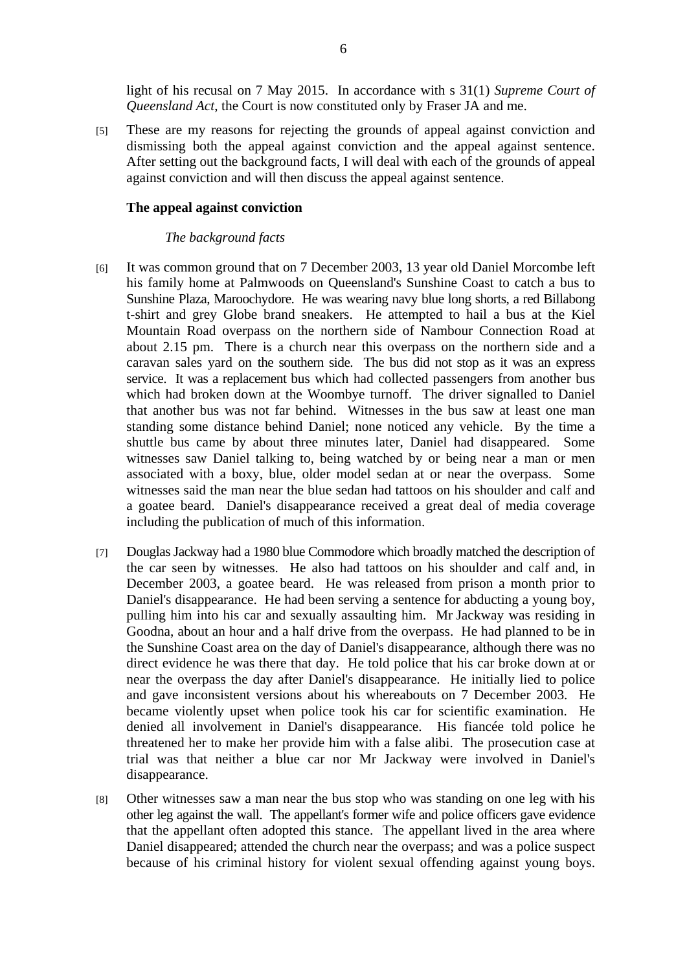light of his recusal on 7 May 2015. In accordance with s 31(1) *Supreme Court of Queensland Act*, the Court is now constituted only by Fraser JA and me.

[5] These are my reasons for rejecting the grounds of appeal against conviction and dismissing both the appeal against conviction and the appeal against sentence. After setting out the background facts, I will deal with each of the grounds of appeal against conviction and will then discuss the appeal against sentence.

#### **The appeal against conviction**

#### *The background facts*

- [6] It was common ground that on 7 December 2003, 13 year old Daniel Morcombe left his family home at Palmwoods on Queensland's Sunshine Coast to catch a bus to Sunshine Plaza, Maroochydore. He was wearing navy blue long shorts, a red Billabong t-shirt and grey Globe brand sneakers. He attempted to hail a bus at the Kiel Mountain Road overpass on the northern side of Nambour Connection Road at about 2.15 pm. There is a church near this overpass on the northern side and a caravan sales yard on the southern side. The bus did not stop as it was an express service. It was a replacement bus which had collected passengers from another bus which had broken down at the Woombye turnoff. The driver signalled to Daniel that another bus was not far behind. Witnesses in the bus saw at least one man standing some distance behind Daniel; none noticed any vehicle. By the time a shuttle bus came by about three minutes later, Daniel had disappeared. Some witnesses saw Daniel talking to, being watched by or being near a man or men associated with a boxy, blue, older model sedan at or near the overpass. Some witnesses said the man near the blue sedan had tattoos on his shoulder and calf and a goatee beard. Daniel's disappearance received a great deal of media coverage including the publication of much of this information.
- [7] Douglas Jackway had a 1980 blue Commodore which broadly matched the description of the car seen by witnesses. He also had tattoos on his shoulder and calf and, in December 2003, a goatee beard. He was released from prison a month prior to Daniel's disappearance. He had been serving a sentence for abducting a young boy, pulling him into his car and sexually assaulting him. Mr Jackway was residing in Goodna, about an hour and a half drive from the overpass. He had planned to be in the Sunshine Coast area on the day of Daniel's disappearance, although there was no direct evidence he was there that day. He told police that his car broke down at or near the overpass the day after Daniel's disappearance. He initially lied to police and gave inconsistent versions about his whereabouts on 7 December 2003. He became violently upset when police took his car for scientific examination. He denied all involvement in Daniel's disappearance. His fiancée told police he threatened her to make her provide him with a false alibi. The prosecution case at trial was that neither a blue car nor Mr Jackway were involved in Daniel's disappearance.
- [8] Other witnesses saw a man near the bus stop who was standing on one leg with his other leg against the wall. The appellant's former wife and police officers gave evidence that the appellant often adopted this stance. The appellant lived in the area where Daniel disappeared; attended the church near the overpass; and was a police suspect because of his criminal history for violent sexual offending against young boys.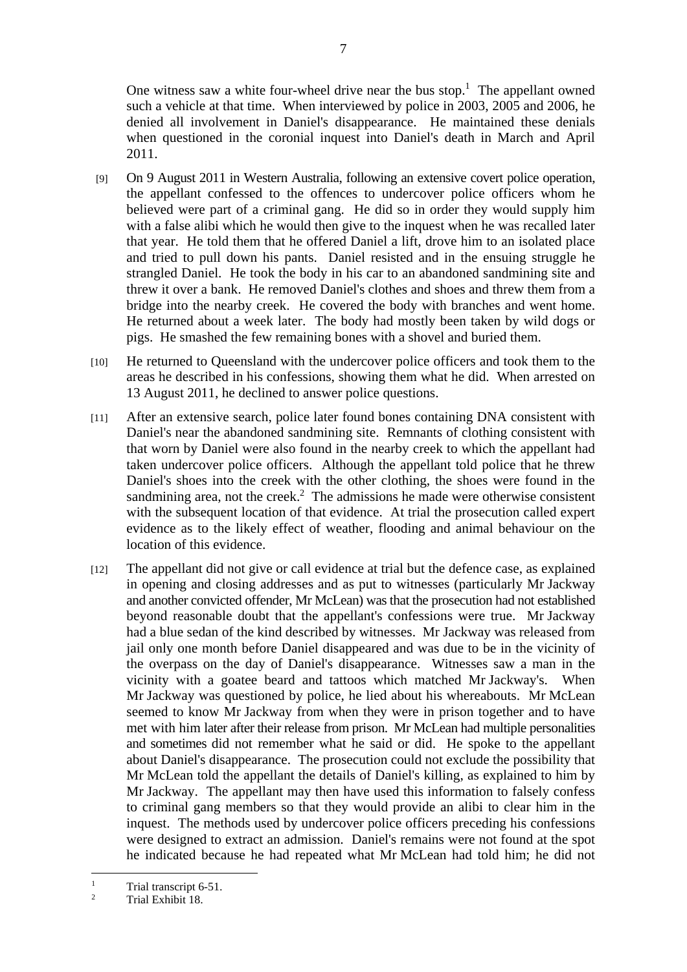One witness saw a white four-wheel drive near the bus stop.<sup>1</sup> The appellant owned such a vehicle at that time. When interviewed by police in 2003, 2005 and 2006, he denied all involvement in Daniel's disappearance. He maintained these denials when questioned in the coronial inquest into Daniel's death in March and April 2011.

- [9] On 9 August 2011 in Western Australia, following an extensive covert police operation, the appellant confessed to the offences to undercover police officers whom he believed were part of a criminal gang. He did so in order they would supply him with a false alibi which he would then give to the inquest when he was recalled later that year. He told them that he offered Daniel a lift, drove him to an isolated place and tried to pull down his pants. Daniel resisted and in the ensuing struggle he strangled Daniel. He took the body in his car to an abandoned sandmining site and threw it over a bank. He removed Daniel's clothes and shoes and threw them from a bridge into the nearby creek. He covered the body with branches and went home. He returned about a week later. The body had mostly been taken by wild dogs or pigs. He smashed the few remaining bones with a shovel and buried them.
- [10] He returned to Queensland with the undercover police officers and took them to the areas he described in his confessions, showing them what he did. When arrested on 13 August 2011, he declined to answer police questions.
- [11] After an extensive search, police later found bones containing DNA consistent with Daniel's near the abandoned sandmining site. Remnants of clothing consistent with that worn by Daniel were also found in the nearby creek to which the appellant had taken undercover police officers. Although the appellant told police that he threw Daniel's shoes into the creek with the other clothing, the shoes were found in the sandmining area, not the creek.<sup>2</sup> The admissions he made were otherwise consistent with the subsequent location of that evidence. At trial the prosecution called expert evidence as to the likely effect of weather, flooding and animal behaviour on the location of this evidence.
- [12] The appellant did not give or call evidence at trial but the defence case, as explained in opening and closing addresses and as put to witnesses (particularly Mr Jackway and another convicted offender, Mr McLean) was that the prosecution had not established beyond reasonable doubt that the appellant's confessions were true. Mr Jackway had a blue sedan of the kind described by witnesses. Mr Jackway was released from jail only one month before Daniel disappeared and was due to be in the vicinity of the overpass on the day of Daniel's disappearance. Witnesses saw a man in the vicinity with a goatee beard and tattoos which matched Mr Jackway's. When Mr Jackway was questioned by police, he lied about his whereabouts. Mr McLean seemed to know Mr Jackway from when they were in prison together and to have met with him later after their release from prison. Mr McLean had multiple personalities and sometimes did not remember what he said or did. He spoke to the appellant about Daniel's disappearance. The prosecution could not exclude the possibility that Mr McLean told the appellant the details of Daniel's killing, as explained to him by Mr Jackway. The appellant may then have used this information to falsely confess to criminal gang members so that they would provide an alibi to clear him in the inquest. The methods used by undercover police officers preceding his confessions were designed to extract an admission. Daniel's remains were not found at the spot he indicated because he had repeated what Mr McLean had told him; he did not

<sup>1</sup> Trial transcript 6-51.

<sup>2</sup> Trial Exhibit 18.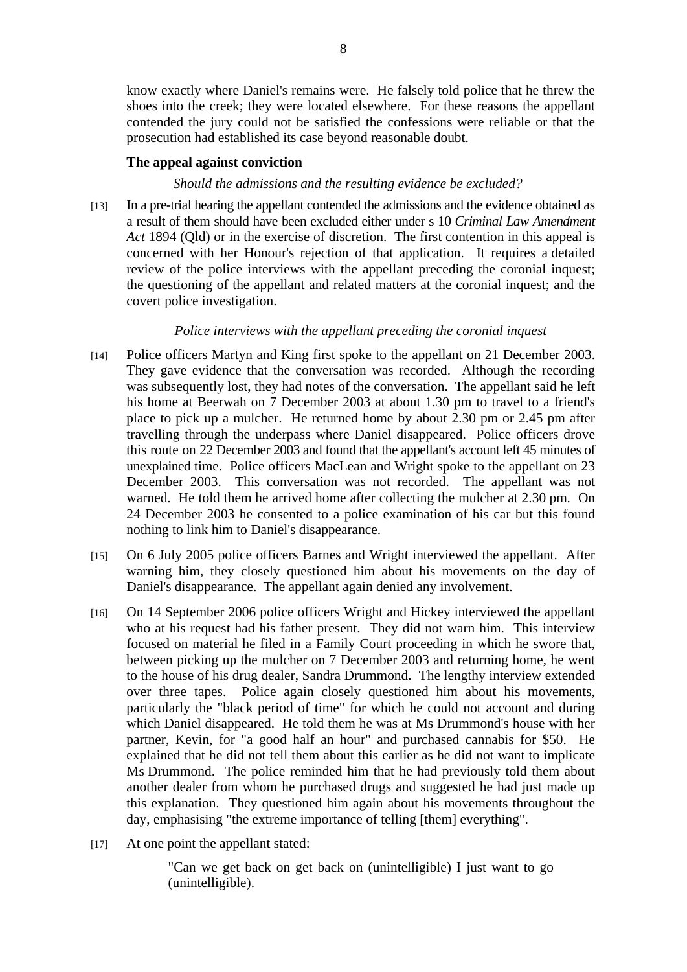know exactly where Daniel's remains were. He falsely told police that he threw the shoes into the creek; they were located elsewhere. For these reasons the appellant contended the jury could not be satisfied the confessions were reliable or that the prosecution had established its case beyond reasonable doubt.

#### **The appeal against conviction**

#### *Should the admissions and the resulting evidence be excluded?*

[13] In a pre-trial hearing the appellant contended the admissions and the evidence obtained as a result of them should have been excluded either under s 10 *Criminal Law Amendment Act* 1894 (Qld) or in the exercise of discretion. The first contention in this appeal is concerned with her Honour's rejection of that application. It requires a detailed review of the police interviews with the appellant preceding the coronial inquest; the questioning of the appellant and related matters at the coronial inquest; and the covert police investigation.

#### *Police interviews with the appellant preceding the coronial inquest*

- [14] Police officers Martyn and King first spoke to the appellant on 21 December 2003. They gave evidence that the conversation was recorded. Although the recording was subsequently lost, they had notes of the conversation. The appellant said he left his home at Beerwah on 7 December 2003 at about 1.30 pm to travel to a friend's place to pick up a mulcher. He returned home by about 2.30 pm or 2.45 pm after travelling through the underpass where Daniel disappeared. Police officers drove this route on 22 December 2003 and found that the appellant's account left 45 minutes of unexplained time. Police officers MacLean and Wright spoke to the appellant on 23 December 2003. This conversation was not recorded. The appellant was not warned. He told them he arrived home after collecting the mulcher at 2.30 pm. On 24 December 2003 he consented to a police examination of his car but this found nothing to link him to Daniel's disappearance.
- [15] On 6 July 2005 police officers Barnes and Wright interviewed the appellant. After warning him, they closely questioned him about his movements on the day of Daniel's disappearance. The appellant again denied any involvement.
- [16] On 14 September 2006 police officers Wright and Hickey interviewed the appellant who at his request had his father present. They did not warn him. This interview focused on material he filed in a Family Court proceeding in which he swore that, between picking up the mulcher on 7 December 2003 and returning home, he went to the house of his drug dealer, Sandra Drummond. The lengthy interview extended over three tapes. Police again closely questioned him about his movements, particularly the "black period of time" for which he could not account and during which Daniel disappeared. He told them he was at Ms Drummond's house with her partner, Kevin, for "a good half an hour" and purchased cannabis for \$50. He explained that he did not tell them about this earlier as he did not want to implicate Ms Drummond. The police reminded him that he had previously told them about another dealer from whom he purchased drugs and suggested he had just made up this explanation. They questioned him again about his movements throughout the day, emphasising "the extreme importance of telling [them] everything".
- [17] At one point the appellant stated:

"Can we get back on get back on (unintelligible) I just want to go (unintelligible).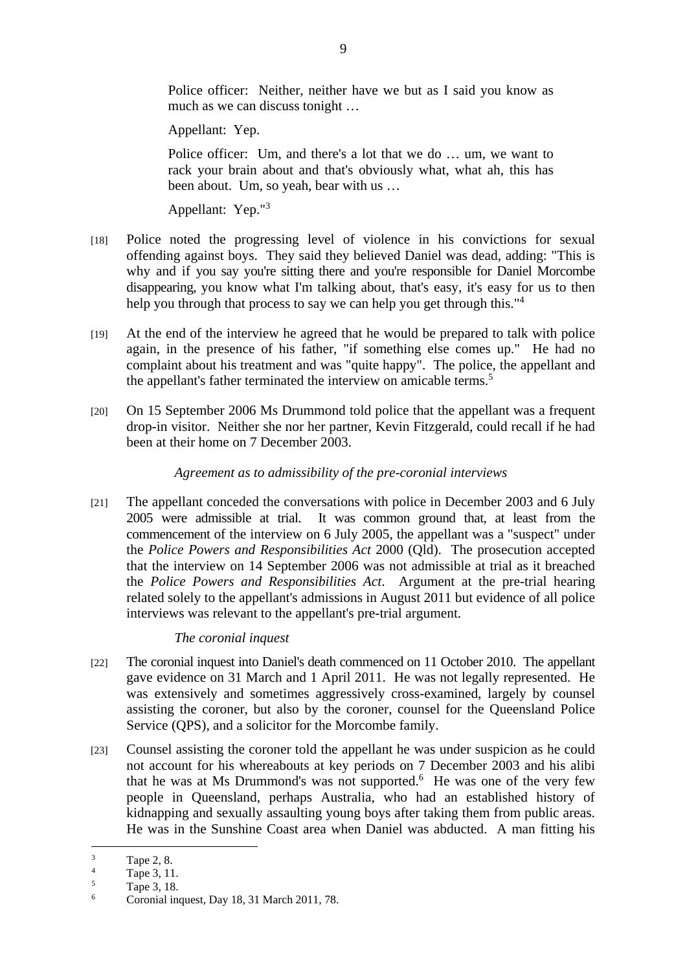Police officer: Neither, neither have we but as I said you know as much as we can discuss tonight …

Appellant: Yep.

Police officer: Um, and there's a lot that we do … um, we want to rack your brain about and that's obviously what, what ah, this has been about. Um, so yeah, bear with us …

Appellant: Yep."<sup>3</sup>

- [18] Police noted the progressing level of violence in his convictions for sexual offending against boys. They said they believed Daniel was dead, adding: "This is why and if you say you're sitting there and you're responsible for Daniel Morcombe disappearing, you know what I'm talking about, that's easy, it's easy for us to then help you through that process to say we can help you get through this.<sup>"4</sup>
- [19] At the end of the interview he agreed that he would be prepared to talk with police again, in the presence of his father, "if something else comes up." He had no complaint about his treatment and was "quite happy". The police, the appellant and the appellant's father terminated the interview on amicable terms.<sup>5</sup>
- [20] On 15 September 2006 Ms Drummond told police that the appellant was a frequent drop-in visitor. Neither she nor her partner, Kevin Fitzgerald, could recall if he had been at their home on 7 December 2003.

## *Agreement as to admissibility of the pre-coronial interviews*

[21] The appellant conceded the conversations with police in December 2003 and 6 July 2005 were admissible at trial. It was common ground that, at least from the commencement of the interview on 6 July 2005, the appellant was a "suspect" under the *Police Powers and Responsibilities Act* 2000 (Qld). The prosecution accepted that the interview on 14 September 2006 was not admissible at trial as it breached the *Police Powers and Responsibilities Act*. Argument at the pre-trial hearing related solely to the appellant's admissions in August 2011 but evidence of all police interviews was relevant to the appellant's pre-trial argument.

### *The coronial inquest*

- [22] The coronial inquest into Daniel's death commenced on 11 October 2010. The appellant gave evidence on 31 March and 1 April 2011. He was not legally represented. He was extensively and sometimes aggressively cross-examined, largely by counsel assisting the coroner, but also by the coroner, counsel for the Queensland Police Service (QPS), and a solicitor for the Morcombe family.
- [23] Counsel assisting the coroner told the appellant he was under suspicion as he could not account for his whereabouts at key periods on 7 December 2003 and his alibi that he was at Ms Drummond's was not supported.<sup>6</sup> He was one of the very few people in Queensland, perhaps Australia, who had an established history of kidnapping and sexually assaulting young boys after taking them from public areas. He was in the Sunshine Coast area when Daniel was abducted. A man fitting his

 $\frac{1}{3}$ Tape 2, 8.

<sup>4</sup> Tape 3, 11.

<sup>5</sup> Tape 3, 18.

<sup>6</sup> Coronial inquest, Day 18, 31 March 2011, 78.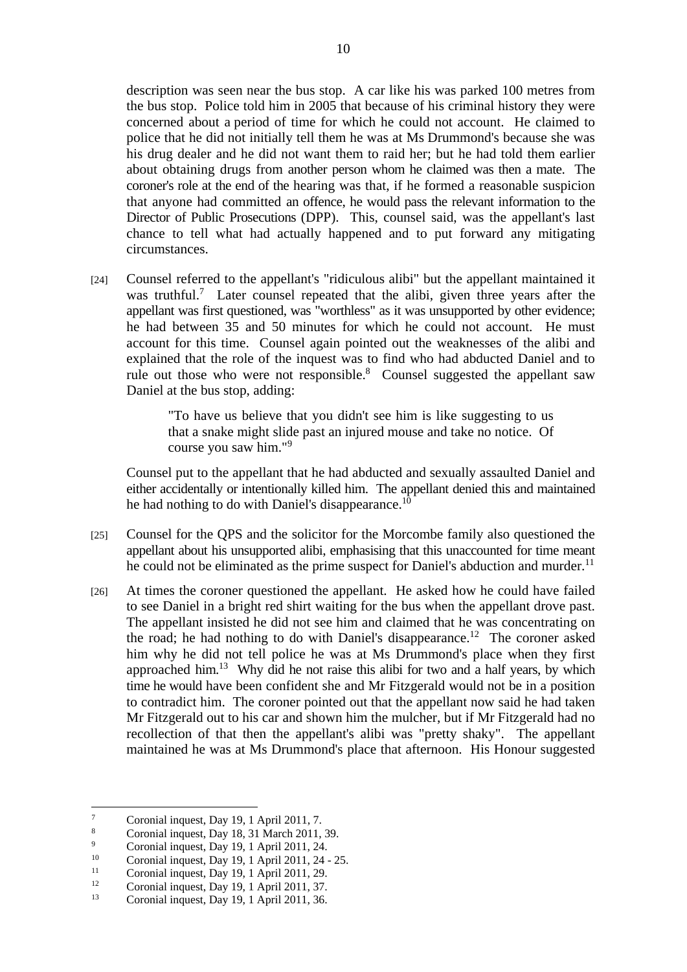description was seen near the bus stop. A car like his was parked 100 metres from the bus stop. Police told him in 2005 that because of his criminal history they were concerned about a period of time for which he could not account. He claimed to police that he did not initially tell them he was at Ms Drummond's because she was his drug dealer and he did not want them to raid her; but he had told them earlier about obtaining drugs from another person whom he claimed was then a mate. The coroner's role at the end of the hearing was that, if he formed a reasonable suspicion that anyone had committed an offence, he would pass the relevant information to the Director of Public Prosecutions (DPP). This, counsel said, was the appellant's last chance to tell what had actually happened and to put forward any mitigating circumstances.

[24] Counsel referred to the appellant's "ridiculous alibi" but the appellant maintained it was truthful.<sup>7</sup> Later counsel repeated that the alibi, given three years after the appellant was first questioned, was "worthless" as it was unsupported by other evidence; he had between 35 and 50 minutes for which he could not account. He must account for this time. Counsel again pointed out the weaknesses of the alibi and explained that the role of the inquest was to find who had abducted Daniel and to rule out those who were not responsible. $8$  Counsel suggested the appellant saw Daniel at the bus stop, adding:

> "To have us believe that you didn't see him is like suggesting to us that a snake might slide past an injured mouse and take no notice. Of course you saw him."<sup>9</sup>

Counsel put to the appellant that he had abducted and sexually assaulted Daniel and either accidentally or intentionally killed him. The appellant denied this and maintained he had nothing to do with Daniel's disappearance.<sup>10</sup>

- [25] Counsel for the QPS and the solicitor for the Morcombe family also questioned the appellant about his unsupported alibi, emphasising that this unaccounted for time meant he could not be eliminated as the prime suspect for Daniel's abduction and murder.<sup>11</sup>
- [26] At times the coroner questioned the appellant. He asked how he could have failed to see Daniel in a bright red shirt waiting for the bus when the appellant drove past. The appellant insisted he did not see him and claimed that he was concentrating on the road; he had nothing to do with Daniel's disappearance.<sup>12</sup> The coroner asked him why he did not tell police he was at Ms Drummond's place when they first approached him.13 Why did he not raise this alibi for two and a half years, by which time he would have been confident she and Mr Fitzgerald would not be in a position to contradict him. The coroner pointed out that the appellant now said he had taken Mr Fitzgerald out to his car and shown him the mulcher, but if Mr Fitzgerald had no recollection of that then the appellant's alibi was "pretty shaky". The appellant maintained he was at Ms Drummond's place that afternoon. His Honour suggested

 $\frac{1}{7}$ Coronial inquest, Day 19, 1 April 2011, 7.

<sup>8</sup> Coronial inquest, Day 18, 31 March 2011, 39.

 $\overline{Q}$ <sup>9</sup> Coronial inquest, Day 19, 1 April 2011, 24.

 $10$  Coronial inquest, Day 19, 1 April 2011, 24 - 25.

<sup>&</sup>lt;sup>11</sup> Coronial inquest, Day 19, 1 April 2011, 29.<br>
Conveil in quest, Day 10, 1 April 2011, 27.

<sup>&</sup>lt;sup>12</sup> Coronial inquest, Day 19, 1 April 2011, 37.<br>Coronial inquest, Day 10, 1 April 2011, 36.

Coronial inquest, Day 19, 1 April 2011, 36.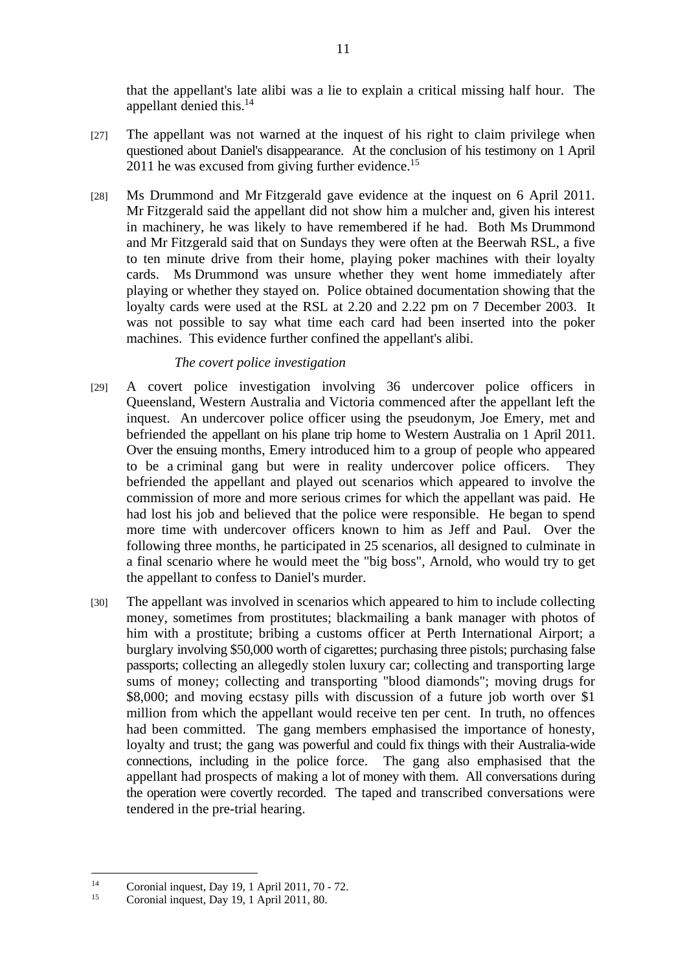that the appellant's late alibi was a lie to explain a critical missing half hour. The appellant denied this.14

- [27] The appellant was not warned at the inquest of his right to claim privilege when questioned about Daniel's disappearance. At the conclusion of his testimony on 1 April 2011 he was excused from giving further evidence.<sup>15</sup>
- [28] Ms Drummond and Mr Fitzgerald gave evidence at the inquest on 6 April 2011. Mr Fitzgerald said the appellant did not show him a mulcher and, given his interest in machinery, he was likely to have remembered if he had. Both Ms Drummond and Mr Fitzgerald said that on Sundays they were often at the Beerwah RSL, a five to ten minute drive from their home, playing poker machines with their loyalty cards. Ms Drummond was unsure whether they went home immediately after playing or whether they stayed on. Police obtained documentation showing that the loyalty cards were used at the RSL at 2.20 and 2.22 pm on 7 December 2003. It was not possible to say what time each card had been inserted into the poker machines. This evidence further confined the appellant's alibi.

#### *The covert police investigation*

- [29] A covert police investigation involving 36 undercover police officers in Queensland, Western Australia and Victoria commenced after the appellant left the inquest. An undercover police officer using the pseudonym, Joe Emery, met and befriended the appellant on his plane trip home to Western Australia on 1 April 2011. Over the ensuing months, Emery introduced him to a group of people who appeared to be a criminal gang but were in reality undercover police officers. They befriended the appellant and played out scenarios which appeared to involve the commission of more and more serious crimes for which the appellant was paid. He had lost his job and believed that the police were responsible. He began to spend more time with undercover officers known to him as Jeff and Paul. Over the following three months, he participated in 25 scenarios, all designed to culminate in a final scenario where he would meet the "big boss", Arnold, who would try to get the appellant to confess to Daniel's murder.
- [30] The appellant was involved in scenarios which appeared to him to include collecting money, sometimes from prostitutes; blackmailing a bank manager with photos of him with a prostitute; bribing a customs officer at Perth International Airport; a burglary involving \$50,000 worth of cigarettes; purchasing three pistols; purchasing false passports; collecting an allegedly stolen luxury car; collecting and transporting large sums of money; collecting and transporting "blood diamonds"; moving drugs for \$8,000; and moving ecstasy pills with discussion of a future job worth over \$1 million from which the appellant would receive ten per cent. In truth, no offences had been committed. The gang members emphasised the importance of honesty, loyalty and trust; the gang was powerful and could fix things with their Australia-wide connections, including in the police force. The gang also emphasised that the appellant had prospects of making a lot of money with them. All conversations during the operation were covertly recorded. The taped and transcribed conversations were tendered in the pre-trial hearing.

<sup>&</sup>lt;sup>14</sup> Coronial inquest, Day 19, 1 April 2011, 70 - 72.

Coronial inquest, Day 19, 1 April 2011, 80.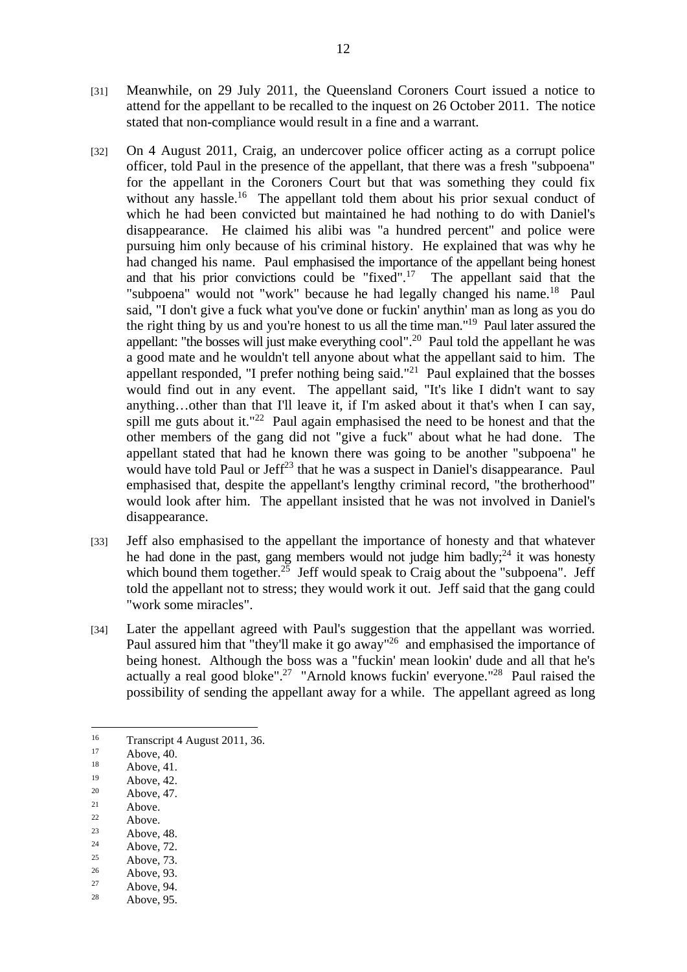- [31] Meanwhile, on 29 July 2011, the Queensland Coroners Court issued a notice to attend for the appellant to be recalled to the inquest on 26 October 2011. The notice stated that non-compliance would result in a fine and a warrant.
- [32] On 4 August 2011, Craig, an undercover police officer acting as a corrupt police officer, told Paul in the presence of the appellant, that there was a fresh "subpoena" for the appellant in the Coroners Court but that was something they could fix without any hassle.<sup>16</sup> The appellant told them about his prior sexual conduct of which he had been convicted but maintained he had nothing to do with Daniel's disappearance. He claimed his alibi was "a hundred percent" and police were pursuing him only because of his criminal history. He explained that was why he had changed his name. Paul emphasised the importance of the appellant being honest and that his prior convictions could be "fixed".<sup>17</sup> The appellant said that the "subpoena" would not "work" because he had legally changed his name.<sup>18</sup> Paul said, "I don't give a fuck what you've done or fuckin' anythin' man as long as you do the right thing by us and you're honest to us all the time man."19 Paul later assured the appellant: "the bosses will just make everything cool".20 Paul told the appellant he was a good mate and he wouldn't tell anyone about what the appellant said to him. The appellant responded, "I prefer nothing being said."21 Paul explained that the bosses would find out in any event. The appellant said, "It's like I didn't want to say anything…other than that I'll leave it, if I'm asked about it that's when I can say, spill me guts about it."<sup>22</sup> Paul again emphasised the need to be honest and that the other members of the gang did not "give a fuck" about what he had done. The appellant stated that had he known there was going to be another "subpoena" he would have told Paul or Jeff<sup>23</sup> that he was a suspect in Daniel's disappearance. Paul emphasised that, despite the appellant's lengthy criminal record, "the brotherhood" would look after him. The appellant insisted that he was not involved in Daniel's disappearance.
- [33] Jeff also emphasised to the appellant the importance of honesty and that whatever he had done in the past, gang members would not judge him badly; $^{24}$  it was honesty which bound them together.<sup>25</sup> Jeff would speak to Craig about the "subpoena". Jeff told the appellant not to stress; they would work it out. Jeff said that the gang could "work some miracles".
- [34] Later the appellant agreed with Paul's suggestion that the appellant was worried. Paul assured him that "they'll make it go away"<sup>26</sup> and emphasised the importance of being honest. Although the boss was a "fuckin' mean lookin' dude and all that he's actually a real good bloke".<sup>27</sup> "Arnold knows fuckin' everyone."<sup>28</sup> Paul raised the possibility of sending the appellant away for a while. The appellant agreed as long

- $21$  Above.
- $22$  Above.
- <sup>23</sup> Above, 48.

- $25$  Above, 73.
- $\frac{26}{27}$  Above, 93.
- $27$  Above, 94.
- Above, 95.

<sup>&</sup>lt;sup>16</sup> Transcript 4 August 2011, 36.<br> $\frac{17}{17}$  Above 40

 $17$  Above, 40.

 $18$  Above, 41.

 $19$  Above, 42.

 $20$  Above, 47.

 $24$  Above, 72.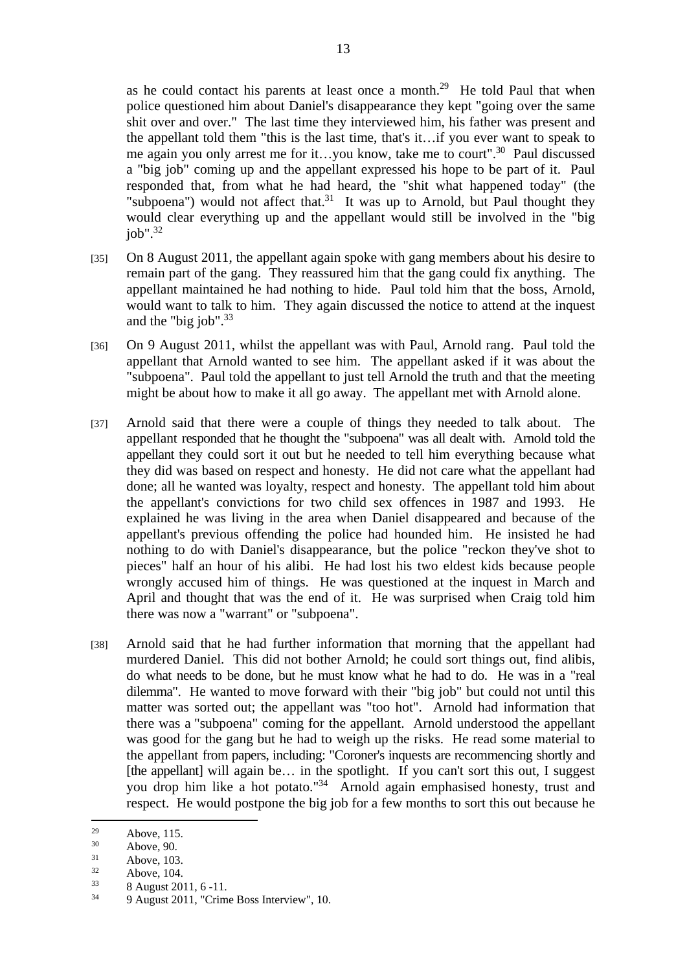as he could contact his parents at least once a month.<sup>29</sup> He told Paul that when police questioned him about Daniel's disappearance they kept "going over the same shit over and over." The last time they interviewed him, his father was present and the appellant told them "this is the last time, that's it…if you ever want to speak to me again you only arrest me for it…you know, take me to court".30 Paul discussed a "big job" coming up and the appellant expressed his hope to be part of it. Paul responded that, from what he had heard, the "shit what happened today" (the "subpoena") would not affect that.<sup>31</sup> It was up to Arnold, but Paul thought they would clear everything up and the appellant would still be involved in the "big job". $32$ 

- [35] On 8 August 2011, the appellant again spoke with gang members about his desire to remain part of the gang. They reassured him that the gang could fix anything. The appellant maintained he had nothing to hide. Paul told him that the boss, Arnold, would want to talk to him. They again discussed the notice to attend at the inquest and the "big job". $33$
- [36] On 9 August 2011, whilst the appellant was with Paul, Arnold rang. Paul told the appellant that Arnold wanted to see him. The appellant asked if it was about the "subpoena". Paul told the appellant to just tell Arnold the truth and that the meeting might be about how to make it all go away. The appellant met with Arnold alone.
- [37] Arnold said that there were a couple of things they needed to talk about. The appellant responded that he thought the "subpoena" was all dealt with. Arnold told the appellant they could sort it out but he needed to tell him everything because what they did was based on respect and honesty. He did not care what the appellant had done; all he wanted was loyalty, respect and honesty. The appellant told him about the appellant's convictions for two child sex offences in 1987 and 1993. He explained he was living in the area when Daniel disappeared and because of the appellant's previous offending the police had hounded him. He insisted he had nothing to do with Daniel's disappearance, but the police "reckon they've shot to pieces" half an hour of his alibi. He had lost his two eldest kids because people wrongly accused him of things. He was questioned at the inquest in March and April and thought that was the end of it. He was surprised when Craig told him there was now a "warrant" or "subpoena".
- [38] Arnold said that he had further information that morning that the appellant had murdered Daniel. This did not bother Arnold; he could sort things out, find alibis, do what needs to be done, but he must know what he had to do. He was in a "real dilemma". He wanted to move forward with their "big job" but could not until this matter was sorted out; the appellant was "too hot". Arnold had information that there was a "subpoena" coming for the appellant. Arnold understood the appellant was good for the gang but he had to weigh up the risks. He read some material to the appellant from papers, including: "Coroner's inquests are recommencing shortly and [the appellant] will again be... in the spotlight. If you can't sort this out, I suggest you drop him like a hot potato."34 Arnold again emphasised honesty, trust and respect. He would postpone the big job for a few months to sort this out because he

<sup>&</sup>lt;sup>29</sup> Above, 115.

 $30$  Above, 90.

 $31$  Above, 103.

 $32 \t\t Above, 104.$ <br> $33 \t\t 8 \t\t Aupust, 20$ 

 $\frac{33}{34}$  8 August 2011, 6 -11.

<sup>34 9</sup> August 2011, "Crime Boss Interview", 10.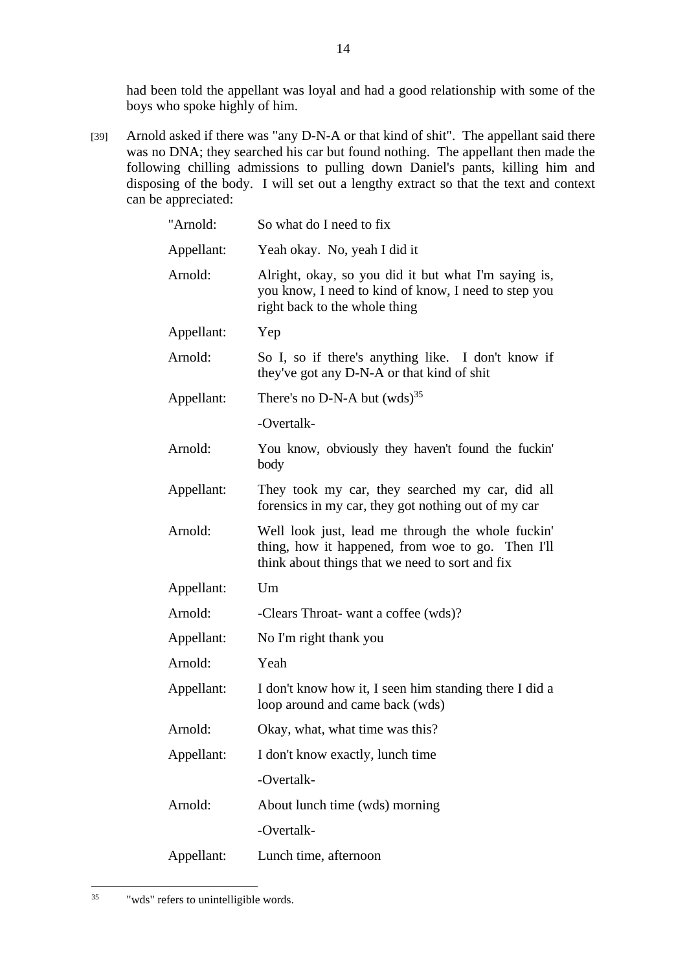had been told the appellant was loyal and had a good relationship with some of the boys who spoke highly of him.

[39] Arnold asked if there was "any D-N-A or that kind of shit". The appellant said there was no DNA; they searched his car but found nothing. The appellant then made the following chilling admissions to pulling down Daniel's pants, killing him and disposing of the body. I will set out a lengthy extract so that the text and context can be appreciated:

| "Arnold:   | So what do I need to fix                                                                                                                                  |
|------------|-----------------------------------------------------------------------------------------------------------------------------------------------------------|
| Appellant: | Yeah okay. No, yeah I did it                                                                                                                              |
| Arnold:    | Alright, okay, so you did it but what I'm saying is,<br>you know, I need to kind of know, I need to step you<br>right back to the whole thing             |
| Appellant: | Yep                                                                                                                                                       |
| Arnold:    | So I, so if there's anything like. I don't know if<br>they've got any D-N-A or that kind of shit                                                          |
| Appellant: | There's no D-N-A but $(wds)^{35}$                                                                                                                         |
|            | -Overtalk-                                                                                                                                                |
| Arnold:    | You know, obviously they haven't found the fuckin'<br>body                                                                                                |
| Appellant: | They took my car, they searched my car, did all<br>forensics in my car, they got nothing out of my car                                                    |
| Arnold:    | Well look just, lead me through the whole fuckin'<br>thing, how it happened, from woe to go. Then I'll<br>think about things that we need to sort and fix |
| Appellant: | Um                                                                                                                                                        |
| Arnold:    | -Clears Throat- want a coffee (wds)?                                                                                                                      |
| Appellant: | No I'm right thank you                                                                                                                                    |
| Arnold:    | Yeah                                                                                                                                                      |
| Appellant: | I don't know how it, I seen him standing there I did a<br>loop around and came back (wds)                                                                 |
| Arnold:    | Okay, what, what time was this?                                                                                                                           |
| Appellant: | I don't know exactly, lunch time                                                                                                                          |
|            | -Overtalk-                                                                                                                                                |
| Arnold:    | About lunch time (wds) morning                                                                                                                            |
|            | -Overtalk-                                                                                                                                                |
| Appellant: | Lunch time, afternoon                                                                                                                                     |

 $\overline{a}$ 35 "wds" refers to unintelligible words.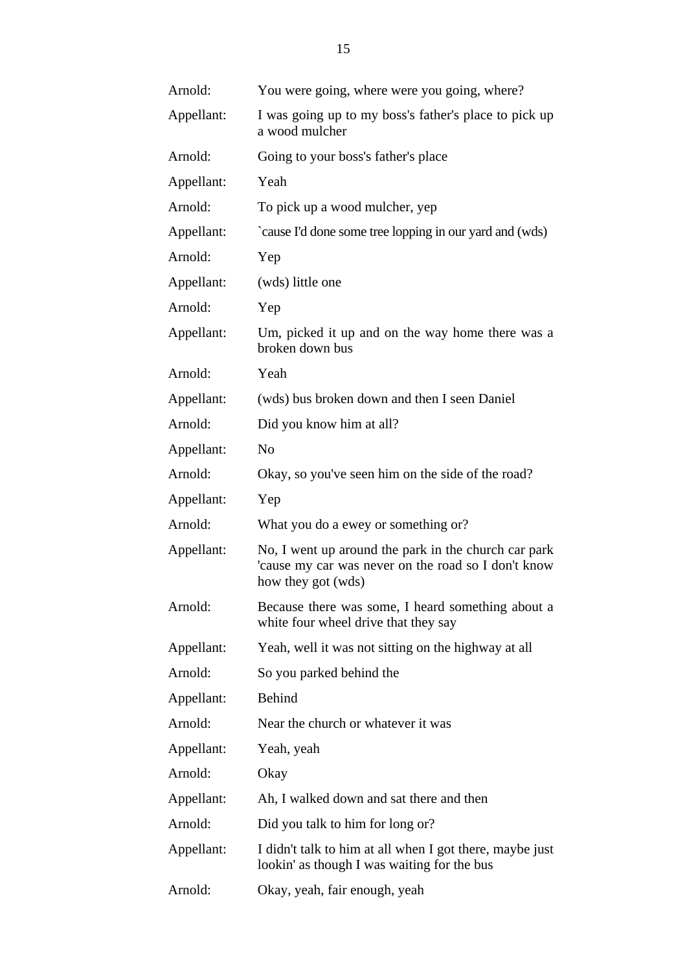| Arnold:    | You were going, where were you going, where?                                                                                      |
|------------|-----------------------------------------------------------------------------------------------------------------------------------|
| Appellant: | I was going up to my boss's father's place to pick up<br>a wood mulcher                                                           |
| Arnold:    | Going to your boss's father's place                                                                                               |
| Appellant: | Yeah                                                                                                                              |
| Arnold:    | To pick up a wood mulcher, yep                                                                                                    |
| Appellant: | `cause I'd done some tree lopping in our yard and (wds)                                                                           |
| Arnold:    | Yep                                                                                                                               |
| Appellant: | (wds) little one                                                                                                                  |
| Arnold:    | Yep                                                                                                                               |
| Appellant: | Um, picked it up and on the way home there was a<br>broken down bus                                                               |
| Arnold:    | Yeah                                                                                                                              |
| Appellant: | (wds) bus broken down and then I seen Daniel                                                                                      |
| Arnold:    | Did you know him at all?                                                                                                          |
| Appellant: | N <sub>o</sub>                                                                                                                    |
| Arnold:    | Okay, so you've seen him on the side of the road?                                                                                 |
| Appellant: | Yep                                                                                                                               |
| Arnold:    | What you do a ewey or something or?                                                                                               |
| Appellant: | No, I went up around the park in the church car park<br>'cause my car was never on the road so I don't know<br>how they got (wds) |
| Arnold:    | Because there was some, I heard something about a<br>white four wheel drive that they say                                         |
| Appellant: | Yeah, well it was not sitting on the highway at all                                                                               |
| Arnold:    | So you parked behind the                                                                                                          |
| Appellant: | <b>Behind</b>                                                                                                                     |
| Arnold:    | Near the church or whatever it was                                                                                                |
| Appellant: | Yeah, yeah                                                                                                                        |
| Arnold:    | Okay                                                                                                                              |
| Appellant: | Ah, I walked down and sat there and then                                                                                          |
| Arnold:    | Did you talk to him for long or?                                                                                                  |
| Appellant: | I didn't talk to him at all when I got there, maybe just<br>lookin' as though I was waiting for the bus                           |
| Arnold:    | Okay, yeah, fair enough, yeah                                                                                                     |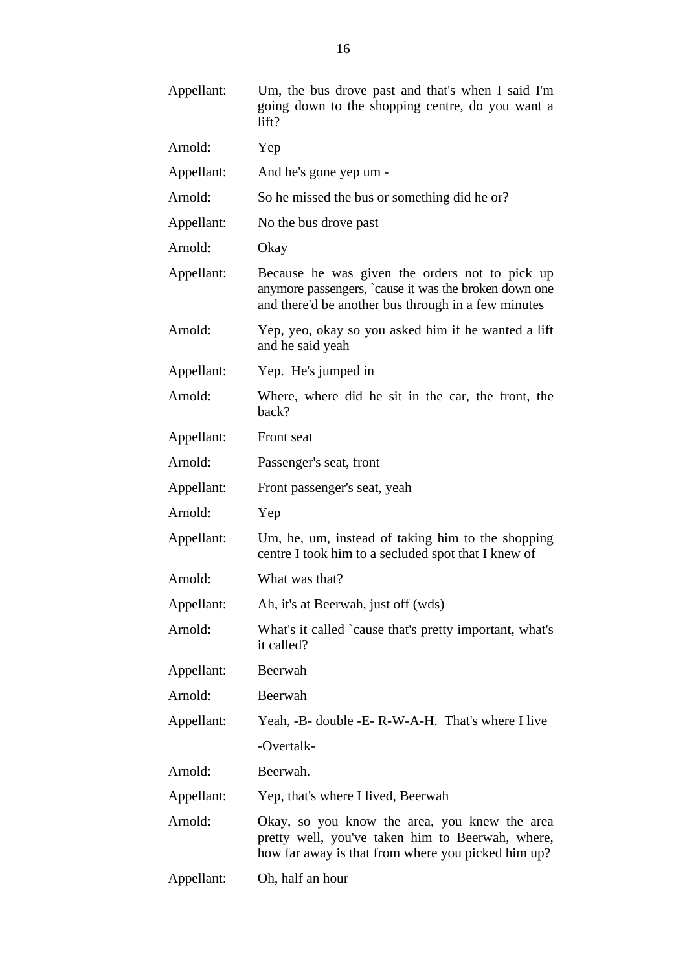| Appellant: | Um, the bus drove past and that's when I said I'm<br>going down to the shopping centre, do you want a<br>lift?                                                 |
|------------|----------------------------------------------------------------------------------------------------------------------------------------------------------------|
| Arnold:    | Yep                                                                                                                                                            |
| Appellant: | And he's gone yep um -                                                                                                                                         |
| Arnold:    | So he missed the bus or something did he or?                                                                                                                   |
| Appellant: | No the bus drove past                                                                                                                                          |
| Arnold:    | Okay                                                                                                                                                           |
| Appellant: | Because he was given the orders not to pick up<br>anymore passengers, `cause it was the broken down one<br>and there'd be another bus through in a few minutes |
| Arnold:    | Yep, yeo, okay so you asked him if he wanted a lift<br>and he said yeah                                                                                        |
| Appellant: | Yep. He's jumped in                                                                                                                                            |
| Arnold:    | Where, where did he sit in the car, the front, the<br>back?                                                                                                    |
| Appellant: | Front seat                                                                                                                                                     |
| Arnold:    | Passenger's seat, front                                                                                                                                        |
| Appellant: | Front passenger's seat, yeah                                                                                                                                   |
| Arnold:    | Yep                                                                                                                                                            |
| Appellant: | Um, he, um, instead of taking him to the shopping<br>centre I took him to a secluded spot that I knew of                                                       |
| Arnold:    | What was that?                                                                                                                                                 |
| Appellant: | Ah, it's at Beerwah, just off (wds)                                                                                                                            |
| Arnold:    | What's it called `cause that's pretty important, what's<br>it called?                                                                                          |
| Appellant: | Beerwah                                                                                                                                                        |
| Arnold:    | Beerwah                                                                                                                                                        |
| Appellant: | Yeah, -B- double -E- R-W-A-H. That's where I live                                                                                                              |
|            | -Overtalk-                                                                                                                                                     |
| Arnold:    | Beerwah.                                                                                                                                                       |
| Appellant: | Yep, that's where I lived, Beerwah                                                                                                                             |
| Arnold:    | Okay, so you know the area, you knew the area<br>pretty well, you've taken him to Beerwah, where,<br>how far away is that from where you picked him up?        |
| Appellant: | Oh, half an hour                                                                                                                                               |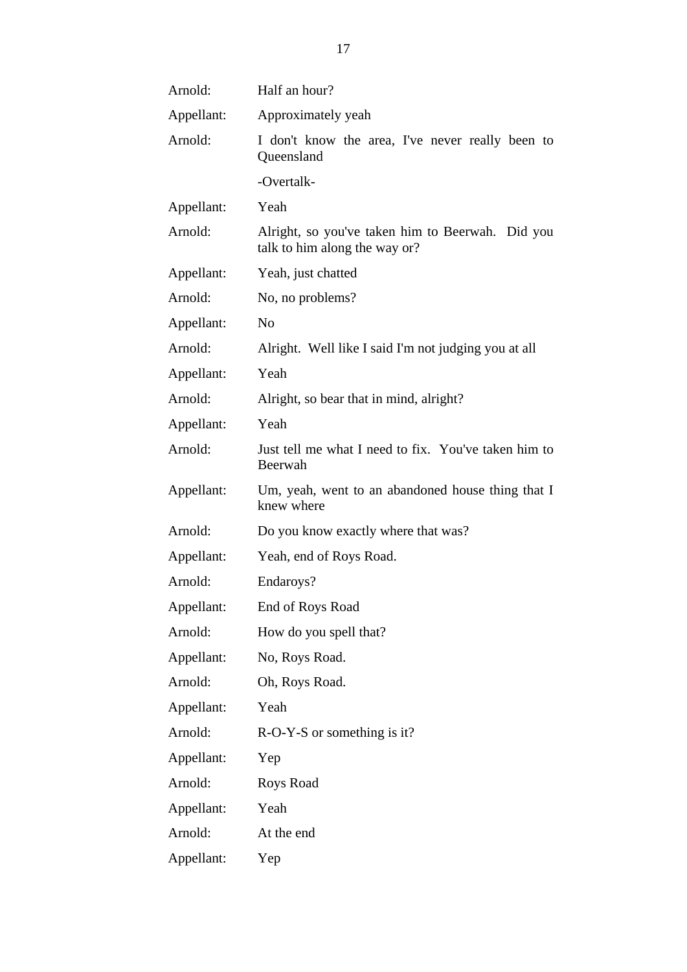| Arnold:    | Half an hour?                                                                     |
|------------|-----------------------------------------------------------------------------------|
| Appellant: | Approximately yeah                                                                |
| Arnold:    | I don't know the area, I've never really been to<br>Queensland                    |
|            | -Overtalk-                                                                        |
| Appellant: | Yeah                                                                              |
| Arnold:    | Alright, so you've taken him to Beerwah. Did you<br>talk to him along the way or? |
| Appellant: | Yeah, just chatted                                                                |
| Arnold:    | No, no problems?                                                                  |
| Appellant: | N <sub>o</sub>                                                                    |
| Arnold:    | Alright. Well like I said I'm not judging you at all                              |
| Appellant: | Yeah                                                                              |
| Arnold:    | Alright, so bear that in mind, alright?                                           |
| Appellant: | Yeah                                                                              |
| Arnold:    | Just tell me what I need to fix. You've taken him to<br>Beerwah                   |
| Appellant: | Um, yeah, went to an abandoned house thing that I<br>knew where                   |
| Arnold:    | Do you know exactly where that was?                                               |
| Appellant: | Yeah, end of Roys Road.                                                           |
| Arnold:    | Endaroys?                                                                         |
| Appellant: | End of Roys Road                                                                  |
| Arnold:    | How do you spell that?                                                            |
| Appellant: | No, Roys Road.                                                                    |
| Arnold:    | Oh, Roys Road.                                                                    |
| Appellant: | Yeah                                                                              |
| Arnold:    | $R-O-Y-S$ or something is it?                                                     |
| Appellant: | Yep                                                                               |
| Arnold:    | Roys Road                                                                         |
| Appellant: | Yeah                                                                              |
| Arnold:    | At the end                                                                        |
| Appellant: | Yep                                                                               |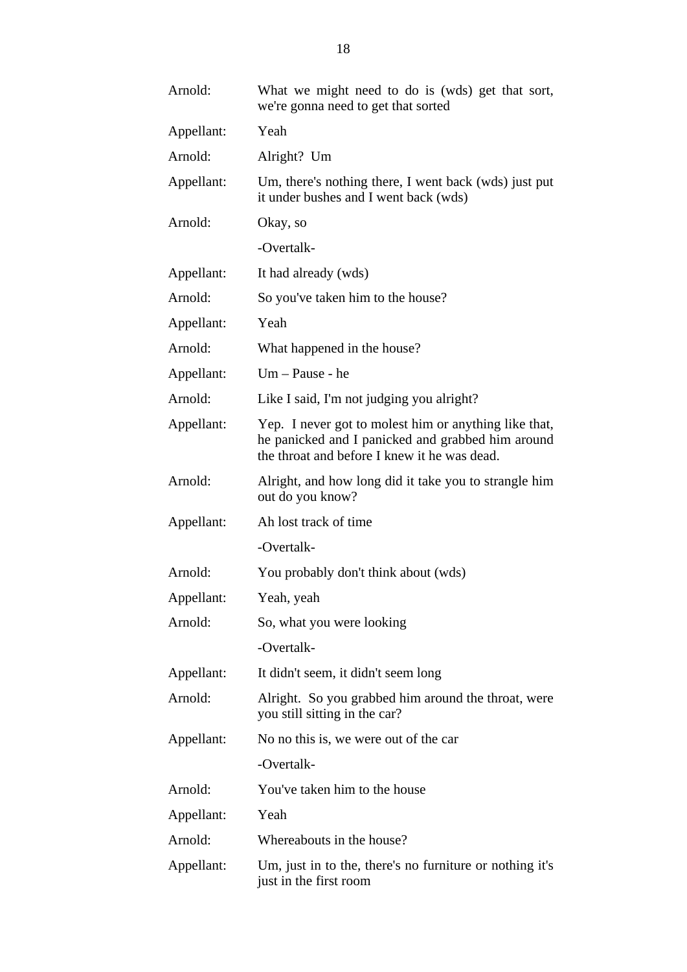| Arnold:    | What we might need to do is (wds) get that sort,<br>we're gonna need to get that sorted                                                                    |
|------------|------------------------------------------------------------------------------------------------------------------------------------------------------------|
| Appellant: | Yeah                                                                                                                                                       |
| Arnold:    | Alright? Um                                                                                                                                                |
| Appellant: | Um, there's nothing there, I went back (wds) just put<br>it under bushes and I went back (wds)                                                             |
| Arnold:    | Okay, so                                                                                                                                                   |
|            | -Overtalk-                                                                                                                                                 |
| Appellant: | It had already (wds)                                                                                                                                       |
| Arnold:    | So you've taken him to the house?                                                                                                                          |
| Appellant: | Yeah                                                                                                                                                       |
| Arnold:    | What happened in the house?                                                                                                                                |
| Appellant: | Um - Pause - he                                                                                                                                            |
| Arnold:    | Like I said, I'm not judging you alright?                                                                                                                  |
| Appellant: | Yep. I never got to molest him or anything like that,<br>he panicked and I panicked and grabbed him around<br>the throat and before I knew it he was dead. |
| Arnold:    | Alright, and how long did it take you to strangle him<br>out do you know?                                                                                  |
| Appellant: | Ah lost track of time                                                                                                                                      |
|            | -Overtalk-                                                                                                                                                 |
| Arnold:    | You probably don't think about (wds)                                                                                                                       |
| Appellant: | Yeah, yeah                                                                                                                                                 |
| Arnold:    | So, what you were looking                                                                                                                                  |
|            | -Overtalk-                                                                                                                                                 |
| Appellant: | It didn't seem, it didn't seem long                                                                                                                        |
| Arnold:    | Alright. So you grabbed him around the throat, were<br>you still sitting in the car?                                                                       |
| Appellant: | No no this is, we were out of the car                                                                                                                      |
|            | -Overtalk-                                                                                                                                                 |
| Arnold:    | You've taken him to the house                                                                                                                              |
| Appellant: | Yeah                                                                                                                                                       |
| Arnold:    | Whereabouts in the house?                                                                                                                                  |
| Appellant: | Um, just in to the, there's no furniture or nothing it's<br>just in the first room                                                                         |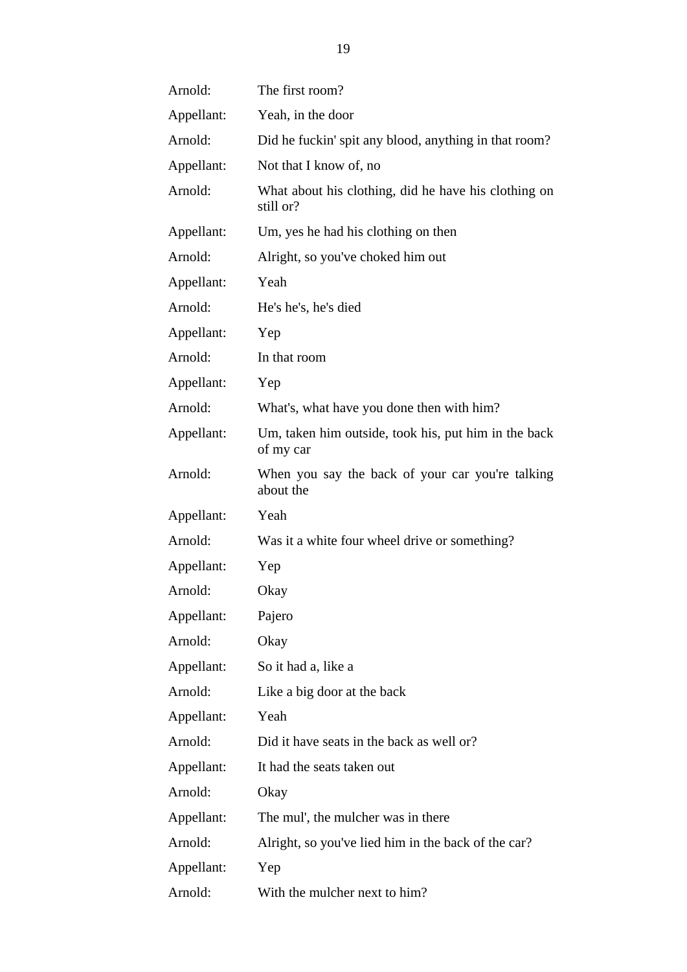| Arnold:    | The first room?                                                   |
|------------|-------------------------------------------------------------------|
| Appellant: | Yeah, in the door                                                 |
| Arnold:    | Did he fuckin' spit any blood, anything in that room?             |
| Appellant: | Not that I know of, no                                            |
| Arnold:    | What about his clothing, did he have his clothing on<br>still or? |
| Appellant: | Um, yes he had his clothing on then                               |
| Arnold:    | Alright, so you've choked him out                                 |
| Appellant: | Yeah                                                              |
| Arnold:    | He's he's, he's died                                              |
| Appellant: | Yep                                                               |
| Arnold:    | In that room                                                      |
| Appellant: | Yep                                                               |
| Arnold:    | What's, what have you done then with him?                         |
| Appellant: | Um, taken him outside, took his, put him in the back<br>of my car |
| Arnold:    | When you say the back of your car you're talking<br>about the     |
| Appellant: | Yeah                                                              |
| Arnold:    | Was it a white four wheel drive or something?                     |
| Appellant: | Yep                                                               |
| Arnold:    | Okay                                                              |
| Appellant: | Pajero                                                            |
| Arnold:    | Okay                                                              |
| Appellant: | So it had a, like a                                               |
| Arnold:    | Like a big door at the back                                       |
| Appellant: | Yeah                                                              |
| Arnold:    | Did it have seats in the back as well or?                         |
| Appellant: | It had the seats taken out                                        |
| Arnold:    | Okay                                                              |
| Appellant: | The mul', the mulcher was in there                                |
| Arnold:    | Alright, so you've lied him in the back of the car?               |
| Appellant: | Yep                                                               |
| Arnold:    | With the mulcher next to him?                                     |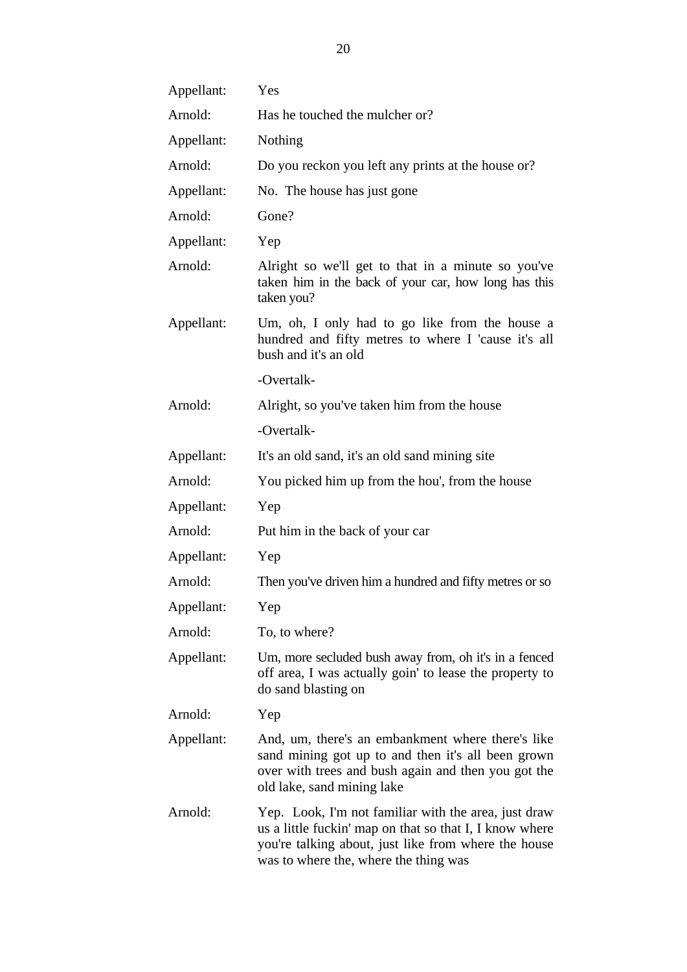| Appellant: | Yes                                                                                                                                                                                                              |
|------------|------------------------------------------------------------------------------------------------------------------------------------------------------------------------------------------------------------------|
| Arnold:    | Has he touched the mulcher or?                                                                                                                                                                                   |
| Appellant: | Nothing                                                                                                                                                                                                          |
| Arnold:    | Do you reckon you left any prints at the house or?                                                                                                                                                               |
| Appellant: | No. The house has just gone                                                                                                                                                                                      |
| Arnold:    | Gone?                                                                                                                                                                                                            |
| Appellant: | Yep                                                                                                                                                                                                              |
| Arnold:    | Alright so we'll get to that in a minute so you've<br>taken him in the back of your car, how long has this<br>taken you?                                                                                         |
| Appellant: | Um, oh, I only had to go like from the house a<br>hundred and fifty metres to where I 'cause it's all<br>bush and it's an old                                                                                    |
|            | -Overtalk-                                                                                                                                                                                                       |
| Arnold:    | Alright, so you've taken him from the house                                                                                                                                                                      |
|            | -Overtalk-                                                                                                                                                                                                       |
| Appellant: | It's an old sand, it's an old sand mining site                                                                                                                                                                   |
| Arnold:    | You picked him up from the hou', from the house                                                                                                                                                                  |
| Appellant: | Yep                                                                                                                                                                                                              |
| Arnold:    | Put him in the back of your car                                                                                                                                                                                  |
| Appellant: | Yep                                                                                                                                                                                                              |
| Arnold:    | Then you've driven him a hundred and fifty metres or so                                                                                                                                                          |
| Appellant: | Yep                                                                                                                                                                                                              |
| Arnold:    | To, to where?                                                                                                                                                                                                    |
| Appellant: | Um, more secluded bush away from, oh it's in a fenced<br>off area, I was actually goin' to lease the property to<br>do sand blasting on                                                                          |
| Arnold:    | Yep                                                                                                                                                                                                              |
| Appellant: | And, um, there's an embankment where there's like<br>sand mining got up to and then it's all been grown<br>over with trees and bush again and then you got the<br>old lake, sand mining lake                     |
| Arnold:    | Yep. Look, I'm not familiar with the area, just draw<br>us a little fuckin' map on that so that I, I know where<br>you're talking about, just like from where the house<br>was to where the, where the thing was |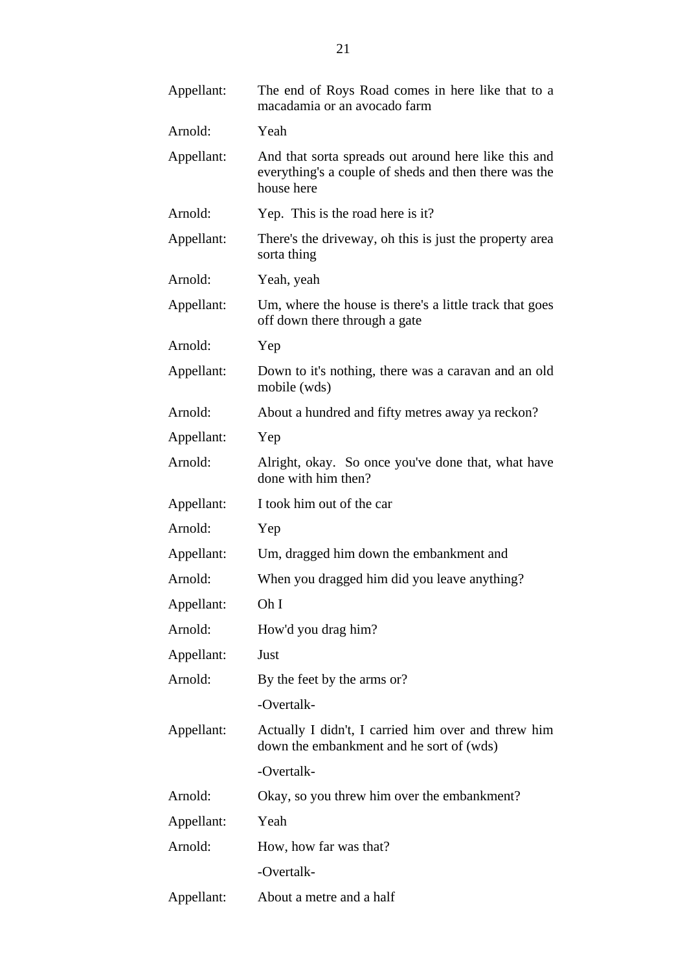| Appellant: | The end of Roys Road comes in here like that to a<br>macadamia or an avocado farm                                           |
|------------|-----------------------------------------------------------------------------------------------------------------------------|
| Arnold:    | Yeah                                                                                                                        |
| Appellant: | And that sorta spreads out around here like this and<br>everything's a couple of sheds and then there was the<br>house here |
| Arnold:    | Yep. This is the road here is it?                                                                                           |
| Appellant: | There's the driveway, oh this is just the property area<br>sorta thing                                                      |
| Arnold:    | Yeah, yeah                                                                                                                  |
| Appellant: | Um, where the house is there's a little track that goes<br>off down there through a gate                                    |
| Arnold:    | Yep                                                                                                                         |
| Appellant: | Down to it's nothing, there was a caravan and an old<br>mobile (wds)                                                        |
| Arnold:    | About a hundred and fifty metres away ya reckon?                                                                            |
| Appellant: | Yep                                                                                                                         |
| Arnold:    | Alright, okay. So once you've done that, what have<br>done with him then?                                                   |
| Appellant: | I took him out of the car                                                                                                   |
| Arnold:    | Yep                                                                                                                         |
| Appellant: | Um, dragged him down the embankment and                                                                                     |
| Arnold:    | When you dragged him did you leave anything?                                                                                |
| Appellant: | Oh I                                                                                                                        |
| Arnold:    | How'd you drag him?                                                                                                         |
| Appellant: | Just                                                                                                                        |
| Arnold:    | By the feet by the arms or?                                                                                                 |
|            | -Overtalk-                                                                                                                  |
| Appellant: | Actually I didn't, I carried him over and threw him<br>down the embankment and he sort of (wds)                             |
|            | -Overtalk-                                                                                                                  |
| Arnold:    | Okay, so you threw him over the embankment?                                                                                 |
| Appellant: | Yeah                                                                                                                        |
| Arnold:    | How, how far was that?                                                                                                      |
|            | -Overtalk-                                                                                                                  |
| Appellant: | About a metre and a half                                                                                                    |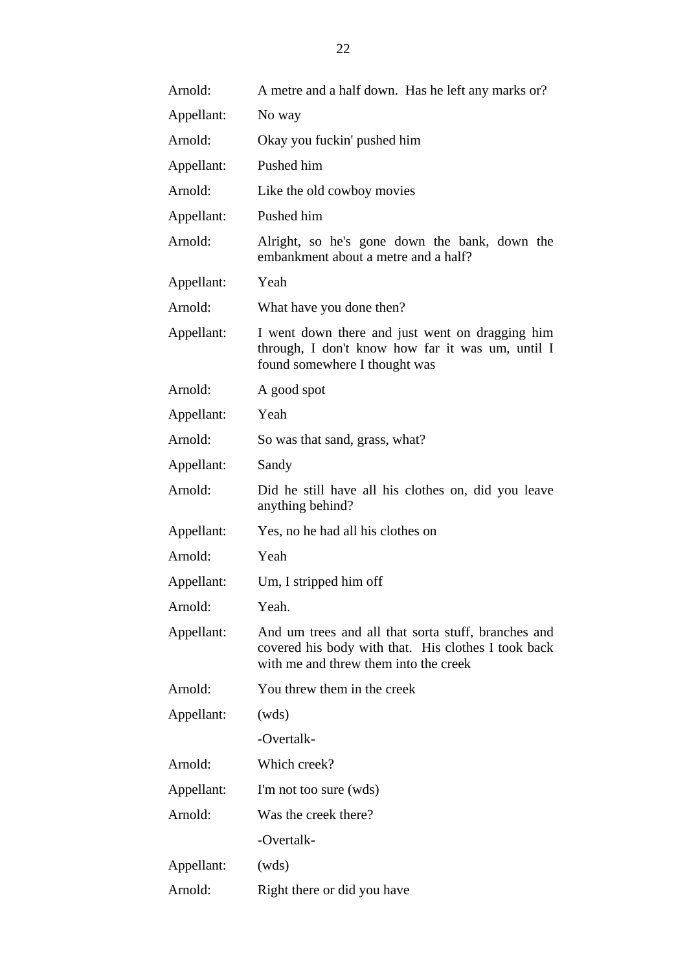| Arnold:    | A metre and a half down. Has he left any marks or?                                                                                                  |
|------------|-----------------------------------------------------------------------------------------------------------------------------------------------------|
| Appellant: | No way                                                                                                                                              |
| Arnold:    | Okay you fuckin' pushed him                                                                                                                         |
| Appellant: | Pushed him                                                                                                                                          |
| Arnold:    | Like the old cowboy movies                                                                                                                          |
| Appellant: | Pushed him                                                                                                                                          |
| Arnold:    | Alright, so he's gone down the bank, down the<br>embankment about a metre and a half?                                                               |
| Appellant: | Yeah                                                                                                                                                |
| Arnold:    | What have you done then?                                                                                                                            |
| Appellant: | I went down there and just went on dragging him<br>through, I don't know how far it was um, until I<br>found somewhere I thought was                |
| Arnold:    | A good spot                                                                                                                                         |
| Appellant: | Yeah                                                                                                                                                |
| Arnold:    | So was that sand, grass, what?                                                                                                                      |
| Appellant: | Sandy                                                                                                                                               |
| Arnold:    | Did he still have all his clothes on, did you leave<br>anything behind?                                                                             |
| Appellant: | Yes, no he had all his clothes on                                                                                                                   |
| Arnold:    | Yeah                                                                                                                                                |
| Appellant: | Um, I stripped him off                                                                                                                              |
| Arnold:    | Yeah.                                                                                                                                               |
| Appellant: | And um trees and all that sorta stuff, branches and<br>covered his body with that. His clothes I took back<br>with me and threw them into the creek |
| Arnold:    | You threw them in the creek                                                                                                                         |
| Appellant: | (wds)                                                                                                                                               |
|            | -Overtalk-                                                                                                                                          |
| Arnold:    | Which creek?                                                                                                                                        |
| Appellant: | I'm not too sure (wds)                                                                                                                              |
| Arnold:    | Was the creek there?                                                                                                                                |
|            | -Overtalk-                                                                                                                                          |
| Appellant: | (wds)                                                                                                                                               |
| Arnold:    | Right there or did you have                                                                                                                         |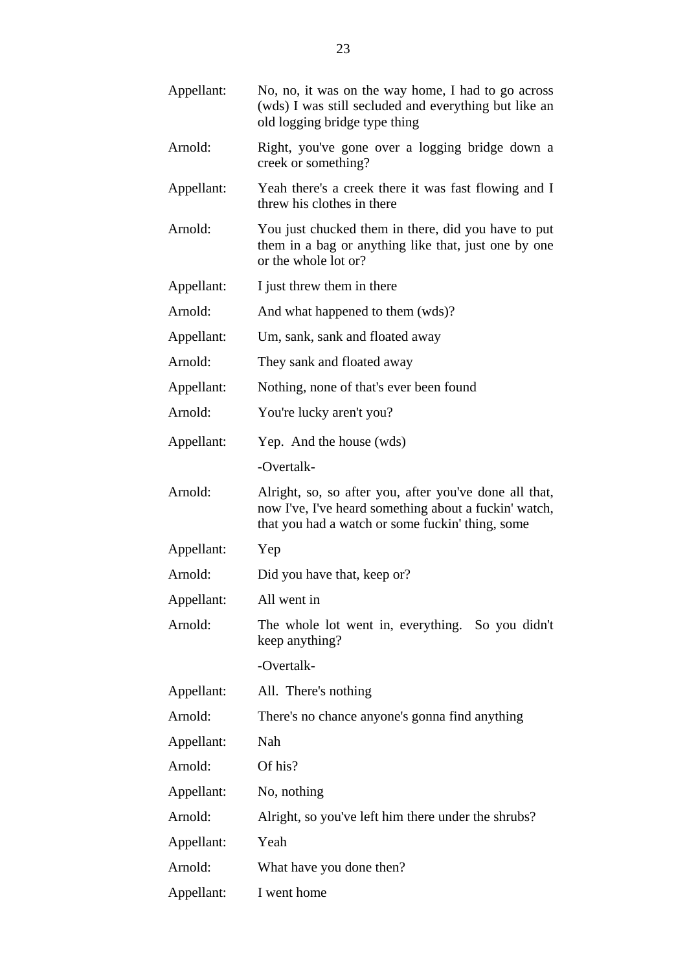| Appellant: | No, no, it was on the way home, I had to go across<br>(wds) I was still secluded and everything but like an<br>old logging bridge type thing                        |
|------------|---------------------------------------------------------------------------------------------------------------------------------------------------------------------|
| Arnold:    | Right, you've gone over a logging bridge down a<br>creek or something?                                                                                              |
| Appellant: | Yeah there's a creek there it was fast flowing and I<br>threw his clothes in there                                                                                  |
| Arnold:    | You just chucked them in there, did you have to put<br>them in a bag or anything like that, just one by one<br>or the whole lot or?                                 |
| Appellant: | I just threw them in there                                                                                                                                          |
| Arnold:    | And what happened to them (wds)?                                                                                                                                    |
| Appellant: | Um, sank, sank and floated away                                                                                                                                     |
| Arnold:    | They sank and floated away                                                                                                                                          |
| Appellant: | Nothing, none of that's ever been found                                                                                                                             |
| Arnold:    | You're lucky aren't you?                                                                                                                                            |
| Appellant: | Yep. And the house (wds)                                                                                                                                            |
|            | -Overtalk-                                                                                                                                                          |
| Arnold:    | Alright, so, so after you, after you've done all that,<br>now I've, I've heard something about a fuckin' watch,<br>that you had a watch or some fuckin' thing, some |
| Appellant: | Yep                                                                                                                                                                 |
| Arnold:    | Did you have that, keep or?                                                                                                                                         |
| Appellant: | All went in                                                                                                                                                         |
| Arnold:    | The whole lot went in, everything. So you didn't<br>keep anything?                                                                                                  |
|            | -Overtalk-                                                                                                                                                          |
| Appellant: | All. There's nothing                                                                                                                                                |
| Arnold:    | There's no chance anyone's gonna find anything                                                                                                                      |
| Appellant: | Nah                                                                                                                                                                 |
| Arnold:    | Of his?                                                                                                                                                             |
| Appellant: | No, nothing                                                                                                                                                         |
| Arnold:    | Alright, so you've left him there under the shrubs?                                                                                                                 |
| Appellant: | Yeah                                                                                                                                                                |
| Arnold:    | What have you done then?                                                                                                                                            |
| Appellant: | I went home                                                                                                                                                         |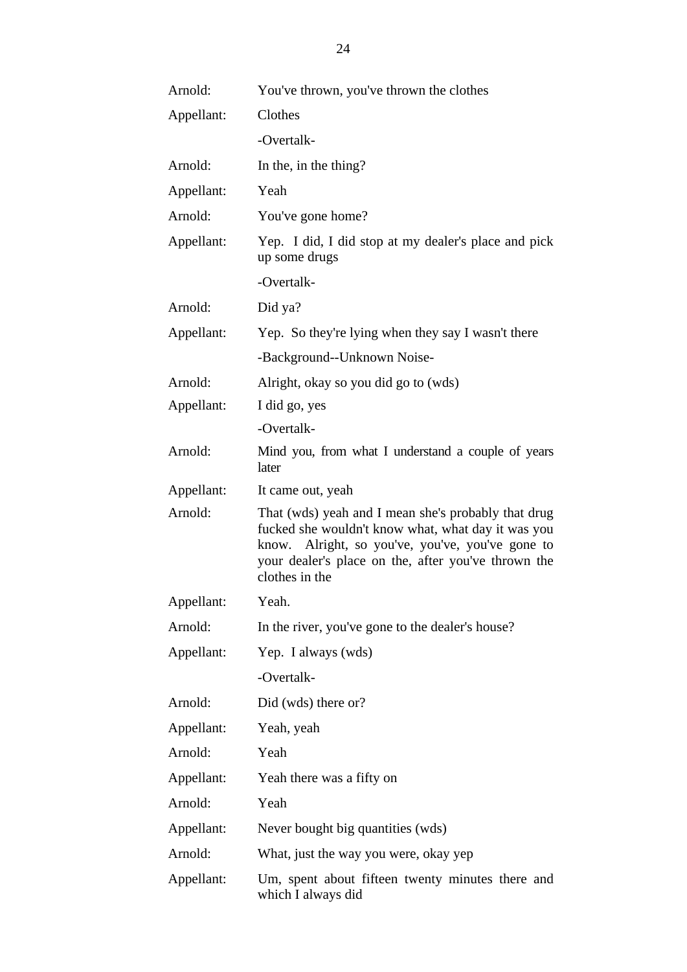| Arnold:    | You've thrown, you've thrown the clothes                                                                                                                                                                                               |  |
|------------|----------------------------------------------------------------------------------------------------------------------------------------------------------------------------------------------------------------------------------------|--|
| Appellant: | Clothes                                                                                                                                                                                                                                |  |
|            | -Overtalk-                                                                                                                                                                                                                             |  |
| Arnold:    | In the, in the thing?                                                                                                                                                                                                                  |  |
| Appellant: | Yeah                                                                                                                                                                                                                                   |  |
| Arnold:    | You've gone home?                                                                                                                                                                                                                      |  |
| Appellant: | Yep. I did, I did stop at my dealer's place and pick<br>up some drugs                                                                                                                                                                  |  |
|            | -Overtalk-                                                                                                                                                                                                                             |  |
| Arnold:    | Did ya?                                                                                                                                                                                                                                |  |
| Appellant: | Yep. So they're lying when they say I wasn't there                                                                                                                                                                                     |  |
|            | -Background--Unknown Noise-                                                                                                                                                                                                            |  |
| Arnold:    | Alright, okay so you did go to (wds)                                                                                                                                                                                                   |  |
| Appellant: | I did go, yes                                                                                                                                                                                                                          |  |
|            | -Overtalk-                                                                                                                                                                                                                             |  |
| Arnold:    | Mind you, from what I understand a couple of years<br>later                                                                                                                                                                            |  |
| Appellant: | It came out, yeah                                                                                                                                                                                                                      |  |
| Arnold:    | That (wds) yeah and I mean she's probably that drug<br>fucked she wouldn't know what, what day it was you<br>know. Alright, so you've, you've, you've gone to<br>your dealer's place on the, after you've thrown the<br>clothes in the |  |
| Appellant: | Yeah.                                                                                                                                                                                                                                  |  |
| Arnold:    | In the river, you've gone to the dealer's house?                                                                                                                                                                                       |  |
| Appellant: | Yep. I always (wds)                                                                                                                                                                                                                    |  |
|            | -Overtalk-                                                                                                                                                                                                                             |  |
| Arnold:    | Did (wds) there or?                                                                                                                                                                                                                    |  |
| Appellant: | Yeah, yeah                                                                                                                                                                                                                             |  |
| Arnold:    | Yeah                                                                                                                                                                                                                                   |  |
| Appellant: | Yeah there was a fifty on                                                                                                                                                                                                              |  |
| Arnold:    | Yeah                                                                                                                                                                                                                                   |  |
| Appellant: | Never bought big quantities (wds)                                                                                                                                                                                                      |  |
| Arnold:    | What, just the way you were, okay yep                                                                                                                                                                                                  |  |
| Appellant: | Um, spent about fifteen twenty minutes there and<br>which I always did                                                                                                                                                                 |  |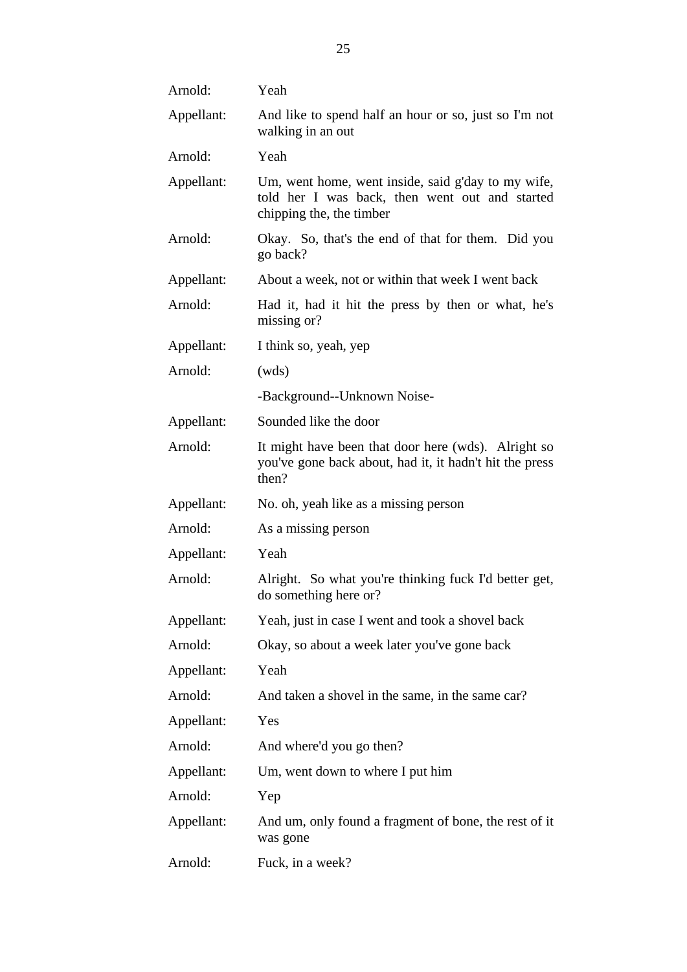| Arnold:    | Yeah                                                                                                                             |  |
|------------|----------------------------------------------------------------------------------------------------------------------------------|--|
| Appellant: | And like to spend half an hour or so, just so I'm not<br>walking in an out                                                       |  |
| Arnold:    | Yeah                                                                                                                             |  |
| Appellant: | Um, went home, went inside, said g'day to my wife,<br>told her I was back, then went out and started<br>chipping the, the timber |  |
| Arnold:    | Okay. So, that's the end of that for them. Did you<br>go back?                                                                   |  |
| Appellant: | About a week, not or within that week I went back                                                                                |  |
| Arnold:    | Had it, had it hit the press by then or what, he's<br>missing or?                                                                |  |
| Appellant: | I think so, yeah, yep                                                                                                            |  |
| Arnold:    | (wds)                                                                                                                            |  |
|            | -Background--Unknown Noise-                                                                                                      |  |
| Appellant: | Sounded like the door                                                                                                            |  |
| Arnold:    | It might have been that door here (wds). Alright so<br>you've gone back about, had it, it hadn't hit the press<br>then?          |  |
| Appellant: | No. oh, yeah like as a missing person                                                                                            |  |
| Arnold:    | As a missing person                                                                                                              |  |
| Appellant: | Yeah                                                                                                                             |  |
| Arnold:    | Alright. So what you're thinking fuck I'd better get,<br>do something here or?                                                   |  |
| Appellant: | Yeah, just in case I went and took a shovel back                                                                                 |  |
| Arnold:    | Okay, so about a week later you've gone back                                                                                     |  |
| Appellant: | Yeah                                                                                                                             |  |
| Arnold:    | And taken a shovel in the same, in the same car?                                                                                 |  |
| Appellant: | Yes                                                                                                                              |  |
| Arnold:    | And where'd you go then?                                                                                                         |  |
| Appellant: | Um, went down to where I put him                                                                                                 |  |
| Arnold:    | Yep                                                                                                                              |  |
| Appellant: | And um, only found a fragment of bone, the rest of it<br>was gone                                                                |  |
| Arnold:    | Fuck, in a week?                                                                                                                 |  |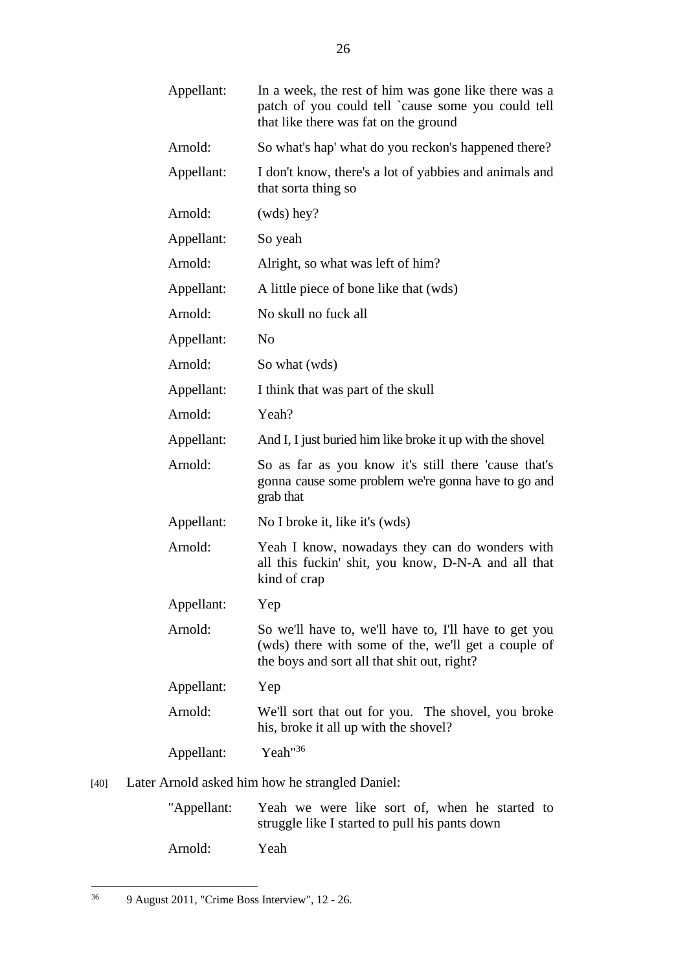|        | Appellant:                                      | In a week, the rest of him was gone like there was a<br>patch of you could tell `cause some you could tell<br>that like there was fat on the ground         |  |
|--------|-------------------------------------------------|-------------------------------------------------------------------------------------------------------------------------------------------------------------|--|
|        | Arnold:                                         | So what's hap' what do you reckon's happened there?                                                                                                         |  |
|        | Appellant:                                      | I don't know, there's a lot of yabbies and animals and<br>that sorta thing so                                                                               |  |
|        | Arnold:                                         | $(wds)$ hey?                                                                                                                                                |  |
|        | Appellant:                                      | So yeah                                                                                                                                                     |  |
|        | Arnold:                                         | Alright, so what was left of him?                                                                                                                           |  |
|        | Appellant:                                      | A little piece of bone like that (wds)                                                                                                                      |  |
|        | Arnold:                                         | No skull no fuck all                                                                                                                                        |  |
|        | Appellant:                                      | No                                                                                                                                                          |  |
|        | Arnold:                                         | So what (wds)                                                                                                                                               |  |
|        | Appellant:                                      | I think that was part of the skull                                                                                                                          |  |
|        | Arnold:                                         | Yeah?                                                                                                                                                       |  |
|        | Appellant:                                      | And I, I just buried him like broke it up with the shovel                                                                                                   |  |
|        | Arnold:                                         | So as far as you know it's still there 'cause that's<br>gonna cause some problem we're gonna have to go and<br>grab that                                    |  |
|        | Appellant:                                      | No I broke it, like it's (wds)                                                                                                                              |  |
|        | Arnold:                                         | Yeah I know, nowadays they can do wonders with<br>all this fuckin' shit, you know, D-N-A and all that<br>kind of crap                                       |  |
|        | Appellant:                                      | Yep                                                                                                                                                         |  |
|        | Arnold:                                         | So we'll have to, we'll have to, I'll have to get you<br>(wds) there with some of the, we'll get a couple of<br>the boys and sort all that shit out, right? |  |
|        | Appellant:                                      | Yep                                                                                                                                                         |  |
|        | Arnold:                                         | We'll sort that out for you. The shovel, you broke<br>his, broke it all up with the shovel?                                                                 |  |
|        | Appellant:                                      | $Y$ eah" $36$                                                                                                                                               |  |
| $[40]$ | Later Arnold asked him how he strangled Daniel: |                                                                                                                                                             |  |

"Appellant: Yeah we were like sort of, when he started to struggle like I started to pull his pants down Arnold: Yeah

<sup>36</sup> 36 9 August 2011, "Crime Boss Interview", 12 - 26.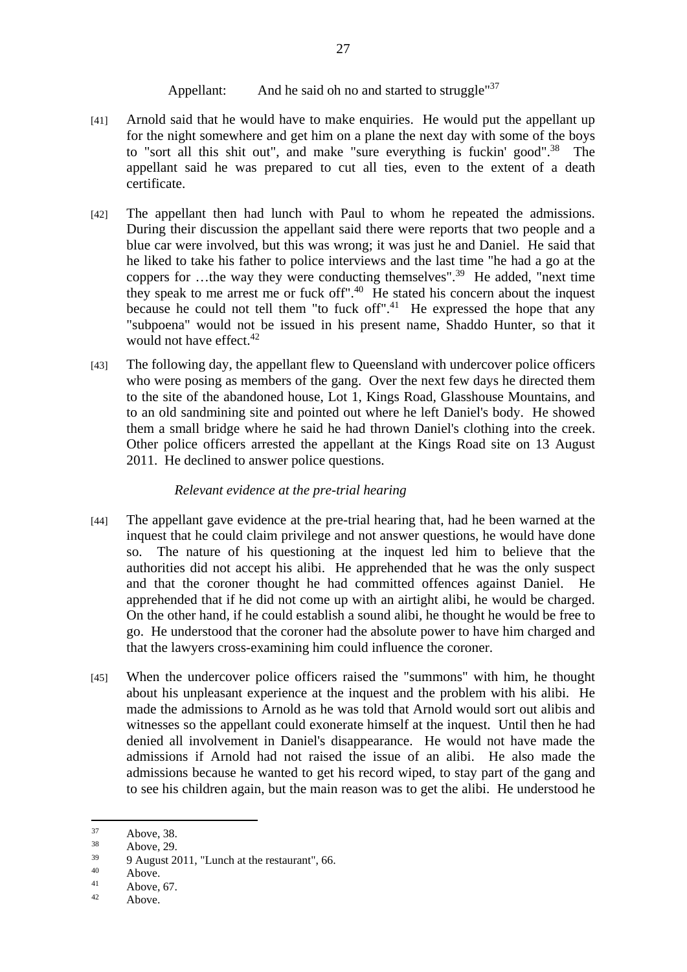# Appellant: And he said oh no and started to struggle<sup>"37</sup>

- [41] Arnold said that he would have to make enquiries. He would put the appellant up for the night somewhere and get him on a plane the next day with some of the boys to "sort all this shit out", and make "sure everything is fuckin' good".<sup>38</sup> The appellant said he was prepared to cut all ties, even to the extent of a death certificate.
- [42] The appellant then had lunch with Paul to whom he repeated the admissions. During their discussion the appellant said there were reports that two people and a blue car were involved, but this was wrong; it was just he and Daniel. He said that he liked to take his father to police interviews and the last time "he had a go at the coppers for ...the way they were conducting themselves".<sup>39</sup> He added, "next time" they speak to me arrest me or fuck off".40 He stated his concern about the inquest because he could not tell them "to fuck off".<sup>41</sup> He expressed the hope that any "subpoena" would not be issued in his present name, Shaddo Hunter, so that it would not have effect.<sup>42</sup>
- [43] The following day, the appellant flew to Queensland with undercover police officers who were posing as members of the gang. Over the next few days he directed them to the site of the abandoned house, Lot 1, Kings Road, Glasshouse Mountains, and to an old sandmining site and pointed out where he left Daniel's body. He showed them a small bridge where he said he had thrown Daniel's clothing into the creek. Other police officers arrested the appellant at the Kings Road site on 13 August 2011. He declined to answer police questions.

## *Relevant evidence at the pre-trial hearing*

- [44] The appellant gave evidence at the pre-trial hearing that, had he been warned at the inquest that he could claim privilege and not answer questions, he would have done so. The nature of his questioning at the inquest led him to believe that the authorities did not accept his alibi. He apprehended that he was the only suspect and that the coroner thought he had committed offences against Daniel. He apprehended that if he did not come up with an airtight alibi, he would be charged. On the other hand, if he could establish a sound alibi, he thought he would be free to go. He understood that the coroner had the absolute power to have him charged and that the lawyers cross-examining him could influence the coroner.
- [45] When the undercover police officers raised the "summons" with him, he thought about his unpleasant experience at the inquest and the problem with his alibi. He made the admissions to Arnold as he was told that Arnold would sort out alibis and witnesses so the appellant could exonerate himself at the inquest. Until then he had denied all involvement in Daniel's disappearance. He would not have made the admissions if Arnold had not raised the issue of an alibi. He also made the admissions because he wanted to get his record wiped, to stay part of the gang and to see his children again, but the main reason was to get the alibi. He understood he

 $37$  Above, 38.

 $38$  Above, 29.

 $\frac{39}{40}$  9 August 2011, "Lunch at the restaurant", 66.

 $^{40}$  Above.

 $41$  Above, 67.

Above.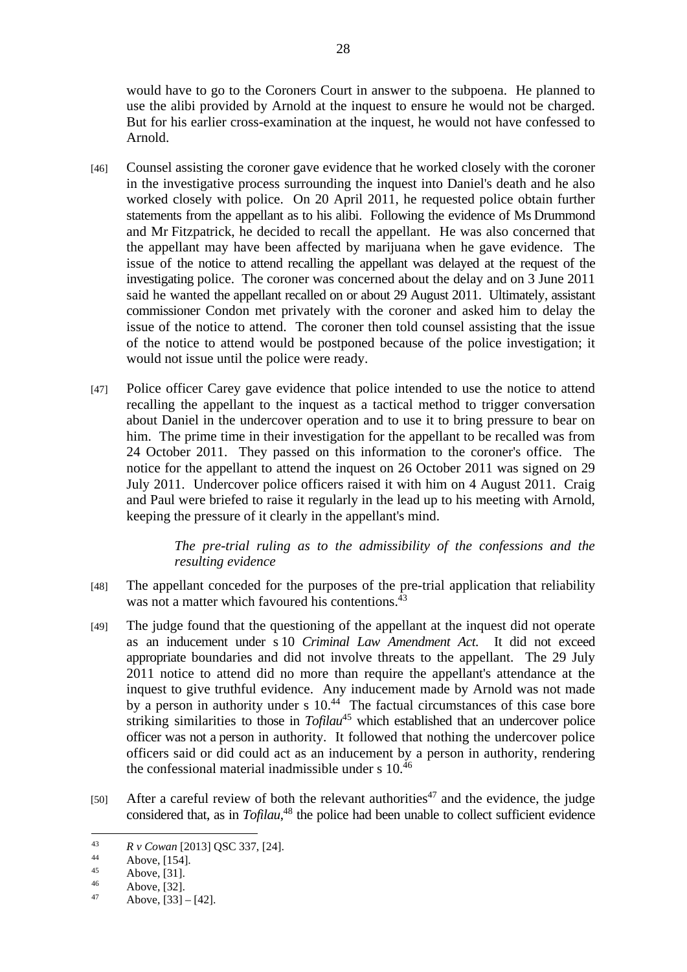would have to go to the Coroners Court in answer to the subpoena. He planned to use the alibi provided by Arnold at the inquest to ensure he would not be charged. But for his earlier cross-examination at the inquest, he would not have confessed to Arnold.

- [46] Counsel assisting the coroner gave evidence that he worked closely with the coroner in the investigative process surrounding the inquest into Daniel's death and he also worked closely with police. On 20 April 2011, he requested police obtain further statements from the appellant as to his alibi. Following the evidence of Ms Drummond and Mr Fitzpatrick, he decided to recall the appellant. He was also concerned that the appellant may have been affected by marijuana when he gave evidence. The issue of the notice to attend recalling the appellant was delayed at the request of the investigating police. The coroner was concerned about the delay and on 3 June 2011 said he wanted the appellant recalled on or about 29 August 2011. Ultimately, assistant commissioner Condon met privately with the coroner and asked him to delay the issue of the notice to attend. The coroner then told counsel assisting that the issue of the notice to attend would be postponed because of the police investigation; it would not issue until the police were ready.
- [47] Police officer Carey gave evidence that police intended to use the notice to attend recalling the appellant to the inquest as a tactical method to trigger conversation about Daniel in the undercover operation and to use it to bring pressure to bear on him. The prime time in their investigation for the appellant to be recalled was from 24 October 2011. They passed on this information to the coroner's office. The notice for the appellant to attend the inquest on 26 October 2011 was signed on 29 July 2011. Undercover police officers raised it with him on 4 August 2011. Craig and Paul were briefed to raise it regularly in the lead up to his meeting with Arnold, keeping the pressure of it clearly in the appellant's mind.

*The pre-trial ruling as to the admissibility of the confessions and the resulting evidence* 

- [48] The appellant conceded for the purposes of the pre-trial application that reliability was not a matter which favoured his contentions.<sup>43</sup>
- [49] The judge found that the questioning of the appellant at the inquest did not operate as an inducement under s 10 *Criminal Law Amendment Act*. It did not exceed appropriate boundaries and did not involve threats to the appellant. The 29 July 2011 notice to attend did no more than require the appellant's attendance at the inquest to give truthful evidence. Any inducement made by Arnold was not made by a person in authority under s  $10<sup>44</sup>$  The factual circumstances of this case bore striking similarities to those in *Tofilau*45 which established that an undercover police officer was not a person in authority. It followed that nothing the undercover police officers said or did could act as an inducement by a person in authority, rendering the confessional material inadmissible under s 10.46
- [50] After a careful review of both the relevant authorities<sup>47</sup> and the evidence, the judge considered that, as in *Tofilau*, 48 the police had been unable to collect sufficient evidence

<sup>43</sup>*R v Cowan* [2013] QSC 337, [24]. 44 Above, [154].

 $45$  Above, [31].

 $^{46}$  Above, [32].

Above,  $[33] - [42]$ .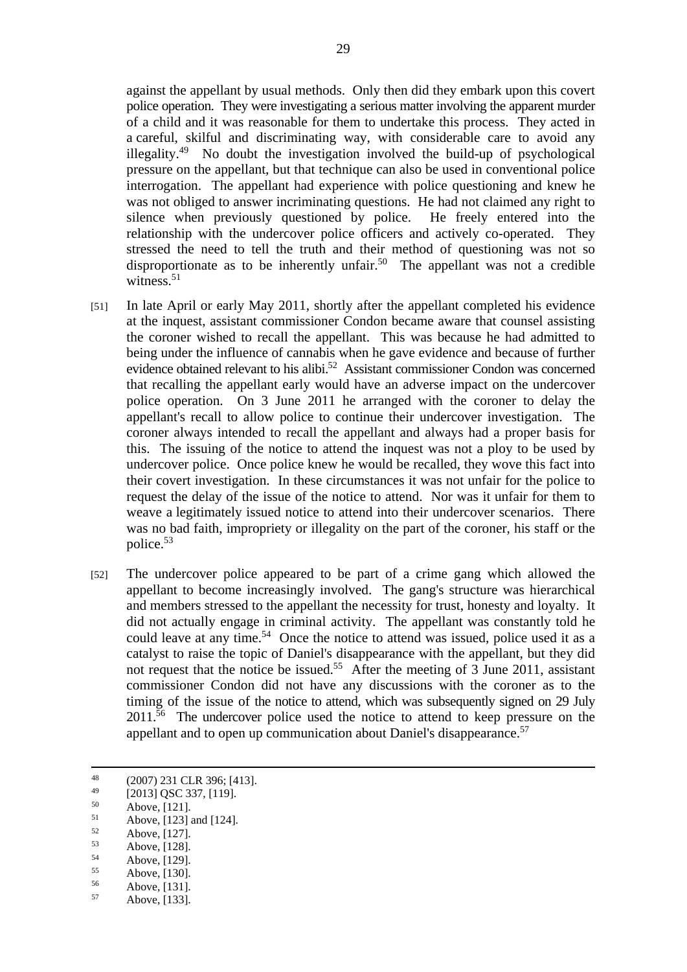against the appellant by usual methods. Only then did they embark upon this covert police operation. They were investigating a serious matter involving the apparent murder of a child and it was reasonable for them to undertake this process. They acted in a careful, skilful and discriminating way, with considerable care to avoid any illegality.49 No doubt the investigation involved the build-up of psychological pressure on the appellant, but that technique can also be used in conventional police interrogation. The appellant had experience with police questioning and knew he was not obliged to answer incriminating questions. He had not claimed any right to silence when previously questioned by police. He freely entered into the relationship with the undercover police officers and actively co-operated. They stressed the need to tell the truth and their method of questioning was not so disproportionate as to be inherently unfair.<sup>50</sup> The appellant was not a credible witness.<sup>51</sup>

- [51] In late April or early May 2011, shortly after the appellant completed his evidence at the inquest, assistant commissioner Condon became aware that counsel assisting the coroner wished to recall the appellant. This was because he had admitted to being under the influence of cannabis when he gave evidence and because of further evidence obtained relevant to his alibi.<sup>52</sup> Assistant commissioner Condon was concerned that recalling the appellant early would have an adverse impact on the undercover police operation. On 3 June 2011 he arranged with the coroner to delay the appellant's recall to allow police to continue their undercover investigation. The coroner always intended to recall the appellant and always had a proper basis for this. The issuing of the notice to attend the inquest was not a ploy to be used by undercover police. Once police knew he would be recalled, they wove this fact into their covert investigation. In these circumstances it was not unfair for the police to request the delay of the issue of the notice to attend. Nor was it unfair for them to weave a legitimately issued notice to attend into their undercover scenarios. There was no bad faith, impropriety or illegality on the part of the coroner, his staff or the police.53
- [52] The undercover police appeared to be part of a crime gang which allowed the appellant to become increasingly involved. The gang's structure was hierarchical and members stressed to the appellant the necessity for trust, honesty and loyalty. It did not actually engage in criminal activity. The appellant was constantly told he could leave at any time.<sup>54</sup> Once the notice to attend was issued, police used it as a catalyst to raise the topic of Daniel's disappearance with the appellant, but they did not request that the notice be issued.<sup>55</sup> After the meeting of 3 June 2011, assistant commissioner Condon did not have any discussions with the coroner as to the timing of the issue of the notice to attend, which was subsequently signed on 29 July 2011.<sup>56</sup> The undercover police used the notice to attend to keep pressure on the appellant and to open up communication about Daniel's disappearance.<sup>57</sup>

 $^{48}$  (2007) 231 CLR 396; [413].

 $^{49}$  [2013] QSC 337, [119].

 $50$  Above, [121].

 $51$  Above, [123] and [124].

 $52$  Above, [127].

 $53$  Above, [128].

 $54$  Above, [129].

 $55$  Above, [130].

 $56$  Above, [131]. Above, [133].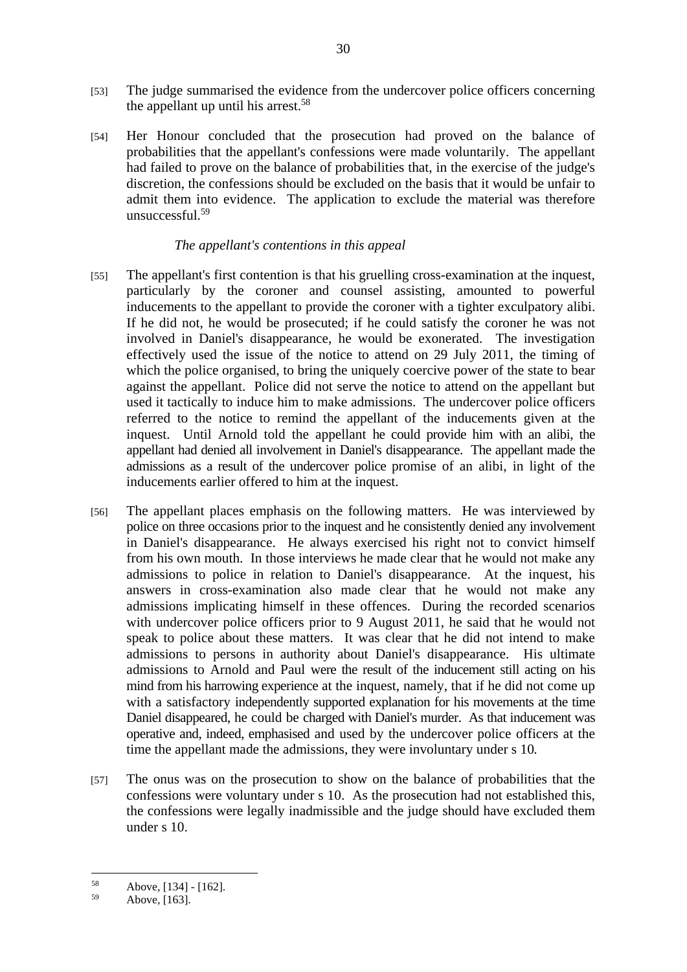- [53] The judge summarised the evidence from the undercover police officers concerning the appellant up until his arrest.<sup>58</sup>
- [54] Her Honour concluded that the prosecution had proved on the balance of probabilities that the appellant's confessions were made voluntarily. The appellant had failed to prove on the balance of probabilities that, in the exercise of the judge's discretion, the confessions should be excluded on the basis that it would be unfair to admit them into evidence. The application to exclude the material was therefore unsuccessful.<sup>59</sup>

## *The appellant's contentions in this appeal*

- [55] The appellant's first contention is that his gruelling cross-examination at the inquest, particularly by the coroner and counsel assisting, amounted to powerful inducements to the appellant to provide the coroner with a tighter exculpatory alibi. If he did not, he would be prosecuted; if he could satisfy the coroner he was not involved in Daniel's disappearance, he would be exonerated. The investigation effectively used the issue of the notice to attend on 29 July 2011, the timing of which the police organised, to bring the uniquely coercive power of the state to bear against the appellant. Police did not serve the notice to attend on the appellant but used it tactically to induce him to make admissions. The undercover police officers referred to the notice to remind the appellant of the inducements given at the inquest. Until Arnold told the appellant he could provide him with an alibi, the appellant had denied all involvement in Daniel's disappearance. The appellant made the admissions as a result of the undercover police promise of an alibi, in light of the inducements earlier offered to him at the inquest.
- [56] The appellant places emphasis on the following matters. He was interviewed by police on three occasions prior to the inquest and he consistently denied any involvement in Daniel's disappearance. He always exercised his right not to convict himself from his own mouth. In those interviews he made clear that he would not make any admissions to police in relation to Daniel's disappearance. At the inquest, his answers in cross-examination also made clear that he would not make any admissions implicating himself in these offences. During the recorded scenarios with undercover police officers prior to 9 August 2011, he said that he would not speak to police about these matters. It was clear that he did not intend to make admissions to persons in authority about Daniel's disappearance. His ultimate admissions to Arnold and Paul were the result of the inducement still acting on his mind from his harrowing experience at the inquest, namely, that if he did not come up with a satisfactory independently supported explanation for his movements at the time Daniel disappeared, he could be charged with Daniel's murder. As that inducement was operative and, indeed, emphasised and used by the undercover police officers at the time the appellant made the admissions, they were involuntary under s 10*.*
- [57] The onus was on the prosecution to show on the balance of probabilities that the confessions were voluntary under s 10. As the prosecution had not established this, the confessions were legally inadmissible and the judge should have excluded them under s 10.

 $58$  Above, [134] - [162].

Above, [163].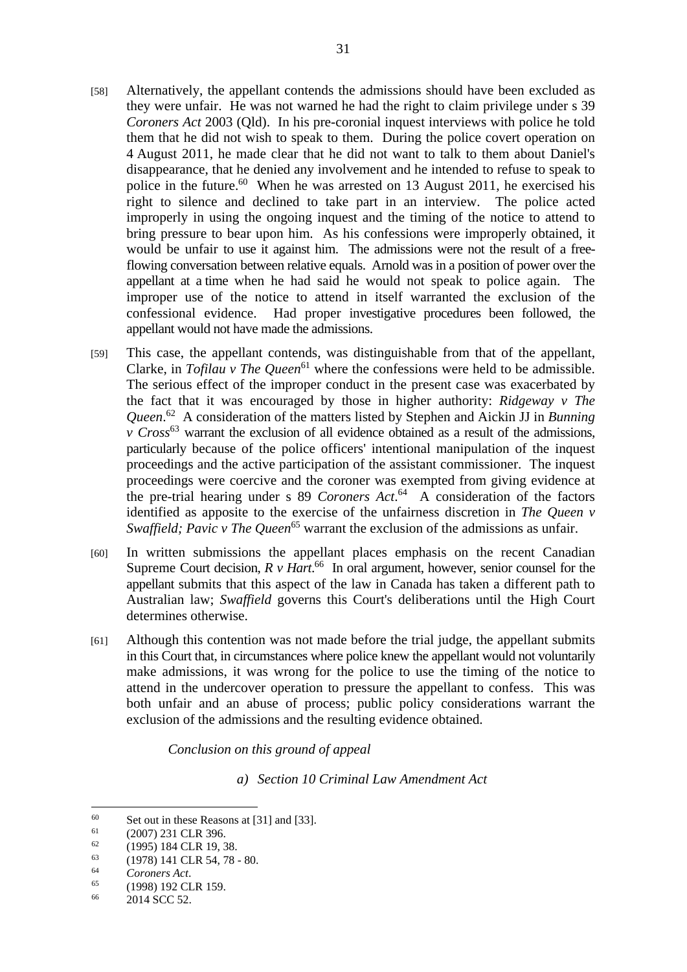- [58] Alternatively, the appellant contends the admissions should have been excluded as they were unfair. He was not warned he had the right to claim privilege under s 39 *Coroners Act* 2003 (Qld). In his pre-coronial inquest interviews with police he told them that he did not wish to speak to them. During the police covert operation on 4 August 2011, he made clear that he did not want to talk to them about Daniel's disappearance, that he denied any involvement and he intended to refuse to speak to police in the future. $60$  When he was arrested on 13 August 2011, he exercised his right to silence and declined to take part in an interview. The police acted improperly in using the ongoing inquest and the timing of the notice to attend to bring pressure to bear upon him. As his confessions were improperly obtained, it would be unfair to use it against him. The admissions were not the result of a freeflowing conversation between relative equals. Arnold was in a position of power over the appellant at a time when he had said he would not speak to police again. The improper use of the notice to attend in itself warranted the exclusion of the confessional evidence. Had proper investigative procedures been followed, the appellant would not have made the admissions.
- [59] This case, the appellant contends, was distinguishable from that of the appellant, Clarke, in *Tofilau v The Queen*<sup>61</sup> where the confessions were held to be admissible. The serious effect of the improper conduct in the present case was exacerbated by the fact that it was encouraged by those in higher authority: *Ridgeway v The Queen*. 62 A consideration of the matters listed by Stephen and Aickin JJ in *Bunning v Cross*63 warrant the exclusion of all evidence obtained as a result of the admissions, particularly because of the police officers' intentional manipulation of the inquest proceedings and the active participation of the assistant commissioner. The inquest proceedings were coercive and the coroner was exempted from giving evidence at the pre-trial hearing under s 89 *Coroners Act*. 64 A consideration of the factors identified as apposite to the exercise of the unfairness discretion in *The Queen v Swaffield; Pavic v The Queen*<sup>65</sup> warrant the exclusion of the admissions as unfair.
- [60] In written submissions the appellant places emphasis on the recent Canadian Supreme Court decision,  $R v$  *Hart*.<sup>66</sup> In oral argument, however, senior counsel for the appellant submits that this aspect of the law in Canada has taken a different path to Australian law; *Swaffield* governs this Court's deliberations until the High Court determines otherwise.
- [61] Although this contention was not made before the trial judge, the appellant submits in this Court that, in circumstances where police knew the appellant would not voluntarily make admissions, it was wrong for the police to use the timing of the notice to attend in the undercover operation to pressure the appellant to confess. This was both unfair and an abuse of process; public policy considerations warrant the exclusion of the admissions and the resulting evidence obtained.

*Conclusion on this ground of appeal* 

*a) Section 10 Criminal Law Amendment Act* 

<sup>60</sup> Set out in these Reasons at [31] and [33].<br>  $(2007) 231 \text{ CLR } 396.$ 

 $^{62}$  (1995) 184 CLR 19, 38.

 $^{63}$  (1978) 141 CLR 54, 78 - 80.

<sup>&</sup>lt;sup>64</sup> *Coroners Act.*<br><sup>65</sup> (1998) 192 CLR 159.<br><sup>66</sup> 2014 SCC 52.

<sup>2014</sup> SCC 52.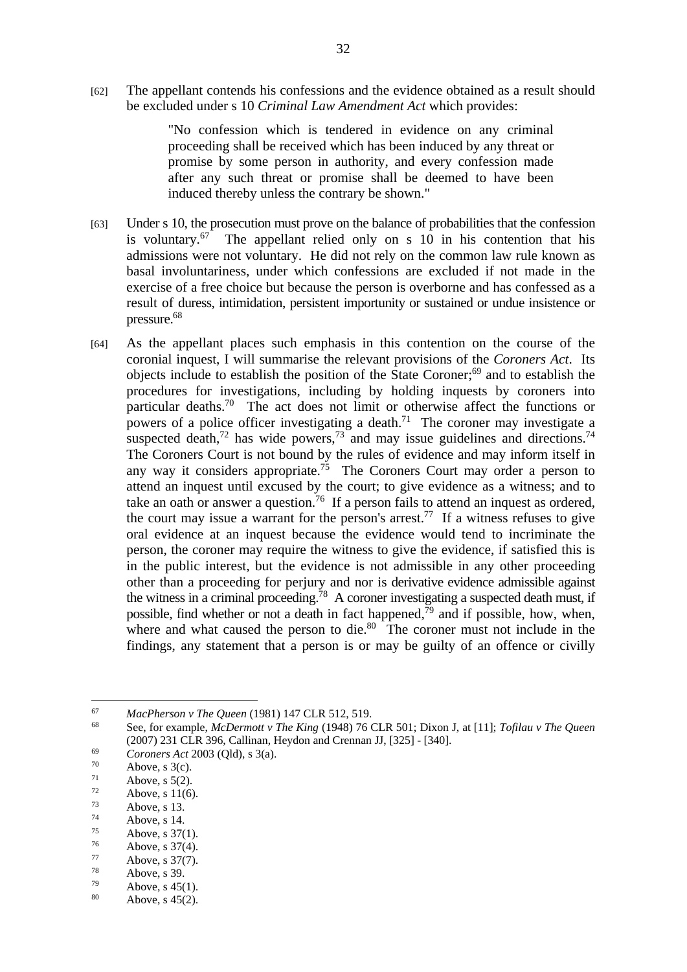[62] The appellant contends his confessions and the evidence obtained as a result should be excluded under s 10 *Criminal Law Amendment Act* which provides:

> "No confession which is tendered in evidence on any criminal proceeding shall be received which has been induced by any threat or promise by some person in authority, and every confession made after any such threat or promise shall be deemed to have been induced thereby unless the contrary be shown."

- [63] Under s 10, the prosecution must prove on the balance of probabilities that the confession is voluntary.67 The appellant relied only on s 10 in his contention that his admissions were not voluntary. He did not rely on the common law rule known as basal involuntariness, under which confessions are excluded if not made in the exercise of a free choice but because the person is overborne and has confessed as a result of duress, intimidation, persistent importunity or sustained or undue insistence or pressure.68
- [64] As the appellant places such emphasis in this contention on the course of the coronial inquest, I will summarise the relevant provisions of the *Coroners Act*.Its objects include to establish the position of the State Coroner;69 and to establish the procedures for investigations, including by holding inquests by coroners into particular deaths.70 The act does not limit or otherwise affect the functions or powers of a police officer investigating a death.<sup>71</sup> The coroner may investigate a suspected death,<sup>72</sup> has wide powers,<sup>73</sup> and may issue guidelines and directions.<sup>74</sup> The Coroners Court is not bound by the rules of evidence and may inform itself in any way it considers appropriate.<sup>75</sup> The Coroners Court may order a person to attend an inquest until excused by the court; to give evidence as a witness; and to take an oath or answer a question.<sup>76</sup> If a person fails to attend an inquest as ordered, the court may issue a warrant for the person's arrest.<sup>77</sup> If a witness refuses to give oral evidence at an inquest because the evidence would tend to incriminate the person, the coroner may require the witness to give the evidence, if satisfied this is in the public interest, but the evidence is not admissible in any other proceeding other than a proceeding for perjury and nor is derivative evidence admissible against the witness in a criminal proceeding.<sup>78</sup> A coroner investigating a suspected death must, if possible, find whether or not a death in fact happened, $\bar{7}^9$  and if possible, how, when, where and what caused the person to die. $80$  The coroner must not include in the findings, any statement that a person is or may be guilty of an offence or civilly

- $72$  Above, s 11(6).
- $73$  Above, s 13.
- $74$  Above, s 14.
- $75$  Above, s 37(1).
- $^{76}$  Above, s 37(4).
- $77$  Above, s 37(7).
- $78$  Above, s 39.
- $^{79}$  Above, s 45(1).<br>80 Above s 45(2).
- Above,  $s$  45(2).

<sup>&</sup>lt;sup>67</sup> MacPherson v The Queen (1981) 147 CLR 512, 519.<br><sup>68</sup> See, for example, *McDermott v The King* (1948) 76 CLR 501; Dixon J, at [11]; *Tofilau v The Oueen* (2007) 231 CLR 396, Callinan, Heydon and Crennan JJ, [325] - [340].<br> *Coroners Act* 2003 (Qld), s 3(a).<br> *Above*, s 3(c).<br> *Above*, s 5(2).

 $^{71}$  Above, s 5(2).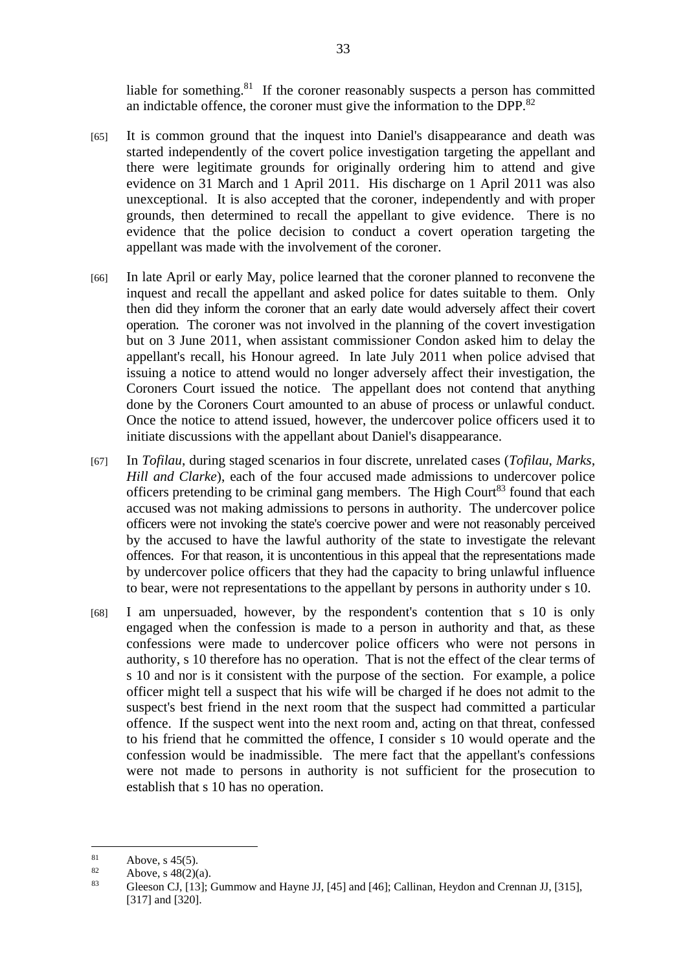liable for something.<sup>81</sup> If the coroner reasonably suspects a person has committed an indictable offence, the coroner must give the information to the DPP.<sup>82</sup>

- [65] It is common ground that the inquest into Daniel's disappearance and death was started independently of the covert police investigation targeting the appellant and there were legitimate grounds for originally ordering him to attend and give evidence on 31 March and 1 April 2011. His discharge on 1 April 2011 was also unexceptional. It is also accepted that the coroner, independently and with proper grounds, then determined to recall the appellant to give evidence. There is no evidence that the police decision to conduct a covert operation targeting the appellant was made with the involvement of the coroner.
- [66] In late April or early May, police learned that the coroner planned to reconvene the inquest and recall the appellant and asked police for dates suitable to them. Only then did they inform the coroner that an early date would adversely affect their covert operation. The coroner was not involved in the planning of the covert investigation but on 3 June 2011, when assistant commissioner Condon asked him to delay the appellant's recall, his Honour agreed. In late July 2011 when police advised that issuing a notice to attend would no longer adversely affect their investigation, the Coroners Court issued the notice. The appellant does not contend that anything done by the Coroners Court amounted to an abuse of process or unlawful conduct. Once the notice to attend issued, however, the undercover police officers used it to initiate discussions with the appellant about Daniel's disappearance.
- [67] In *Tofilau*, during staged scenarios in four discrete, unrelated cases (*Tofilau*, *Marks*, *Hill and Clarke*), each of the four accused made admissions to undercover police officers pretending to be criminal gang members. The High Court<sup>83</sup> found that each accused was not making admissions to persons in authority. The undercover police officers were not invoking the state's coercive power and were not reasonably perceived by the accused to have the lawful authority of the state to investigate the relevant offences. For that reason, it is uncontentious in this appeal that the representations made by undercover police officers that they had the capacity to bring unlawful influence to bear, were not representations to the appellant by persons in authority under s 10.
- [68] I am unpersuaded, however, by the respondent's contention that s 10 is only engaged when the confession is made to a person in authority and that, as these confessions were made to undercover police officers who were not persons in authority, s 10 therefore has no operation. That is not the effect of the clear terms of s 10 and nor is it consistent with the purpose of the section. For example, a police officer might tell a suspect that his wife will be charged if he does not admit to the suspect's best friend in the next room that the suspect had committed a particular offence. If the suspect went into the next room and, acting on that threat, confessed to his friend that he committed the offence, I consider s 10 would operate and the confession would be inadmissible. The mere fact that the appellant's confessions were not made to persons in authority is not sufficient for the prosecution to establish that s 10 has no operation.

 $\overline{81}$  $81$  Above, s 45(5).

 $82$  Above, s 48(2)(a).

<sup>83</sup> Gleeson CJ, [13]; Gummow and Hayne JJ, [45] and [46]; Callinan, Heydon and Crennan JJ, [315], [317] and [320].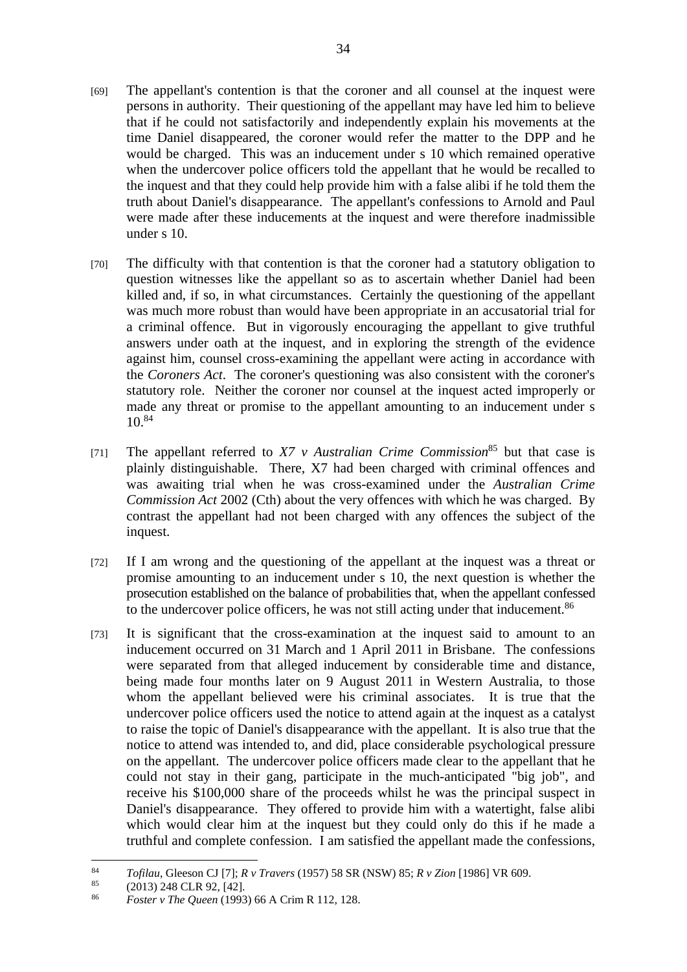- [69] The appellant's contention is that the coroner and all counsel at the inquest were persons in authority. Their questioning of the appellant may have led him to believe that if he could not satisfactorily and independently explain his movements at the time Daniel disappeared, the coroner would refer the matter to the DPP and he would be charged. This was an inducement under s 10 which remained operative when the undercover police officers told the appellant that he would be recalled to the inquest and that they could help provide him with a false alibi if he told them the truth about Daniel's disappearance. The appellant's confessions to Arnold and Paul were made after these inducements at the inquest and were therefore inadmissible under s 10.
- [70] The difficulty with that contention is that the coroner had a statutory obligation to question witnesses like the appellant so as to ascertain whether Daniel had been killed and, if so, in what circumstances. Certainly the questioning of the appellant was much more robust than would have been appropriate in an accusatorial trial for a criminal offence. But in vigorously encouraging the appellant to give truthful answers under oath at the inquest, and in exploring the strength of the evidence against him, counsel cross-examining the appellant were acting in accordance with the *Coroners Act*. The coroner's questioning was also consistent with the coroner's statutory role. Neither the coroner nor counsel at the inquest acted improperly or made any threat or promise to the appellant amounting to an inducement under s 10.84
- [71] The appellant referred to *X7 v Australian Crime Commission*85 but that case is plainly distinguishable. There, X7 had been charged with criminal offences and was awaiting trial when he was cross-examined under the *Australian Crime Commission Act* 2002 (Cth) about the very offences with which he was charged. By contrast the appellant had not been charged with any offences the subject of the inquest.
- [72] If I am wrong and the questioning of the appellant at the inquest was a threat or promise amounting to an inducement under s 10, the next question is whether the prosecution established on the balance of probabilities that, when the appellant confessed to the undercover police officers, he was not still acting under that inducement.<sup>86</sup>
- [73] It is significant that the cross-examination at the inquest said to amount to an inducement occurred on 31 March and 1 April 2011 in Brisbane. The confessions were separated from that alleged inducement by considerable time and distance, being made four months later on 9 August 2011 in Western Australia, to those whom the appellant believed were his criminal associates. It is true that the undercover police officers used the notice to attend again at the inquest as a catalyst to raise the topic of Daniel's disappearance with the appellant. It is also true that the notice to attend was intended to, and did, place considerable psychological pressure on the appellant. The undercover police officers made clear to the appellant that he could not stay in their gang, participate in the much-anticipated "big job", and receive his \$100,000 share of the proceeds whilst he was the principal suspect in Daniel's disappearance. They offered to provide him with a watertight, false alibi which would clear him at the inquest but they could only do this if he made a truthful and complete confession. I am satisfied the appellant made the confessions,

<sup>84</sup> *Tofilau*, Gleeson CJ [7]; *R v Travers* (1957) 58 SR (NSW) 85; *R v Zion* [1986] VR 609.<br>85 (2013) 248 CLR 92, [42].<br>86 *Eostary The Queen* (1993) 66 A Crim R 112, 128

<sup>86</sup> *Foster v The Queen* (1993) 66 A Crim R 112, 128.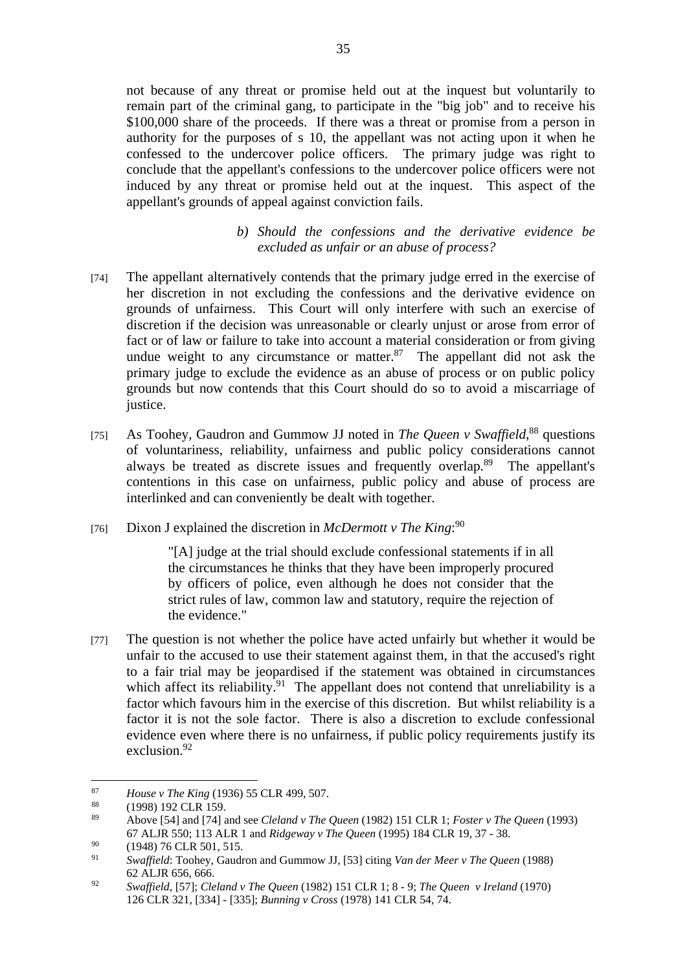not because of any threat or promise held out at the inquest but voluntarily to remain part of the criminal gang, to participate in the "big job" and to receive his \$100,000 share of the proceeds. If there was a threat or promise from a person in authority for the purposes of s 10, the appellant was not acting upon it when he confessed to the undercover police officers. The primary judge was right to conclude that the appellant's confessions to the undercover police officers were not induced by any threat or promise held out at the inquest. This aspect of the appellant's grounds of appeal against conviction fails.

## *b) Should the confessions and the derivative evidence be excluded as unfair or an abuse of process?*

- [74] The appellant alternatively contends that the primary judge erred in the exercise of her discretion in not excluding the confessions and the derivative evidence on grounds of unfairness. This Court will only interfere with such an exercise of discretion if the decision was unreasonable or clearly unjust or arose from error of fact or of law or failure to take into account a material consideration or from giving undue weight to any circumstance or matter. $87$  The appellant did not ask the primary judge to exclude the evidence as an abuse of process or on public policy grounds but now contends that this Court should do so to avoid a miscarriage of justice.
- [75] As Toohey, Gaudron and Gummow JJ noted in *The Queen v Swaffield*,<sup>88</sup> questions of voluntariness, reliability, unfairness and public policy considerations cannot always be treated as discrete issues and frequently overlap.89 The appellant's contentions in this case on unfairness, public policy and abuse of process are interlinked and can conveniently be dealt with together.
- [76] Dixon J explained the discretion in *McDermott v The King*:<sup>90</sup>

"[A] judge at the trial should exclude confessional statements if in all the circumstances he thinks that they have been improperly procured by officers of police, even although he does not consider that the strict rules of law, common law and statutory, require the rejection of the evidence."

[77] The question is not whether the police have acted unfairly but whether it would be unfair to the accused to use their statement against them, in that the accused's right to a fair trial may be jeopardised if the statement was obtained in circumstances which affect its reliability.<sup>91</sup> The appellant does not contend that unreliability is a factor which favours him in the exercise of this discretion. But whilst reliability is a factor it is not the sole factor. There is also a discretion to exclude confessional evidence even where there is no unfairness, if public policy requirements justify its exclusion.92

<sup>87</sup> 87 *House v The King* (1936) 55 CLR 499, 507.<br><sup>88</sup> (1998) 192 CLR 159.<br><sup>89</sup> Above 1541 and 1741 and see *Claland v The* 

<sup>89</sup> Above [54] and [74] and see *Cleland v The Queen* (1982) 151 CLR 1; *Foster v The Queen* (1993) 67 ALJR 550; 113 ALR 1 and *Ridgeway v The Queen* (1995) 184 CLR 19, 37 - 38.

 $^{90}$  (1948) 76 CLR 501, 515.

<sup>91</sup> *Swaffield*: Toohey, Gaudron and Gummow JJ, [53] citing *Van der Meer v The Queen* (1988) 62 ALJR 656, 666.

<sup>92</sup> *Swaffield*, [57]; *Cleland v The Queen* (1982) 151 CLR 1; 8 - 9; *The Queen v Ireland* (1970) 126 CLR 321, [334] - [335]; *Bunning v Cross* (1978) 141 CLR 54, 74.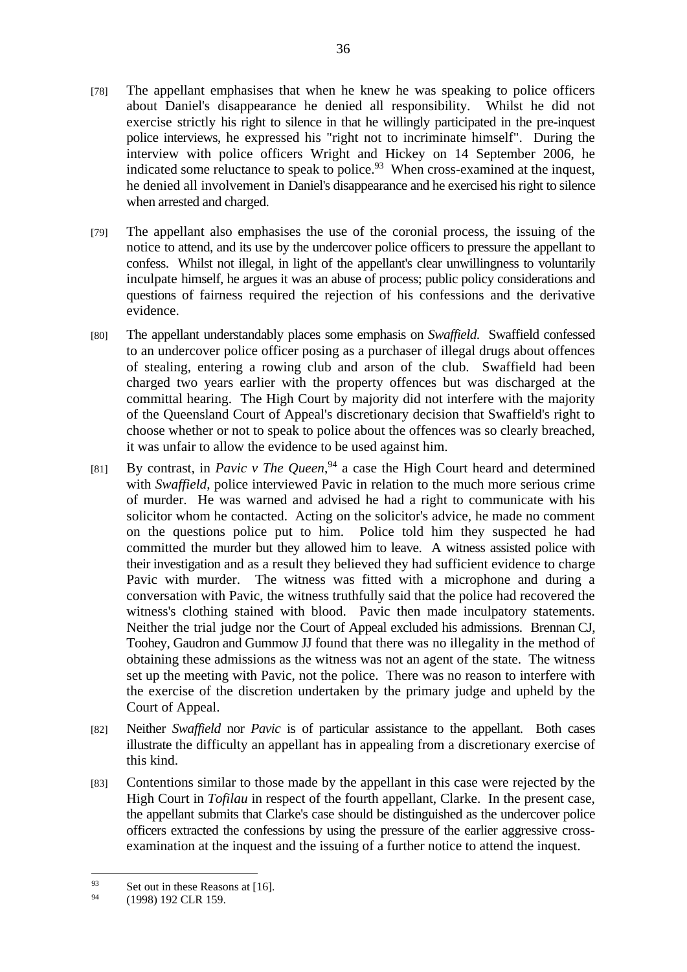- [78] The appellant emphasises that when he knew he was speaking to police officers about Daniel's disappearance he denied all responsibility. Whilst he did not exercise strictly his right to silence in that he willingly participated in the pre-inquest police interviews, he expressed his "right not to incriminate himself". During the interview with police officers Wright and Hickey on 14 September 2006, he indicated some reluctance to speak to police.<sup>93</sup> When cross-examined at the inquest, he denied all involvement in Daniel's disappearance and he exercised his right to silence when arrested and charged.
- [79] The appellant also emphasises the use of the coronial process, the issuing of the notice to attend, and its use by the undercover police officers to pressure the appellant to confess. Whilst not illegal, in light of the appellant's clear unwillingness to voluntarily inculpate himself, he argues it was an abuse of process; public policy considerations and questions of fairness required the rejection of his confessions and the derivative evidence.
- [80] The appellant understandably places some emphasis on *Swaffield*. Swaffield confessed to an undercover police officer posing as a purchaser of illegal drugs about offences of stealing, entering a rowing club and arson of the club. Swaffield had been charged two years earlier with the property offences but was discharged at the committal hearing. The High Court by majority did not interfere with the majority of the Queensland Court of Appeal's discretionary decision that Swaffield's right to choose whether or not to speak to police about the offences was so clearly breached, it was unfair to allow the evidence to be used against him.
- [81] By contrast, in *Pavic v The Queen*,<sup>94</sup> a case the High Court heard and determined with *Swaffield*, police interviewed Pavic in relation to the much more serious crime of murder. He was warned and advised he had a right to communicate with his solicitor whom he contacted. Acting on the solicitor's advice, he made no comment on the questions police put to him. Police told him they suspected he had committed the murder but they allowed him to leave. A witness assisted police with their investigation and as a result they believed they had sufficient evidence to charge Pavic with murder. The witness was fitted with a microphone and during a conversation with Pavic, the witness truthfully said that the police had recovered the witness's clothing stained with blood. Pavic then made inculpatory statements. Neither the trial judge nor the Court of Appeal excluded his admissions. Brennan CJ, Toohey, Gaudron and Gummow JJ found that there was no illegality in the method of obtaining these admissions as the witness was not an agent of the state. The witness set up the meeting with Pavic, not the police. There was no reason to interfere with the exercise of the discretion undertaken by the primary judge and upheld by the Court of Appeal.
- [82] Neither *Swaffield* nor *Pavic* is of particular assistance to the appellant. Both cases illustrate the difficulty an appellant has in appealing from a discretionary exercise of this kind.
- [83] Contentions similar to those made by the appellant in this case were rejected by the High Court in *Tofilau* in respect of the fourth appellant, Clarke. In the present case, the appellant submits that Clarke's case should be distinguished as the undercover police officers extracted the confessions by using the pressure of the earlier aggressive crossexamination at the inquest and the issuing of a further notice to attend the inquest.

<sup>&</sup>lt;sup>93</sup> Set out in these Reasons at [16].<br><sup>94</sup> (1008) 102 CL P 150

<sup>94 (1998) 192</sup> CLR 159.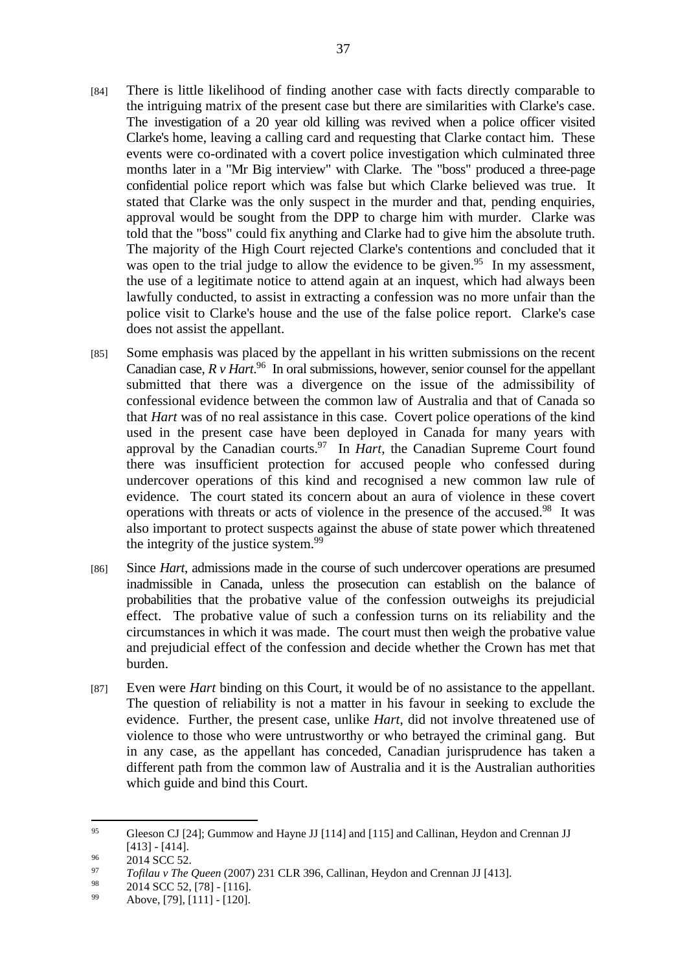- [84] There is little likelihood of finding another case with facts directly comparable to the intriguing matrix of the present case but there are similarities with Clarke's case. The investigation of a 20 year old killing was revived when a police officer visited Clarke's home, leaving a calling card and requesting that Clarke contact him. These events were co-ordinated with a covert police investigation which culminated three months later in a "Mr Big interview" with Clarke. The "boss" produced a three-page confidential police report which was false but which Clarke believed was true. It stated that Clarke was the only suspect in the murder and that, pending enquiries, approval would be sought from the DPP to charge him with murder. Clarke was told that the "boss" could fix anything and Clarke had to give him the absolute truth. The majority of the High Court rejected Clarke's contentions and concluded that it was open to the trial judge to allow the evidence to be given.<sup>95</sup> In my assessment, the use of a legitimate notice to attend again at an inquest, which had always been lawfully conducted, to assist in extracting a confession was no more unfair than the police visit to Clarke's house and the use of the false police report. Clarke's case does not assist the appellant.
- [85] Some emphasis was placed by the appellant in his written submissions on the recent Canadian case,  $R v$  *Hart*.<sup>96</sup> In oral submissions, however, senior counsel for the appellant submitted that there was a divergence on the issue of the admissibility of confessional evidence between the common law of Australia and that of Canada so that *Hart* was of no real assistance in this case. Covert police operations of the kind used in the present case have been deployed in Canada for many years with approval by the Canadian courts.97 In *Hart*, the Canadian Supreme Court found there was insufficient protection for accused people who confessed during undercover operations of this kind and recognised a new common law rule of evidence. The court stated its concern about an aura of violence in these covert operations with threats or acts of violence in the presence of the accused.98 It was also important to protect suspects against the abuse of state power which threatened the integrity of the justice system.<sup>99</sup>
- [86] Since *Hart*, admissions made in the course of such undercover operations are presumed inadmissible in Canada, unless the prosecution can establish on the balance of probabilities that the probative value of the confession outweighs its prejudicial effect. The probative value of such a confession turns on its reliability and the circumstances in which it was made. The court must then weigh the probative value and prejudicial effect of the confession and decide whether the Crown has met that burden.
- [87] Even were *Hart* binding on this Court, it would be of no assistance to the appellant. The question of reliability is not a matter in his favour in seeking to exclude the evidence. Further, the present case, unlike *Hart*, did not involve threatened use of violence to those who were untrustworthy or who betrayed the criminal gang. But in any case, as the appellant has conceded, Canadian jurisprudence has taken a different path from the common law of Australia and it is the Australian authorities which guide and bind this Court.

<sup>95</sup> Gleeson CJ [24]; Gummow and Hayne JJ [114] and [115] and Callinan, Heydon and Crennan JJ  $[413] - [414].$ <br>  $[413] - [414].$ <br>  $[2014 \text{ SCC} 52].$ 

<sup>97</sup> *Tofilau v The Queen* (2007) 231 CLR 396, Callinan, Heydon and Crennan JJ [413].

<sup>&</sup>lt;sup>98</sup> 2014 SCC 52, [78] - [116].

Above, [79], [111] - [120].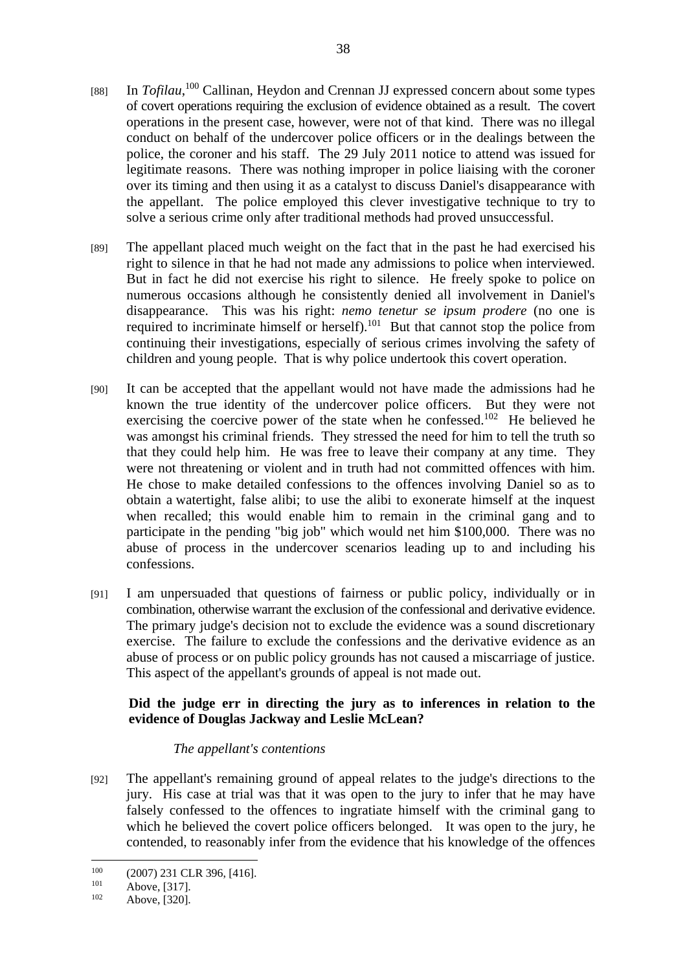- [88] In *Tofilau*,<sup>100</sup> Callinan, Heydon and Crennan JJ expressed concern about some types of covert operations requiring the exclusion of evidence obtained as a result. The covert operations in the present case, however, were not of that kind. There was no illegal conduct on behalf of the undercover police officers or in the dealings between the police, the coroner and his staff. The 29 July 2011 notice to attend was issued for legitimate reasons. There was nothing improper in police liaising with the coroner over its timing and then using it as a catalyst to discuss Daniel's disappearance with the appellant. The police employed this clever investigative technique to try to solve a serious crime only after traditional methods had proved unsuccessful.
- [89] The appellant placed much weight on the fact that in the past he had exercised his right to silence in that he had not made any admissions to police when interviewed. But in fact he did not exercise his right to silence. He freely spoke to police on numerous occasions although he consistently denied all involvement in Daniel's disappearance. This was his right: *nemo tenetur se ipsum prodere* (no one is required to incriminate himself or herself).101 But that cannot stop the police from continuing their investigations, especially of serious crimes involving the safety of children and young people. That is why police undertook this covert operation.
- [90] It can be accepted that the appellant would not have made the admissions had he known the true identity of the undercover police officers. But they were not exercising the coercive power of the state when he confessed.102 He believed he was amongst his criminal friends. They stressed the need for him to tell the truth so that they could help him. He was free to leave their company at any time. They were not threatening or violent and in truth had not committed offences with him. He chose to make detailed confessions to the offences involving Daniel so as to obtain a watertight, false alibi; to use the alibi to exonerate himself at the inquest when recalled; this would enable him to remain in the criminal gang and to participate in the pending "big job" which would net him \$100,000. There was no abuse of process in the undercover scenarios leading up to and including his confessions.
- [91] I am unpersuaded that questions of fairness or public policy, individually or in combination, otherwise warrant the exclusion of the confessional and derivative evidence. The primary judge's decision not to exclude the evidence was a sound discretionary exercise. The failure to exclude the confessions and the derivative evidence as an abuse of process or on public policy grounds has not caused a miscarriage of justice. This aspect of the appellant's grounds of appeal is not made out.

## **Did the judge err in directing the jury as to inferences in relation to the evidence of Douglas Jackway and Leslie McLean?**

### *The appellant's contentions*

[92] The appellant's remaining ground of appeal relates to the judge's directions to the jury. His case at trial was that it was open to the jury to infer that he may have falsely confessed to the offences to ingratiate himself with the criminal gang to which he believed the covert police officers belonged. It was open to the jury, he contended, to reasonably infer from the evidence that his knowledge of the offences

<sup>100 (2007) 231</sup> CLR 396, [416].<br>
101 Above, [317].<br>
102 Above, [320].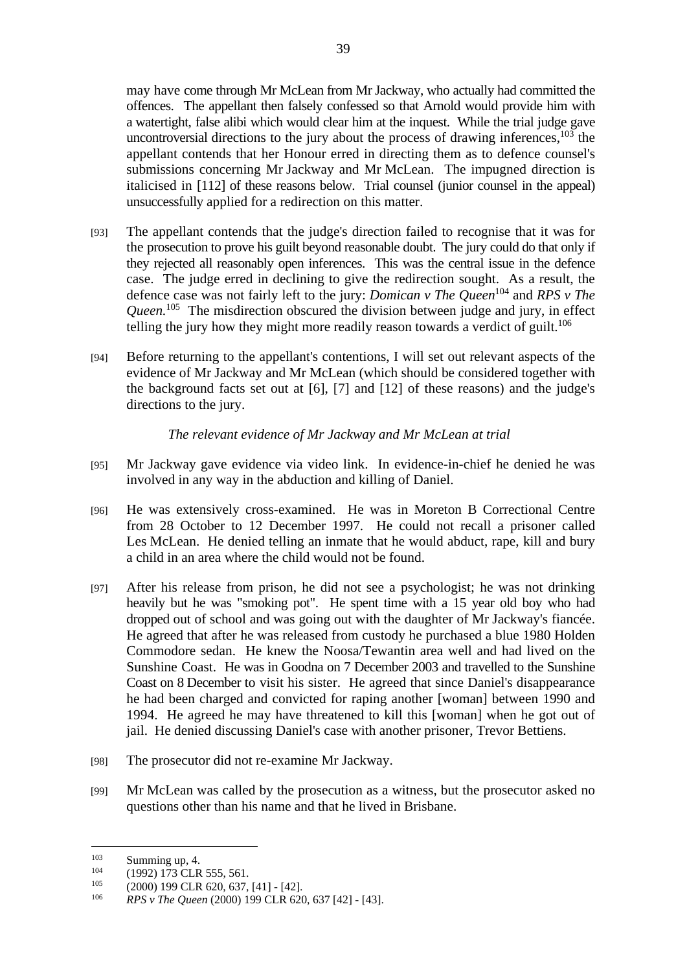may have come through Mr McLean from Mr Jackway, who actually had committed the offences. The appellant then falsely confessed so that Arnold would provide him with a watertight, false alibi which would clear him at the inquest. While the trial judge gave uncontroversial directions to the jury about the process of drawing inferences,  $103$  the appellant contends that her Honour erred in directing them as to defence counsel's submissions concerning Mr Jackway and Mr McLean. The impugned direction is italicised in [112] of these reasons below. Trial counsel (junior counsel in the appeal) unsuccessfully applied for a redirection on this matter.

- [93] The appellant contends that the judge's direction failed to recognise that it was for the prosecution to prove his guilt beyond reasonable doubt. The jury could do that only if they rejected all reasonably open inferences. This was the central issue in the defence case. The judge erred in declining to give the redirection sought. As a result, the defence case was not fairly left to the jury: *Domican v The Queen*104 and *RPS v The Queen.*105 The misdirection obscured the division between judge and jury, in effect telling the jury how they might more readily reason towards a verdict of guilt.<sup>106</sup>
- [94] Before returning to the appellant's contentions, I will set out relevant aspects of the evidence of Mr Jackway and Mr McLean (which should be considered together with the background facts set out at [6], [7] and [12] of these reasons) and the judge's directions to the jury.

## *The relevant evidence of Mr Jackway and Mr McLean at trial*

- [95] Mr Jackway gave evidence via video link. In evidence-in-chief he denied he was involved in any way in the abduction and killing of Daniel.
- [96] He was extensively cross-examined. He was in Moreton B Correctional Centre from 28 October to 12 December 1997. He could not recall a prisoner called Les McLean. He denied telling an inmate that he would abduct, rape, kill and bury a child in an area where the child would not be found.
- [97] After his release from prison, he did not see a psychologist; he was not drinking heavily but he was "smoking pot". He spent time with a 15 year old boy who had dropped out of school and was going out with the daughter of Mr Jackway's fiancée. He agreed that after he was released from custody he purchased a blue 1980 Holden Commodore sedan. He knew the Noosa/Tewantin area well and had lived on the Sunshine Coast. He was in Goodna on 7 December 2003 and travelled to the Sunshine Coast on 8 December to visit his sister. He agreed that since Daniel's disappearance he had been charged and convicted for raping another [woman] between 1990 and 1994. He agreed he may have threatened to kill this [woman] when he got out of jail. He denied discussing Daniel's case with another prisoner, Trevor Bettiens.
- [98] The prosecutor did not re-examine Mr Jackway.
- [99] Mr McLean was called by the prosecution as a witness, but the prosecutor asked no questions other than his name and that he lived in Brisbane.

 $103$ 

<sup>103</sup> Summing up, 4.<br>
104 (1992) 173 CLR 555, 561.<br>
105 (2000) 199 CLR 620, 637, [41] - [42].<br> *RPS v The Queen* (2000) 199 CLR 620, 637 [42] - [43].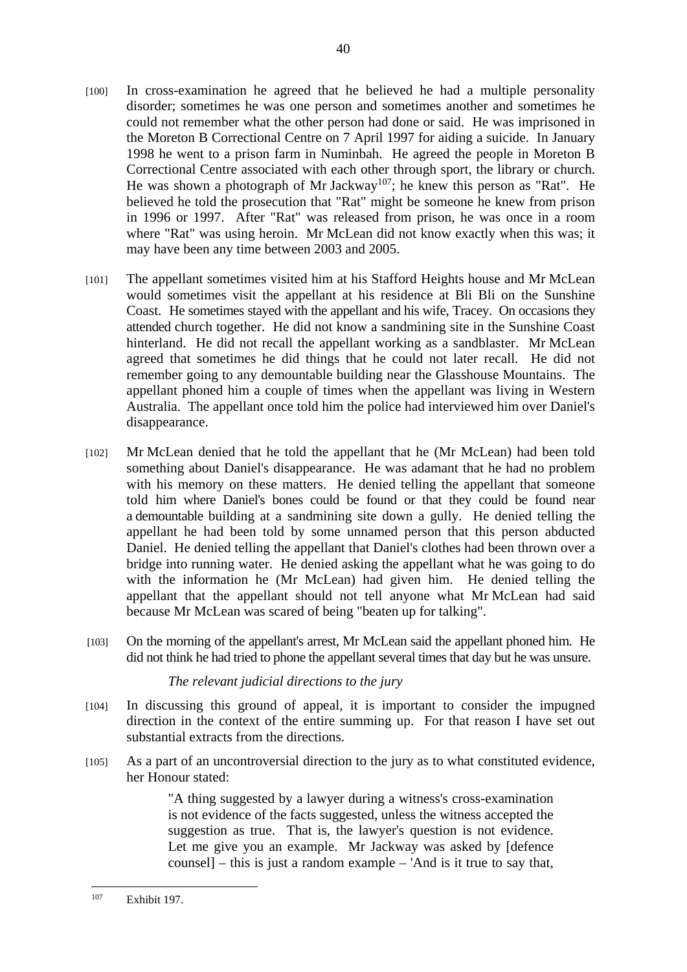- [100] In cross-examination he agreed that he believed he had a multiple personality disorder; sometimes he was one person and sometimes another and sometimes he could not remember what the other person had done or said. He was imprisoned in the Moreton B Correctional Centre on 7 April 1997 for aiding a suicide. In January 1998 he went to a prison farm in Numinbah. He agreed the people in Moreton B Correctional Centre associated with each other through sport, the library or church. He was shown a photograph of Mr Jackway<sup>107</sup>; he knew this person as "Rat". He believed he told the prosecution that "Rat" might be someone he knew from prison in 1996 or 1997. After "Rat" was released from prison, he was once in a room where "Rat" was using heroin. Mr McLean did not know exactly when this was; it may have been any time between 2003 and 2005.
- [101] The appellant sometimes visited him at his Stafford Heights house and Mr McLean would sometimes visit the appellant at his residence at Bli Bli on the Sunshine Coast. He sometimes stayed with the appellant and his wife, Tracey. On occasions they attended church together. He did not know a sandmining site in the Sunshine Coast hinterland. He did not recall the appellant working as a sandblaster. Mr McLean agreed that sometimes he did things that he could not later recall. He did not remember going to any demountable building near the Glasshouse Mountains. The appellant phoned him a couple of times when the appellant was living in Western Australia. The appellant once told him the police had interviewed him over Daniel's disappearance.
- [102] Mr McLean denied that he told the appellant that he (Mr McLean) had been told something about Daniel's disappearance. He was adamant that he had no problem with his memory on these matters. He denied telling the appellant that someone told him where Daniel's bones could be found or that they could be found near a demountable building at a sandmining site down a gully. He denied telling the appellant he had been told by some unnamed person that this person abducted Daniel. He denied telling the appellant that Daniel's clothes had been thrown over a bridge into running water. He denied asking the appellant what he was going to do with the information he (Mr McLean) had given him. He denied telling the appellant that the appellant should not tell anyone what Mr McLean had said because Mr McLean was scared of being "beaten up for talking".
- [103] On the morning of the appellant's arrest, Mr McLean said the appellant phoned him. He did not think he had tried to phone the appellant several times that day but he was unsure.

### *The relevant judicial directions to the jury*

- [104] In discussing this ground of appeal, it is important to consider the impugned direction in the context of the entire summing up. For that reason I have set out substantial extracts from the directions.
- [105] As a part of an uncontroversial direction to the jury as to what constituted evidence, her Honour stated:

"A thing suggested by a lawyer during a witness's cross-examination is not evidence of the facts suggested, unless the witness accepted the suggestion as true. That is, the lawyer's question is not evidence. Let me give you an example. Mr Jackway was asked by [defence counsel] – this is just a random example – 'And is it true to say that,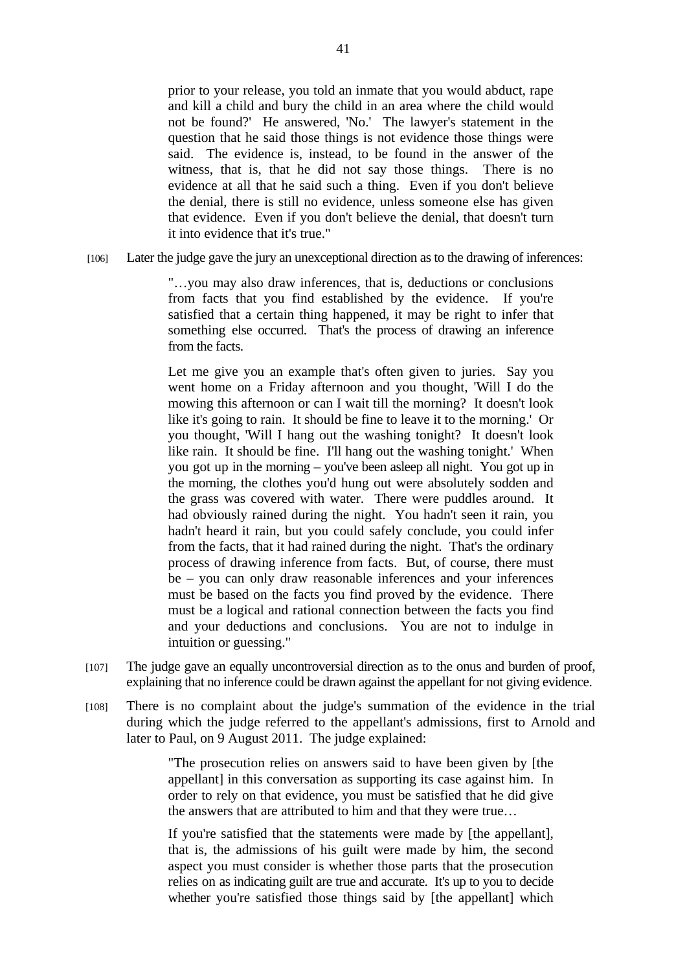prior to your release, you told an inmate that you would abduct, rape and kill a child and bury the child in an area where the child would not be found?' He answered, 'No.' The lawyer's statement in the question that he said those things is not evidence those things were said. The evidence is, instead, to be found in the answer of the witness, that is, that he did not say those things. There is no evidence at all that he said such a thing. Even if you don't believe the denial, there is still no evidence, unless someone else has given that evidence. Even if you don't believe the denial, that doesn't turn it into evidence that it's true."

[106] Later the judge gave the jury an unexceptional direction as to the drawing of inferences:

"…you may also draw inferences, that is, deductions or conclusions from facts that you find established by the evidence. If you're satisfied that a certain thing happened, it may be right to infer that something else occurred. That's the process of drawing an inference from the facts.

Let me give you an example that's often given to juries. Say you went home on a Friday afternoon and you thought, 'Will I do the mowing this afternoon or can I wait till the morning? It doesn't look like it's going to rain. It should be fine to leave it to the morning.' Or you thought, 'Will I hang out the washing tonight? It doesn't look like rain. It should be fine. I'll hang out the washing tonight.' When you got up in the morning – you've been asleep all night. You got up in the morning, the clothes you'd hung out were absolutely sodden and the grass was covered with water. There were puddles around. It had obviously rained during the night. You hadn't seen it rain, you hadn't heard it rain, but you could safely conclude, you could infer from the facts, that it had rained during the night. That's the ordinary process of drawing inference from facts. But, of course, there must be – you can only draw reasonable inferences and your inferences must be based on the facts you find proved by the evidence. There must be a logical and rational connection between the facts you find and your deductions and conclusions. You are not to indulge in intuition or guessing."

- [107] The judge gave an equally uncontroversial direction as to the onus and burden of proof, explaining that no inference could be drawn against the appellant for not giving evidence.
- [108] There is no complaint about the judge's summation of the evidence in the trial during which the judge referred to the appellant's admissions, first to Arnold and later to Paul, on 9 August 2011. The judge explained:

"The prosecution relies on answers said to have been given by [the appellant] in this conversation as supporting its case against him. In order to rely on that evidence, you must be satisfied that he did give the answers that are attributed to him and that they were true…

If you're satisfied that the statements were made by [the appellant], that is, the admissions of his guilt were made by him, the second aspect you must consider is whether those parts that the prosecution relies on as indicating guilt are true and accurate. It's up to you to decide whether you're satisfied those things said by [the appellant] which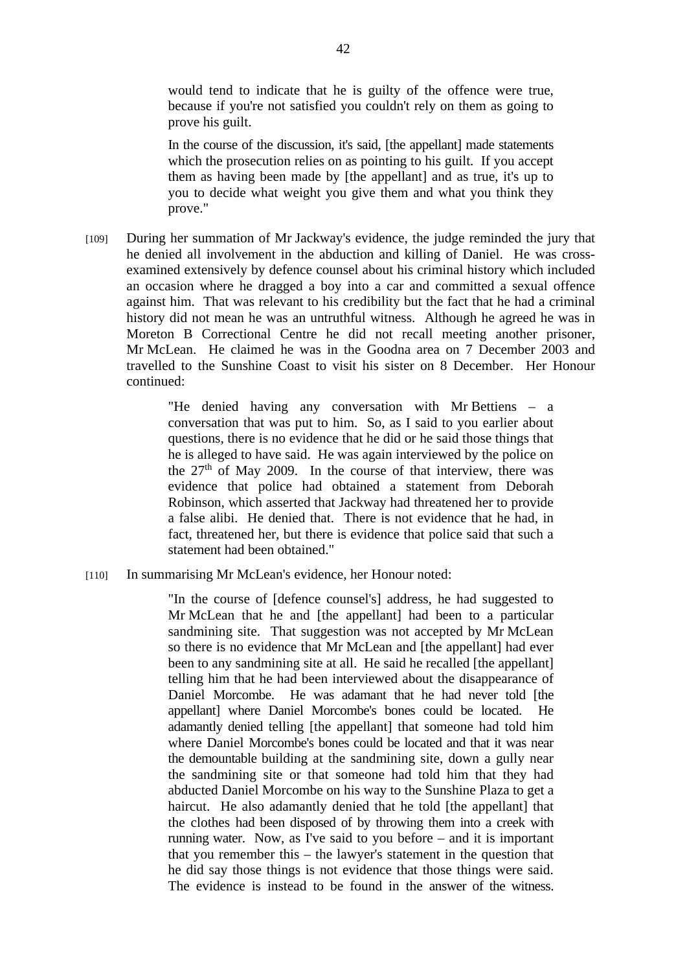would tend to indicate that he is guilty of the offence were true, because if you're not satisfied you couldn't rely on them as going to prove his guilt.

In the course of the discussion, it's said, [the appellant] made statements which the prosecution relies on as pointing to his guilt. If you accept them as having been made by [the appellant] and as true, it's up to you to decide what weight you give them and what you think they prove."

[109] During her summation of Mr Jackway's evidence, the judge reminded the jury that he denied all involvement in the abduction and killing of Daniel. He was crossexamined extensively by defence counsel about his criminal history which included an occasion where he dragged a boy into a car and committed a sexual offence against him. That was relevant to his credibility but the fact that he had a criminal history did not mean he was an untruthful witness. Although he agreed he was in Moreton B Correctional Centre he did not recall meeting another prisoner, Mr McLean. He claimed he was in the Goodna area on 7 December 2003 and travelled to the Sunshine Coast to visit his sister on 8 December. Her Honour continued:

> "He denied having any conversation with Mr Bettiens – a conversation that was put to him. So, as I said to you earlier about questions, there is no evidence that he did or he said those things that he is alleged to have said. He was again interviewed by the police on the  $27<sup>th</sup>$  of May 2009. In the course of that interview, there was evidence that police had obtained a statement from Deborah Robinson, which asserted that Jackway had threatened her to provide a false alibi. He denied that. There is not evidence that he had, in fact, threatened her, but there is evidence that police said that such a statement had been obtained."

[110] In summarising Mr McLean's evidence, her Honour noted:

"In the course of [defence counsel's] address, he had suggested to Mr McLean that he and [the appellant] had been to a particular sandmining site. That suggestion was not accepted by Mr McLean so there is no evidence that Mr McLean and [the appellant] had ever been to any sandmining site at all. He said he recalled [the appellant] telling him that he had been interviewed about the disappearance of Daniel Morcombe. He was adamant that he had never told [the appellant] where Daniel Morcombe's bones could be located. He adamantly denied telling [the appellant] that someone had told him where Daniel Morcombe's bones could be located and that it was near the demountable building at the sandmining site, down a gully near the sandmining site or that someone had told him that they had abducted Daniel Morcombe on his way to the Sunshine Plaza to get a haircut. He also adamantly denied that he told [the appellant] that the clothes had been disposed of by throwing them into a creek with running water. Now, as I've said to you before – and it is important that you remember this – the lawyer's statement in the question that he did say those things is not evidence that those things were said. The evidence is instead to be found in the answer of the witness.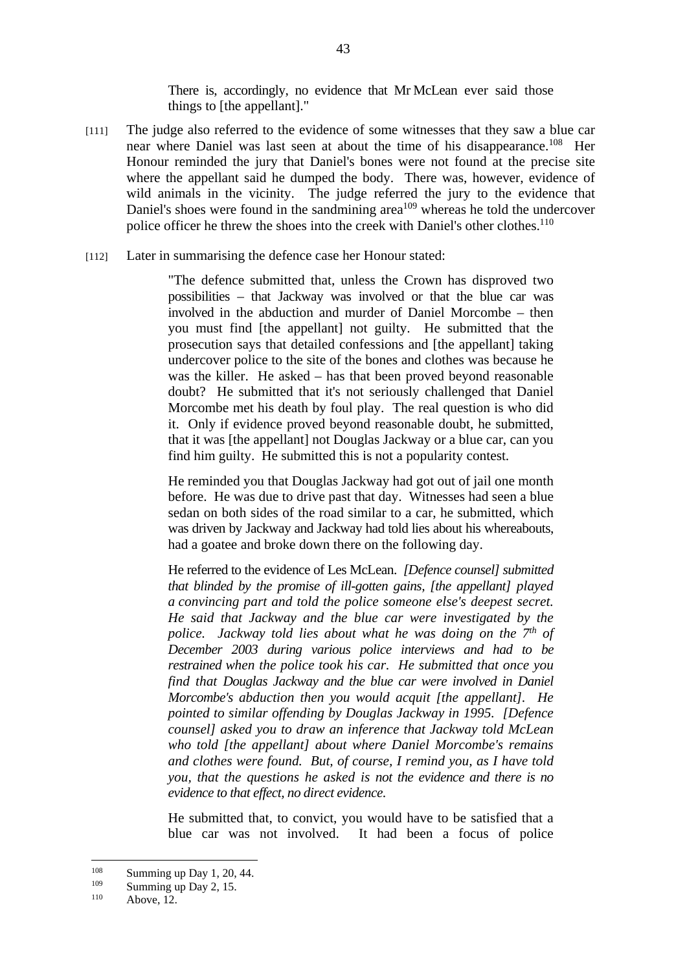There is, accordingly, no evidence that Mr McLean ever said those things to [the appellant]."

- [111] The judge also referred to the evidence of some witnesses that they saw a blue car near where Daniel was last seen at about the time of his disappearance.<sup>108</sup> Her Honour reminded the jury that Daniel's bones were not found at the precise site where the appellant said he dumped the body. There was, however, evidence of wild animals in the vicinity. The judge referred the jury to the evidence that Daniel's shoes were found in the sandmining area<sup> $109$ </sup> whereas he told the undercover police officer he threw the shoes into the creek with Daniel's other clothes.<sup>110</sup>
- [112] Later in summarising the defence case her Honour stated:

"The defence submitted that, unless the Crown has disproved two possibilities – that Jackway was involved or that the blue car was involved in the abduction and murder of Daniel Morcombe – then you must find [the appellant] not guilty. He submitted that the prosecution says that detailed confessions and [the appellant] taking undercover police to the site of the bones and clothes was because he was the killer. He asked – has that been proved beyond reasonable doubt? He submitted that it's not seriously challenged that Daniel Morcombe met his death by foul play. The real question is who did it. Only if evidence proved beyond reasonable doubt, he submitted, that it was [the appellant] not Douglas Jackway or a blue car, can you find him guilty. He submitted this is not a popularity contest.

He reminded you that Douglas Jackway had got out of jail one month before. He was due to drive past that day. Witnesses had seen a blue sedan on both sides of the road similar to a car, he submitted, which was driven by Jackway and Jackway had told lies about his whereabouts, had a goatee and broke down there on the following day.

He referred to the evidence of Les McLean. *[Defence counsel] submitted that blinded by the promise of ill-gotten gains, [the appellant] played a convincing part and told the police someone else's deepest secret. He said that Jackway and the blue car were investigated by the police. Jackway told lies about what he was doing on the 7<sup>th</sup> of December 2003 during various police interviews and had to be restrained when the police took his car. He submitted that once you find that Douglas Jackway and the blue car were involved in Daniel Morcombe's abduction then you would acquit [the appellant]. He pointed to similar offending by Douglas Jackway in 1995. [Defence counsel] asked you to draw an inference that Jackway told McLean who told [the appellant] about where Daniel Morcombe's remains and clothes were found. But, of course, I remind you, as I have told you, that the questions he asked is not the evidence and there is no evidence to that effect, no direct evidence*.

He submitted that, to convict, you would have to be satisfied that a blue car was not involved. It had been a focus of police

 $\frac{108}{109}$  Summing up Day 1, 20, 44.

<sup>&</sup>lt;sup>109</sup> Summing up Day 2, 15.<br>
<sup>110</sup> Above, 12.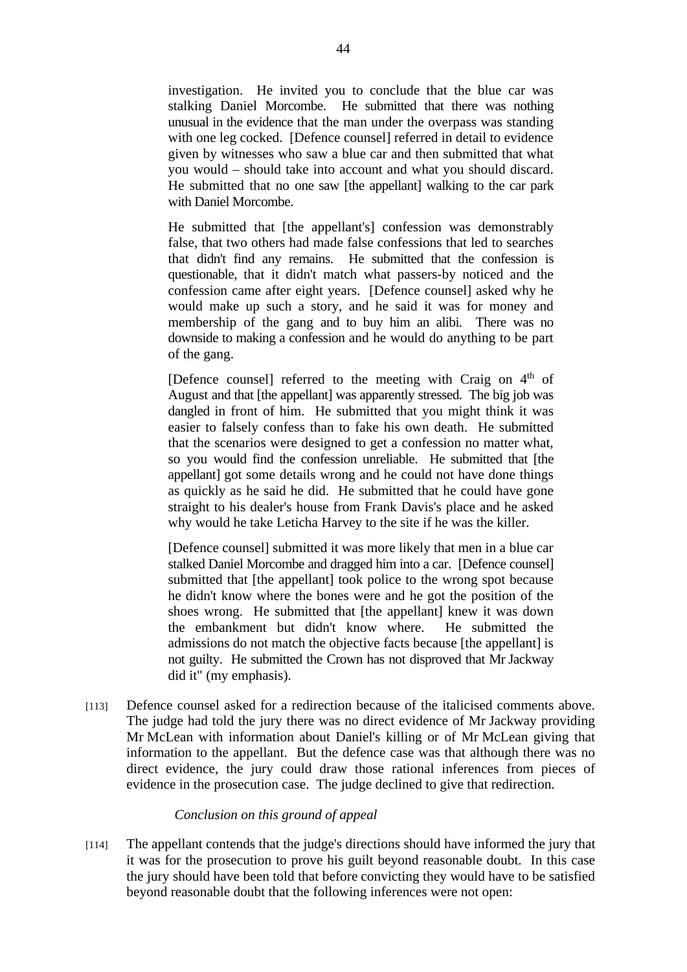investigation. He invited you to conclude that the blue car was stalking Daniel Morcombe. He submitted that there was nothing unusual in the evidence that the man under the overpass was standing with one leg cocked. [Defence counsel] referred in detail to evidence given by witnesses who saw a blue car and then submitted that what you would – should take into account and what you should discard. He submitted that no one saw [the appellant] walking to the car park with Daniel Morcombe.

He submitted that [the appellant's] confession was demonstrably false, that two others had made false confessions that led to searches that didn't find any remains. He submitted that the confession is questionable, that it didn't match what passers-by noticed and the confession came after eight years. [Defence counsel] asked why he would make up such a story, and he said it was for money and membership of the gang and to buy him an alibi. There was no downside to making a confession and he would do anything to be part of the gang.

[Defence counsel] referred to the meeting with Craig on  $4<sup>th</sup>$  of August and that [the appellant] was apparently stressed. The big job was dangled in front of him. He submitted that you might think it was easier to falsely confess than to fake his own death. He submitted that the scenarios were designed to get a confession no matter what, so you would find the confession unreliable. He submitted that [the appellant] got some details wrong and he could not have done things as quickly as he said he did. He submitted that he could have gone straight to his dealer's house from Frank Davis's place and he asked why would he take Leticha Harvey to the site if he was the killer.

[Defence counsel] submitted it was more likely that men in a blue car stalked Daniel Morcombe and dragged him into a car. [Defence counsel] submitted that [the appellant] took police to the wrong spot because he didn't know where the bones were and he got the position of the shoes wrong. He submitted that [the appellant] knew it was down the embankment but didn't know where. He submitted the admissions do not match the objective facts because [the appellant] is not guilty. He submitted the Crown has not disproved that Mr Jackway did it" (my emphasis).

[113] Defence counsel asked for a redirection because of the italicised comments above. The judge had told the jury there was no direct evidence of Mr Jackway providing Mr McLean with information about Daniel's killing or of Mr McLean giving that information to the appellant. But the defence case was that although there was no direct evidence, the jury could draw those rational inferences from pieces of evidence in the prosecution case. The judge declined to give that redirection.

## *Conclusion on this ground of appeal*

[114] The appellant contends that the judge's directions should have informed the jury that it was for the prosecution to prove his guilt beyond reasonable doubt. In this case the jury should have been told that before convicting they would have to be satisfied beyond reasonable doubt that the following inferences were not open: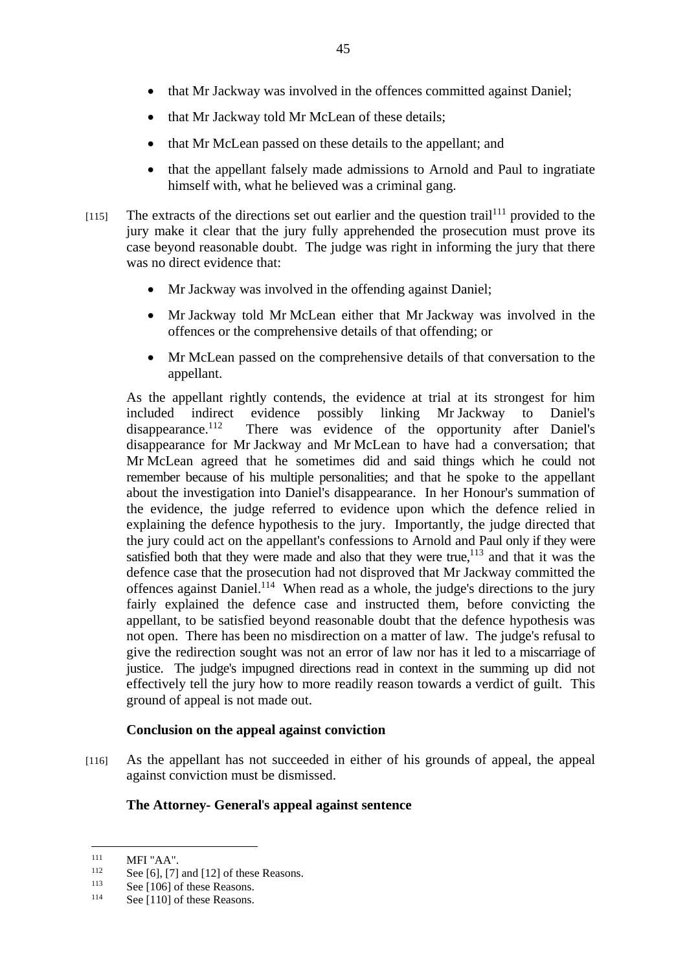- that Mr Jackway told Mr McLean of these details;
- that Mr McLean passed on these details to the appellant; and
- that the appellant falsely made admissions to Arnold and Paul to ingratiate himself with, what he believed was a criminal gang.
- $[115]$  The extracts of the directions set out earlier and the question trail<sup>111</sup> provided to the jury make it clear that the jury fully apprehended the prosecution must prove its case beyond reasonable doubt. The judge was right in informing the jury that there was no direct evidence that:
	- Mr Jackway was involved in the offending against Daniel:
	- Mr Jackway told Mr McLean either that Mr Jackway was involved in the offences or the comprehensive details of that offending; or
	- Mr McLean passed on the comprehensive details of that conversation to the appellant.

As the appellant rightly contends, the evidence at trial at its strongest for him included indirect evidence possibly linking Mr Jackway to Daniel's disappearance.<sup>112</sup> There was evidence of the opportunity after Daniel's There was evidence of the opportunity after Daniel's disappearance for Mr Jackway and Mr McLean to have had a conversation; that Mr McLean agreed that he sometimes did and said things which he could not remember because of his multiple personalities; and that he spoke to the appellant about the investigation into Daniel's disappearance. In her Honour's summation of the evidence, the judge referred to evidence upon which the defence relied in explaining the defence hypothesis to the jury. Importantly, the judge directed that the jury could act on the appellant's confessions to Arnold and Paul only if they were satisfied both that they were made and also that they were true, $113$  and that it was the defence case that the prosecution had not disproved that Mr Jackway committed the offences against Daniel.114 When read as a whole, the judge's directions to the jury fairly explained the defence case and instructed them, before convicting the appellant, to be satisfied beyond reasonable doubt that the defence hypothesis was not open. There has been no misdirection on a matter of law. The judge's refusal to give the redirection sought was not an error of law nor has it led to a miscarriage of justice. The judge's impugned directions read in context in the summing up did not effectively tell the jury how to more readily reason towards a verdict of guilt. This ground of appeal is not made out.

# **Conclusion on the appeal against conviction**

[116] As the appellant has not succeeded in either of his grounds of appeal, the appeal against conviction must be dismissed.

# **The Attorney- General**'**s appeal against sentence**

 $111$ 

<sup>&</sup>lt;sup>111</sup> MFI "AA".<br><sup>112</sup> See [6], [7] and [12] of these Reasons.<br><sup>113</sup> See [106] of these Reasons.<br><sup>114</sup> See [110] of these Reasons.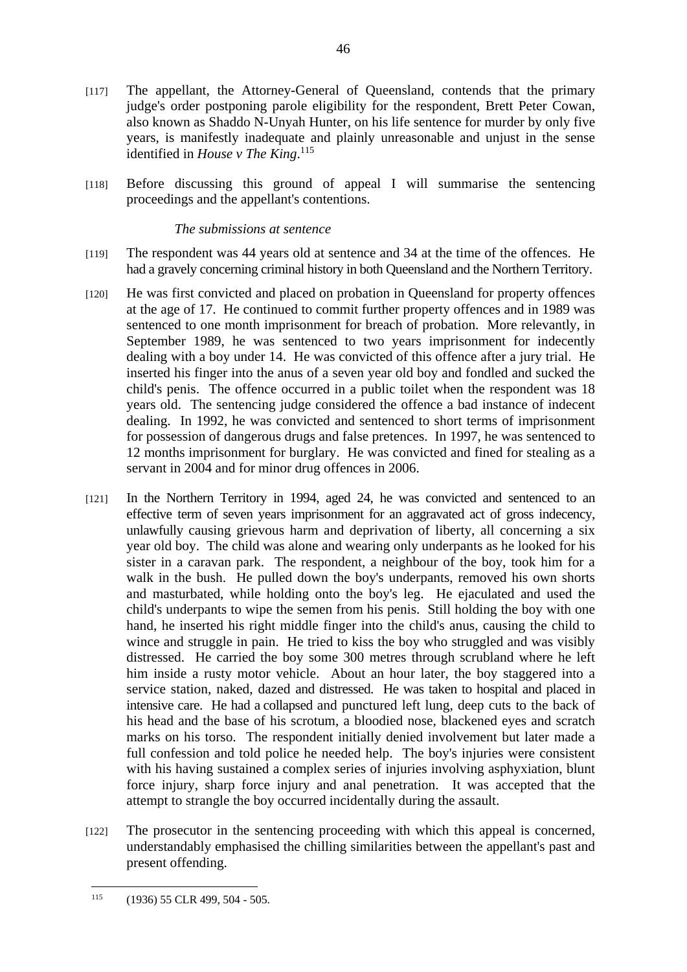- [117] The appellant, the Attorney-General of Queensland, contends that the primary judge's order postponing parole eligibility for the respondent, Brett Peter Cowan, also known as Shaddo N-Unyah Hunter, on his life sentence for murder by only five years, is manifestly inadequate and plainly unreasonable and unjust in the sense identified in *House v The King*. 115
- [118] Before discussing this ground of appeal I will summarise the sentencing proceedings and the appellant's contentions.

#### *The submissions at sentence*

- [119] The respondent was 44 years old at sentence and 34 at the time of the offences. He had a gravely concerning criminal history in both Queensland and the Northern Territory.
- [120] He was first convicted and placed on probation in Queensland for property offences at the age of 17. He continued to commit further property offences and in 1989 was sentenced to one month imprisonment for breach of probation. More relevantly, in September 1989, he was sentenced to two years imprisonment for indecently dealing with a boy under 14. He was convicted of this offence after a jury trial. He inserted his finger into the anus of a seven year old boy and fondled and sucked the child's penis. The offence occurred in a public toilet when the respondent was 18 years old. The sentencing judge considered the offence a bad instance of indecent dealing. In 1992, he was convicted and sentenced to short terms of imprisonment for possession of dangerous drugs and false pretences. In 1997, he was sentenced to 12 months imprisonment for burglary. He was convicted and fined for stealing as a servant in 2004 and for minor drug offences in 2006.
- [121] In the Northern Territory in 1994, aged 24, he was convicted and sentenced to an effective term of seven years imprisonment for an aggravated act of gross indecency, unlawfully causing grievous harm and deprivation of liberty, all concerning a six year old boy. The child was alone and wearing only underpants as he looked for his sister in a caravan park. The respondent, a neighbour of the boy, took him for a walk in the bush. He pulled down the boy's underpants, removed his own shorts and masturbated, while holding onto the boy's leg. He ejaculated and used the child's underpants to wipe the semen from his penis. Still holding the boy with one hand, he inserted his right middle finger into the child's anus, causing the child to wince and struggle in pain. He tried to kiss the boy who struggled and was visibly distressed. He carried the boy some 300 metres through scrubland where he left him inside a rusty motor vehicle. About an hour later, the boy staggered into a service station, naked, dazed and distressed. He was taken to hospital and placed in intensive care. He had a collapsed and punctured left lung, deep cuts to the back of his head and the base of his scrotum, a bloodied nose, blackened eyes and scratch marks on his torso. The respondent initially denied involvement but later made a full confession and told police he needed help. The boy's injuries were consistent with his having sustained a complex series of injuries involving asphyxiation, blunt force injury, sharp force injury and anal penetration. It was accepted that the attempt to strangle the boy occurred incidentally during the assault.
- [122] The prosecutor in the sentencing proceeding with which this appeal is concerned, understandably emphasised the chilling similarities between the appellant's past and present offending.

<sup>115 (1936) 55</sup> CLR 499, 504 - 505.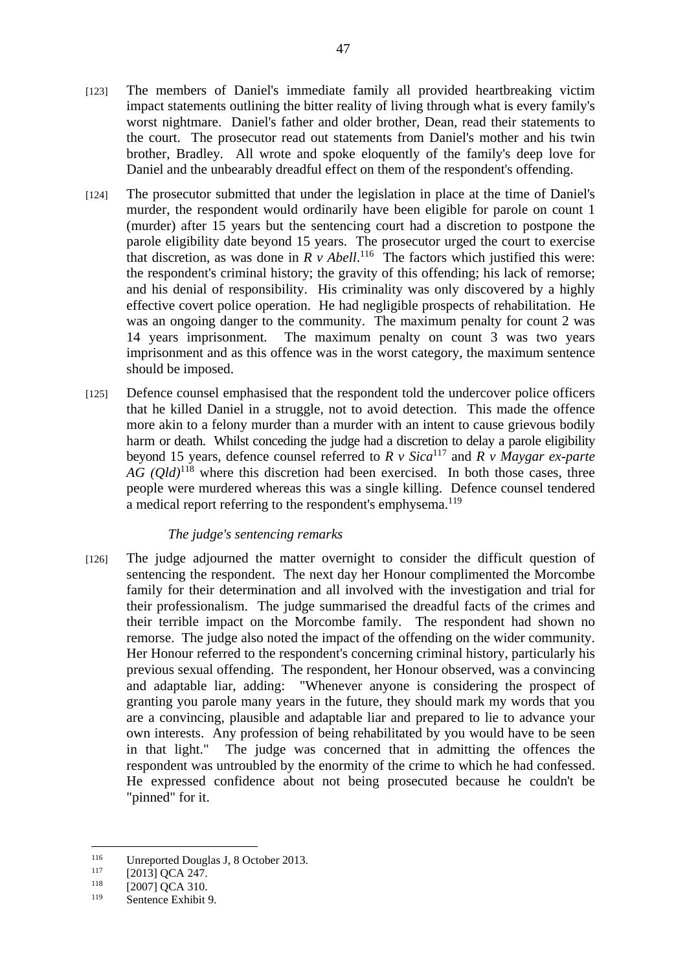- [123] The members of Daniel's immediate family all provided heartbreaking victim impact statements outlining the bitter reality of living through what is every family's worst nightmare. Daniel's father and older brother, Dean, read their statements to the court. The prosecutor read out statements from Daniel's mother and his twin brother, Bradley. All wrote and spoke eloquently of the family's deep love for Daniel and the unbearably dreadful effect on them of the respondent's offending.
- [124] The prosecutor submitted that under the legislation in place at the time of Daniel's murder, the respondent would ordinarily have been eligible for parole on count 1 (murder) after 15 years but the sentencing court had a discretion to postpone the parole eligibility date beyond 15 years. The prosecutor urged the court to exercise that discretion, as was done in  $R \, v$  *Abell*.<sup>116</sup> The factors which justified this were: the respondent's criminal history; the gravity of this offending; his lack of remorse; and his denial of responsibility. His criminality was only discovered by a highly effective covert police operation. He had negligible prospects of rehabilitation. He was an ongoing danger to the community. The maximum penalty for count 2 was 14 years imprisonment. The maximum penalty on count 3 was two years imprisonment and as this offence was in the worst category, the maximum sentence should be imposed.
- [125] Defence counsel emphasised that the respondent told the undercover police officers that he killed Daniel in a struggle, not to avoid detection. This made the offence more akin to a felony murder than a murder with an intent to cause grievous bodily harm or death. Whilst conceding the judge had a discretion to delay a parole eligibility beyond 15 years, defence counsel referred to  $R$  v Sica<sup>117</sup> and  $\overrightarrow{R}$  v Maygar ex-parte *AG (Qld)*118 where this discretion had been exercised. In both those cases, three people were murdered whereas this was a single killing. Defence counsel tendered a medical report referring to the respondent's emphysema.<sup>119</sup>

### *The judge's sentencing remarks*

[126] The judge adjourned the matter overnight to consider the difficult question of sentencing the respondent. The next day her Honour complimented the Morcombe family for their determination and all involved with the investigation and trial for their professionalism. The judge summarised the dreadful facts of the crimes and their terrible impact on the Morcombe family. The respondent had shown no remorse. The judge also noted the impact of the offending on the wider community. Her Honour referred to the respondent's concerning criminal history, particularly his previous sexual offending. The respondent, her Honour observed, was a convincing and adaptable liar, adding: "Whenever anyone is considering the prospect of granting you parole many years in the future, they should mark my words that you are a convincing, plausible and adaptable liar and prepared to lie to advance your own interests. Any profession of being rehabilitated by you would have to be seen in that light." The judge was concerned that in admitting the offences the respondent was untroubled by the enormity of the crime to which he had confessed. He expressed confidence about not being prosecuted because he couldn't be "pinned" for it.

 $116$ <sup>116</sup> Unreported Douglas J, 8 October 2013.<br>
<sup>117</sup> [2013] QCA 247.<br>
<sup>118</sup> [2007] QCA 310.<br>
Sontance Exhibit 0.

Sentence Exhibit 9.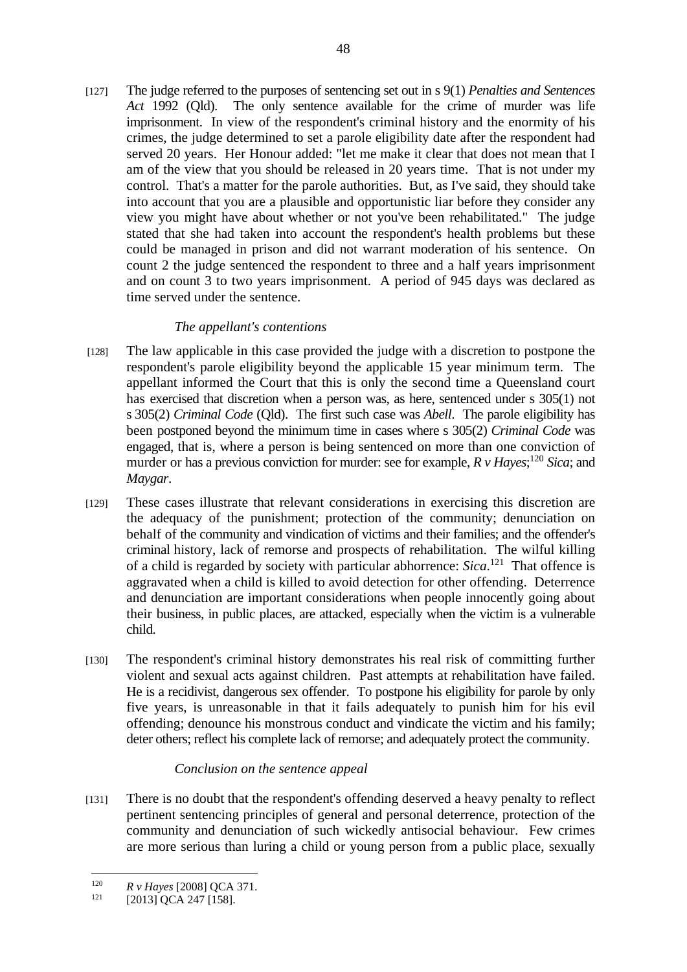[127] The judge referred to the purposes of sentencing set out in s 9(1) *Penalties and Sentences Act* 1992 (Qld). The only sentence available for the crime of murder was life imprisonment. In view of the respondent's criminal history and the enormity of his crimes, the judge determined to set a parole eligibility date after the respondent had served 20 years. Her Honour added: "let me make it clear that does not mean that I am of the view that you should be released in 20 years time. That is not under my control. That's a matter for the parole authorities. But, as I've said, they should take into account that you are a plausible and opportunistic liar before they consider any view you might have about whether or not you've been rehabilitated." The judge stated that she had taken into account the respondent's health problems but these could be managed in prison and did not warrant moderation of his sentence. On count 2 the judge sentenced the respondent to three and a half years imprisonment and on count 3 to two years imprisonment. A period of 945 days was declared as time served under the sentence.

# *The appellant's contentions*

- [128] The law applicable in this case provided the judge with a discretion to postpone the respondent's parole eligibility beyond the applicable 15 year minimum term. The appellant informed the Court that this is only the second time a Queensland court has exercised that discretion when a person was, as here, sentenced under s 305(1) not s 305(2) *Criminal Code* (Qld). The first such case was *Abell*. The parole eligibility has been postponed beyond the minimum time in cases where s 305(2) *Criminal Code* was engaged, that is, where a person is being sentenced on more than one conviction of murder or has a previous conviction for murder: see for example,  $R v$  *Hayes*;<sup>120</sup> *Sica*; and *Maygar*.
- [129] These cases illustrate that relevant considerations in exercising this discretion are the adequacy of the punishment; protection of the community; denunciation on behalf of the community and vindication of victims and their families; and the offender's criminal history, lack of remorse and prospects of rehabilitation. The wilful killing of a child is regarded by society with particular abhorrence: *Sica*. 121 That offence is aggravated when a child is killed to avoid detection for other offending. Deterrence and denunciation are important considerations when people innocently going about their business, in public places, are attacked, especially when the victim is a vulnerable child.
- [130] The respondent's criminal history demonstrates his real risk of committing further violent and sexual acts against children. Past attempts at rehabilitation have failed. He is a recidivist, dangerous sex offender. To postpone his eligibility for parole by only five years, is unreasonable in that it fails adequately to punish him for his evil offending; denounce his monstrous conduct and vindicate the victim and his family; deter others; reflect his complete lack of remorse; and adequately protect the community.

# *Conclusion on the sentence appeal*

[131] There is no doubt that the respondent's offending deserved a heavy penalty to reflect pertinent sentencing principles of general and personal deterrence, protection of the community and denunciation of such wickedly antisocial behaviour. Few crimes are more serious than luring a child or young person from a public place, sexually

<sup>&</sup>lt;sup>120</sup> *R v Hayes* [2008] QCA 371.<br><sup>121</sup> [2013] QCA 247 [158].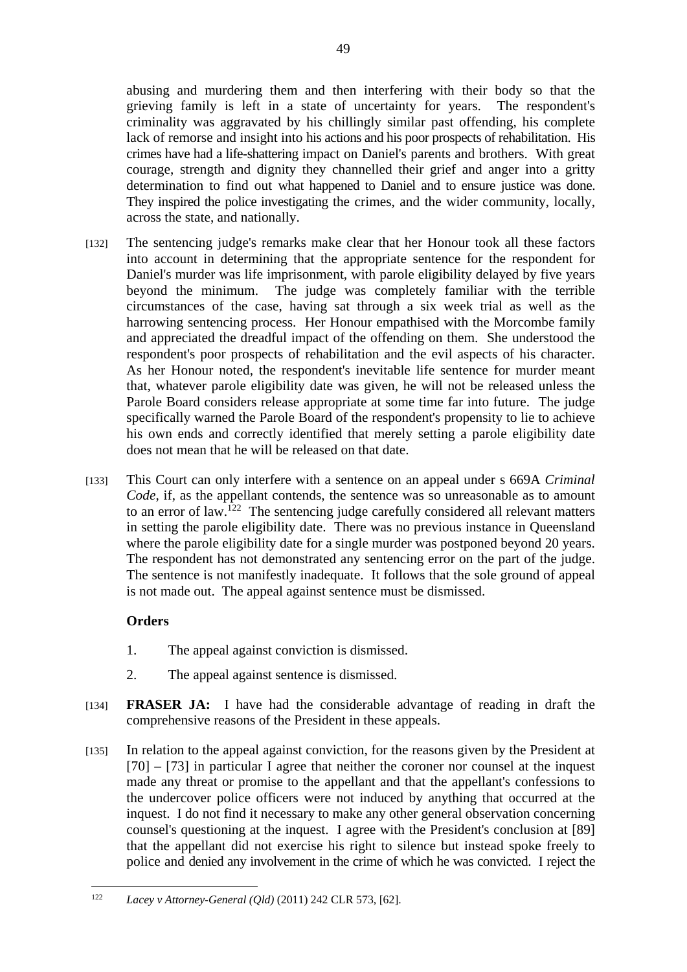abusing and murdering them and then interfering with their body so that the grieving family is left in a state of uncertainty for years. The respondent's criminality was aggravated by his chillingly similar past offending, his complete lack of remorse and insight into his actions and his poor prospects of rehabilitation. His crimes have had a life-shattering impact on Daniel's parents and brothers. With great courage, strength and dignity they channelled their grief and anger into a gritty determination to find out what happened to Daniel and to ensure justice was done. They inspired the police investigating the crimes, and the wider community, locally, across the state, and nationally.

- [132] The sentencing judge's remarks make clear that her Honour took all these factors into account in determining that the appropriate sentence for the respondent for Daniel's murder was life imprisonment, with parole eligibility delayed by five years beyond the minimum. The judge was completely familiar with the terrible circumstances of the case, having sat through a six week trial as well as the harrowing sentencing process. Her Honour empathised with the Morcombe family and appreciated the dreadful impact of the offending on them. She understood the respondent's poor prospects of rehabilitation and the evil aspects of his character. As her Honour noted, the respondent's inevitable life sentence for murder meant that, whatever parole eligibility date was given, he will not be released unless the Parole Board considers release appropriate at some time far into future. The judge specifically warned the Parole Board of the respondent's propensity to lie to achieve his own ends and correctly identified that merely setting a parole eligibility date does not mean that he will be released on that date.
- [133] This Court can only interfere with a sentence on an appeal under s 669A *Criminal Code*, if, as the appellant contends, the sentence was so unreasonable as to amount to an error of law.<sup>122</sup> The sentencing judge carefully considered all relevant matters in setting the parole eligibility date. There was no previous instance in Queensland where the parole eligibility date for a single murder was postponed beyond 20 years. The respondent has not demonstrated any sentencing error on the part of the judge. The sentence is not manifestly inadequate. It follows that the sole ground of appeal is not made out. The appeal against sentence must be dismissed.

# **Orders**

- 1. The appeal against conviction is dismissed.
- 2. The appeal against sentence is dismissed.
- [134] **FRASER JA:** I have had the considerable advantage of reading in draft the comprehensive reasons of the President in these appeals.
- [135] In relation to the appeal against conviction, for the reasons given by the President at [70] – [73] in particular I agree that neither the coroner nor counsel at the inquest made any threat or promise to the appellant and that the appellant's confessions to the undercover police officers were not induced by anything that occurred at the inquest. I do not find it necessary to make any other general observation concerning counsel's questioning at the inquest. I agree with the President's conclusion at [89] that the appellant did not exercise his right to silence but instead spoke freely to police and denied any involvement in the crime of which he was convicted. I reject the

<sup>122</sup> *Lacey v Attorney-General (Qld)* (2011) 242 CLR 573, [62].